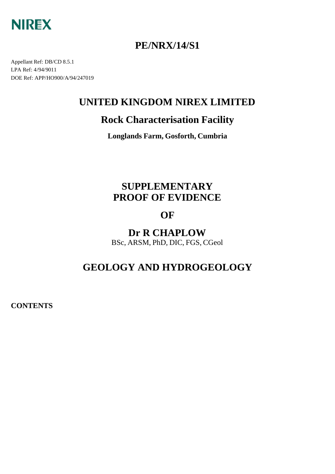

# **PE/NRX/14/S1**

Appellant Ref: DB/CD 8.5.1 LPA Ref: 4/94/9011 DOE Ref: APP/HO900/A/94/247019

# **UNITED KINGDOM NIREX LIMITED**

# **Rock Characterisation Facility**

**Longlands Farm, Gosforth, Cumbria**

# **SUPPLEMENTARY PROOF OF EVIDENCE**

# **OF**

**Dr R CHAPLOW** BSc, ARSM, PhD, DIC, FGS, CGeol

# **GEOLOGY AND HYDROGEOLOGY**

**CONTENTS**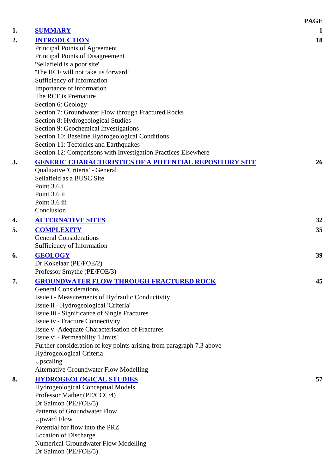|    |                                                                                          | <b>PAGE</b>     |
|----|------------------------------------------------------------------------------------------|-----------------|
| 1. | <b>SUMMARY</b>                                                                           | 1               |
| 2. | <b>INTRODUCTION</b>                                                                      | 18              |
|    | Principal Points of Agreement                                                            |                 |
|    | Principal Points of Disagreement                                                         |                 |
|    | 'Sellafield is a poor site'                                                              |                 |
|    | 'The RCF will not take us forward'                                                       |                 |
|    | Sufficiency of Information                                                               |                 |
|    | Importance of information                                                                |                 |
|    | The RCF is Premature                                                                     |                 |
|    | Section 6: Geology                                                                       |                 |
|    | Section 7: Groundwater Flow through Fractured Rocks                                      |                 |
|    | Section 8: Hydrogeological Studies                                                       |                 |
|    | Section 9: Geochemical Investigations<br>Section 10: Baseline Hydrogeological Conditions |                 |
|    | Section 11: Tectonics and Earthquakes                                                    |                 |
|    | Section 12: Comparisons with Investigation Practices Elsewhere                           |                 |
| 3. | <b>GENERIC CHARACTERISTICS OF A POTENTIAL REPOSITORY SITE</b>                            | 26              |
|    | Qualitative 'Criteria' - General                                                         |                 |
|    | Sellafield as a BUSC Site                                                                |                 |
|    | Point 3.6.i                                                                              |                 |
|    | Point 3.6 ii                                                                             |                 |
|    | Point 3.6 iii                                                                            |                 |
|    | Conclusion                                                                               |                 |
| 4. | <b>ALTERNATIVE SITES</b>                                                                 | 32              |
| 5. | <b>COMPLEXITY</b>                                                                        | 35 <sup>5</sup> |
|    | <b>General Considerations</b>                                                            |                 |
|    | Sufficiency of Information                                                               |                 |
| 6. | <b>GEOLOGY</b>                                                                           | 39              |
|    | Dr Kokelaar (PE/FOE/2)                                                                   |                 |
|    | Professor Smythe (PE/FOE/3)                                                              |                 |
| 7. | <b>GROUNDWATER FLOW THROUGH FRACTURED ROCK</b>                                           | 45              |
|    | <b>General Considerations</b>                                                            |                 |
|    | Issue i - Measurements of Hydraulic Conductivity                                         |                 |
|    | Issue ii - Hydrogeological 'Criteria'                                                    |                 |
|    | Issue iii - Significance of Single Fractures                                             |                 |
|    | Issue iv - Fracture Connectivity                                                         |                 |
|    | Issue v - Adequate Characterisation of Fractures                                         |                 |
|    | Issue vi - Permeability 'Limits'                                                         |                 |
|    | Further consideration of key points arising from paragraph 7.3 above                     |                 |
|    | Hydrogeological Criteria                                                                 |                 |
|    | Upscaling                                                                                |                 |
|    | <b>Alternative Groundwater Flow Modelling</b>                                            |                 |
| 8. | <b>HYDROGEOLOGICAL STUDIES</b>                                                           | 57              |
|    | <b>Hydrogeological Conceptual Models</b>                                                 |                 |
|    | Professor Mather (PE/CCC/4)<br>Dr Salmon (PE/FOE/5)                                      |                 |
|    | Patterns of Groundwater Flow                                                             |                 |
|    | <b>Upward Flow</b>                                                                       |                 |
|    | Potential for flow into the PRZ                                                          |                 |
|    | Location of Discharge                                                                    |                 |
|    | Numerical Groundwater Flow Modelling                                                     |                 |
|    | Dr Salmon (PE/FOE/5)                                                                     |                 |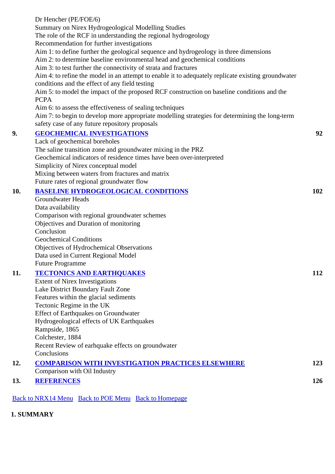| Dr Hencher (PE/FOE/6)                                                                                                                                |     |
|------------------------------------------------------------------------------------------------------------------------------------------------------|-----|
| Summary on Nirex Hydrogeological Modelling Studies                                                                                                   |     |
| The role of the RCF in understanding the regional hydrogeology                                                                                       |     |
| Recommendation for further investigations                                                                                                            |     |
| Aim 1: to define further the geological sequence and hydrogeology in three dimensions                                                                |     |
| Aim 2: to determine baseline environmental head and geochemical conditions                                                                           |     |
| Aim 3: to test further the connectivity of strata and fractures                                                                                      |     |
| Aim 4: to refine the model in an attempt to enable it to adequately replicate existing groundwater<br>conditions and the effect of any field testing |     |
| Aim 5: to model the impact of the proposed RCF construction on baseline conditions and the<br><b>PCPA</b>                                            |     |
| Aim 6: to assess the effectiveness of sealing techniques                                                                                             |     |
| Aim 7: to begin to develop more appropriate modelling strategies for determining the long-term<br>safety case of any future repository proposals     |     |
| <b>GEOCHEMICAL INVESTIGATIONS</b>                                                                                                                    | 92  |
| Lack of geochemical boreholes                                                                                                                        |     |
| The saline transition zone and groundwater mixing in the PRZ                                                                                         |     |
| Geochemical indicators of residence times have been over-interpreted                                                                                 |     |
| Simplicity of Nirex conceptual model                                                                                                                 |     |
| Mixing between waters from fractures and matrix                                                                                                      |     |
| Future rates of regional groundwater flow                                                                                                            |     |
| <b>BASELINE HYDROGEOLOGICAL CONDITIONS</b>                                                                                                           | 102 |
| <b>Groundwater Heads</b>                                                                                                                             |     |
| Data availability                                                                                                                                    |     |
| Comparison with regional groundwater schemes                                                                                                         |     |
| Objectives and Duration of monitoring                                                                                                                |     |
| Conclusion                                                                                                                                           |     |
| <b>Geochemical Conditions</b>                                                                                                                        |     |
| Objectives of Hydrochemical Observations                                                                                                             |     |
| Data used in Current Regional Model                                                                                                                  |     |
| <b>Future Programme</b>                                                                                                                              |     |
| <b>TECTONICS AND EARTHQUAKES</b>                                                                                                                     | 112 |
| <b>Extent of Nirex Investigations</b>                                                                                                                |     |
| Lake District Boundary Fault Zone                                                                                                                    |     |
| Features within the glacial sediments                                                                                                                |     |
| Tectonic Regime in the UK                                                                                                                            |     |
| Effect of Earthquakes on Groundwater                                                                                                                 |     |
| Hydrogeological effects of UK Earthquakes                                                                                                            |     |
| Rampside, 1865                                                                                                                                       |     |
| Colchester, 1884                                                                                                                                     |     |
| Recent Review of earhquake effects on groundwater                                                                                                    |     |
| Conclusions                                                                                                                                          |     |
| <b>COMPARISON WITH INVESTIGATION PRACTICES ELSEWHERE</b>                                                                                             | 123 |
| Comparison with Oil Industry                                                                                                                         |     |
| <b>REFERENCES</b>                                                                                                                                    | 126 |

Back to NRX14 Menu Back to POE Menu Back to Homepage

**1. SUMMARY**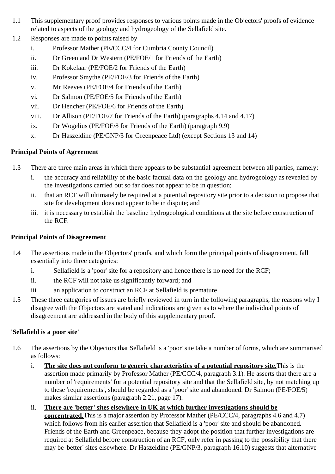- 1.1 This supplementary proof provides responses to various points made in the Objectors' proofs of evidence related to aspects of the geology and hydrogeology of the Sellafield site.
- 1.2 Responses are made to points raised by
	- i. Professor Mather (PE/CCC/4 for Cumbria County Council)
	- ii. Dr Green and Dr Western (PE/FOE/1 for Friends of the Earth)
	- iii. Dr Kokelaar (PE/FOE/2 for Friends of the Earth)
	- iv. Professor Smythe (PE/FOE/3 for Friends of the Earth)
	- v. Mr Reeves (PE/FOE/4 for Friends of the Earth)
	- vi. Dr Salmon (PE/FOE/5 for Friends of the Earth)
	- vii. Dr Hencher (PE/FOE/6 for Friends of the Earth)
	- viii. Dr Allison (PE/FOE/7 for Friends of the Earth) (paragraphs 4.14 and 4.17)
	- ix. Dr Wogelius (PE/FOE/8 for Friends of the Earth) (paragraph 9.9)
	- x. Dr Haszeldine (PE/GNP/3 for Greenpeace Ltd) (except Sections 13 and 14)

# **Principal Points of Agreement**

- 1.3 There are three main areas in which there appears to be substantial agreement between all parties, namely:
	- i. the accuracy and reliability of the basic factual data on the geology and hydrogeology as revealed by the investigations carried out so far does not appear to be in question;
	- ii. that an RCF will ultimately be required at a potential repository site prior to a decision to propose that site for development does not appear to be in dispute; and
	- iii. it is necessary to establish the baseline hydrogeological conditions at the site before construction of the RCF.

# **Principal Points of Disagreement**

- 1.4 The assertions made in the Objectors' proofs, and which form the principal points of disagreement, fall essentially into three categories:
	- i. Sellafield is a 'poor' site for a repository and hence there is no need for the RCF;
	- ii. the RCF will not take us significantly forward; and
	- iii. an application to construct an RCF at Sellafield is premature.
- 1.5 These three categories of issues are briefly reviewed in turn in the following paragraphs, the reasons why I disagree with the Objectors are stated and indications are given as to where the individual points of disagreement are addressed in the body of this supplementary proof.

# **'Sellafield is a poor site'**

- 1.6 The assertions by the Objectors that Sellafield is a 'poor' site take a number of forms, which are summarised as follows:
	- i. **The site does not conform to generic characteristics of a potential repository site.**This is the assertion made primarily by Professor Mather (PE/CCC/4, paragraph 3.1). He asserts that there are a number of 'requirements' for a potential repository site and that the Sellafield site, by not matching up to these 'requirements', should be regarded as a 'poor' site and abandoned. Dr Salmon (PE/FOE/5) makes similar assertions (paragraph 2.21, page 17).
	- ii. **There are 'better' sites elsewhere in UK at which further investigations should be concentrated.**This is a major assertion by Professor Mather (PE/CCC/4, paragraphs 4.6 and 4.7) which follows from his earlier assertion that Sellafield is a 'poor' site and should be abandoned. Friends of the Earth and Greenpeace, because they adopt the position that further investigations are required at Sellafield before construction of an RCF, only refer in passing to the possibility that there may be 'better' sites elsewhere. Dr Haszeldine (PE/GNP/3, paragraph 16.10) suggests that alternative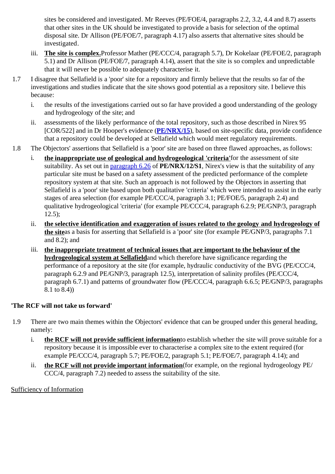sites be considered and investigated. Mr Reeves (PE/FOE/4, paragraphs 2.2, 3.2, 4.4 and 8.7) asserts that other sites in the UK should be investigated to provide a basis for selection of the optimal disposal site. Dr Allison (PE/FOE/7, paragraph 4.17) also asserts that alternative sites should be investigated.

- iii. **The site is complex.**Professor Mather (PE/CCC/4, paragraph 5.7), Dr Kokelaar (PE/FOE/2, paragraph 5.1) and Dr Allison (PE/FOE/7, paragraph 4.14), assert that the site is so complex and unpredictable that it will never be possible to adequately characterise it.
- 1.7 I disagree that Sellafield is a 'poor' site for a repository and firmly believe that the results so far of the investigations and studies indicate that the site shows good potential as a repository site. I believe this because:
	- i. the results of the investigations carried out so far have provided a good understanding of the geology and hydrogeology of the site; and
	- ii. assessments of the likely performance of the total repository, such as those described in Nirex 95 [COR/522] and in Dr Hooper's evidence (**PE/NRX/15**), based on site-specific data, provide confidence that a repository could be developed at Sellafield which would meet regulatory requirements.
- 1.8 The Objectors' assertions that Sellafield is a 'poor' site are based on three flawed approaches, as follows:
	- i. **the inappropriate use of geological and hydrogeological 'criteria'**for the assessment of site suitability. As set out in paragraph 6.26 of **PE/NRX/12/S1**, Nirex's view is that the suitability of any particular site must be based on a safety assessment of the predicted performance of the complete repository system at that site. Such an approach is not followed by the Objectors in asserting that Sellafield is a 'poor' site based upon both qualitative 'criteria' which were intended to assist in the early stages of area selection (for example PE/CCC/4, paragraph 3.1; PE/FOE/5, paragraph 2.4) and qualitative hydrogeological 'criteria' (for example PE/CCC/4, paragraph 6.2.9; PE/GNP/3, paragraph  $12.5$ ;
	- ii. **the selective identification and exaggeration of issues related to the geology and hydrogeology of the site**as a basis for asserting that Sellafield is a 'poor' site (for example PE/GNP/3, paragraphs 7.1 and 8.2); and
	- iii. **the inappropriate treatment of technical issues that are important to the behaviour of the hydrogeological system at Sellafield**and which therefore have significance regarding the performance of a repository at the site (for example, hydraulic conductivity of the BVG (PE/CCC/4, paragraph 6.2.9 and PE/GNP/3, paragraph 12.5), interpretation of salinity profiles (PE/CCC/4, paragraph 6.7.1) and patterns of groundwater flow (PE/CCC/4, paragraph 6.6.5; PE/GNP/3, paragraphs 8.1 to 8.4))

# **'The RCF will not take us forward'**

- 1.9 There are two main themes within the Objectors' evidence that can be grouped under this general heading, namely:
	- i. **the RCF will not provide sufficient information**to establish whether the site will prove suitable for a repository because it is impossible ever to characterise a complex site to the extent required (for example PE/CCC/4, paragraph 5.7; PE/FOE/2, paragraph 5.1; PE/FOE/7, paragraph 4.14); and
	- ii. **the RCF will not provide important information**(for example, on the regional hydrogeology PE/ CCC/4, paragraph 7.2) needed to assess the suitability of the site.

Sufficiency of Information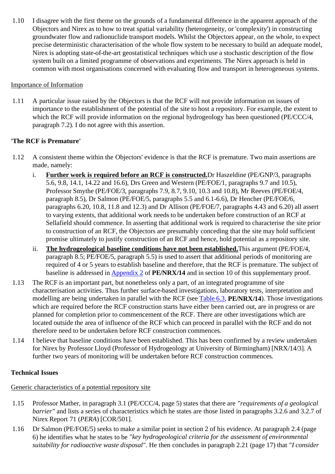1.10 I disagree with the first theme on the grounds of a fundamental difference in the apparent approach of the Objectors and Nirex as to how to treat spatial variability (heterogeneity, or 'complexity') in constructing groundwater flow and radionuclide transport models. Whilst the Objectors appear, on the whole, to expect precise deterministic characterisation of the whole flow system to be necessary to build an adequate model, Nirex is adopting state-of-the-art geostatistical techniques which use a stochastic description of the flow system built on a limited programme of observations and experiments. The Nirex approach is held in common with most organisations concerned with evaluating flow and transport in heterogeneous systems.

## Importance of Information

1.11 A particular issue raised by the Objectors is that the RCF will not provide information on issues of importance to the establishment of the potential of the site to host a repository. For example, the extent to which the RCF will provide information on the regional hydrogeology has been questioned (PE/CCC/4, paragraph 7.2). I do not agree with this assertion.

# **'The RCF is Premature'**

- 1.12 A consistent theme within the Objectors' evidence is that the RCF is premature. Two main assertions are made, namely:
	- i. **Further work is required before an RCF is constructed.**Dr Haszeldine (PE/GNP/3, paragraphs 5.6, 9.8, 14.1, 14.22 and 16.6), Drs Green and Western (PE/FOE/1, paragraphs 9.7 and 10.5), Professor Smythe (PE/FOE/3, paragraphs 7.9, 8.7, 9.10, 10.3 and 10.8), Mr Reeves (PE/FOE/4, paragraph 8.5), Dr Salmon (PE/FOE/5, paragraphs 5.5 and 6.1-6.6), Dr Hencher (PE/FOE/6, paragraphs 6.20, 10.8, 11.8 and 12.3) and Dr Allison (PE/FOE/7, paragraphs 4.43 and 6.20) all assert to varying extents, that additional work needs to be undertaken before construction of an RCF at Sellafield should commence. In asserting that additional work is required to characterise the site prior to construction of an RCF, the Objectors are presumably conceding that the site may hold sufficient promise ultimately to justify construction of an RCF and hence, hold potential as a repository site.
	- ii. **The hydrogeological baseline conditions have not been established.**This argument (PE/FOE/4, paragraph 8.5; PE/FOE/5, paragraph 5.5) is used to assert that additional periods of monitoring are required of 4 or 5 years to establish baseline and therefore, that the RCF is premature. The subject of baseline is addressed in Appendix 2 of **PE/NRX/14** and in section 10 of this supplementary proof.
- 1.13 The RCF is an important part, but nonetheless only a part, of an integrated programme of site characterisation activities. Thus further surface-based investigations, laboratory tests, interpretation and modelling are being undertaken in parallel with the RCF (see Table 6.3, **PE/NRX/14**). Those investigations which are required before the RCF construction starts have either been carried out, are in progress or are planned for completion prior to commencement of the RCF. There are other investigations which are located outside the area of influence of the RCF which can proceed in parallel with the RCF and do not therefore need to be undertaken before RCF construction commences.
- 1.14 I believe that baseline conditions have been established. This has been confirmed by a review undertaken for Nirex by Professor Lloyd (Professor of Hydrogeology at University of Birmingham) [NRX/14/3]. A further two years of monitoring will be undertaken before RCF construction commences.

## **Technical Issues**

Generic characteristics of a potential repository site

- 1.15 Professor Mather, in paragraph 3.1 (PE/CCC/4, page 5) states that there are *"requirements of a geological barrier"* and lists a series of characteristics which he states are those listed in paragraphs 3.2.6 and 3.2.7 of Nirex Report 71 (*PERA*) [COR/501].
- 1.16 Dr Salmon (PE/FOE/5) seeks to make a similar point in section 2 of his evidence. At paragraph 2.4 (page 6) he identifies what he states to be *"key hydrogeological criteria for the assessment of environmental suitability for radioactive waste disposal"*. He then concludes in paragraph 2.21 (page 17) that *"I consider*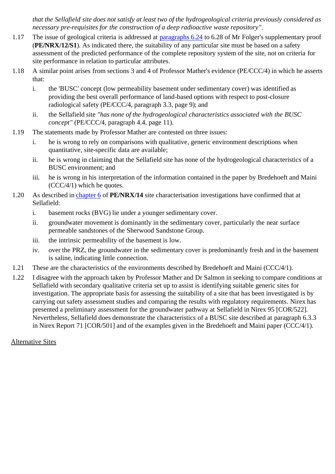*that the Sellafield site does not satisfy at least two of the hydrogeological criteria previously considered as necessary pre-requisites for the construction of a deep radioactive waste repository"*.

- 1.17 The issue of geological criteria is addressed at paragraphs 6.24 to 6.28 of Mr Folger's supplementary proof (**PE/NRX/12/S1**). As indicated there, the suitability of any particular site must be based on a safety assessment of the predicted performance of the complete repository system of the site, not on criteria for site performance in relation to particular attributes.
- 1.18 A similar point arises from sections 3 and 4 of Professor Mather's evidence (PE/CCC/4) in which he asserts that:
	- i. the 'BUSC' concept (low permeability basement under sedimentary cover) was identified as providing the best overall performance of land-based options with respect to post-closure radiological safety (PE/CCC/4, paragraph 3.3, page 9); and
	- ii. the Sellafield site *"has none of the hydrogeological characteristics associated with the BUSC concept"* (PE/CCC/4, paragraph 4.4, page 11).
- 1.19 The statements made by Professor Mather are contested on three issues:
	- i. he is wrong to rely on comparisons with qualitative, generic environment descriptions when quantitative, site-specific data are available;
	- ii. he is wrong in claiming that the Sellafield site has none of the hydrogeological characteristics of a BUSC environment; and
	- iii. he is wrong in his interpretation of the information contained in the paper by Bredehoeft and Maini (CCC/4/1) which he quotes.
- 1.20 As described in chapter 6 of **PE/NRX/14** site characterisation investigations have confirmed that at Sellafield:
	- i. basement rocks (BVG) lie under a younger sedimentary cover.
	- ii. groundwater movement is dominantly in the sedimentary cover, particularly the near surface permeable sandstones of the Sherwood Sandstone Group.
	- iii. the intrinsic permeability of the basement is low.
	- iv. over the PRZ, the groundwater in the sedimentary cover is predominantly fresh and in the basement is saline, indicating little connection.
- 1.21 These are the characteristics of the environments described by Bredehoeft and Maini (CCC/4/1).
- 1.22 I disagree with the approach taken by Professor Mather and Dr Salmon in seeking to compare conditions at Sellafield with secondary qualitative criteria set up to assist is identifying suitable generic sites for investigation. The appropriate basis for assessing the suitability of a site that has been investigated is by carrying out safety assessment studies and comparing the results with regulatory requirements. Nirex has presented a preliminary assessment for the groundwater pathway at Sellafield in Nirex 95 [COR/522]. Nevertheless, Sellafield does demonstrate the characteristics of a BUSC site described at paragraph 6.3.3 in Nirex Report 71 [COR/501] and of the examples given in the Bredehoeft and Maini paper (CCC/4/1).

## Alternative Sites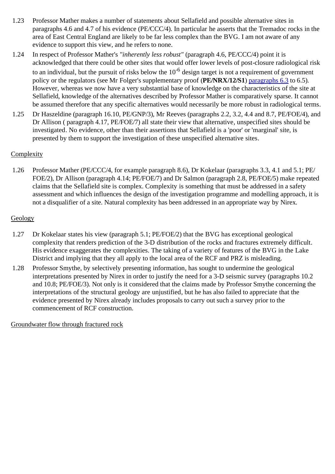- 1.23 Professor Mather makes a number of statements about Sellafield and possible alternative sites in paragraphs 4.6 and 4.7 of his evidence (PE/CCC/4). In particular he asserts that the Tremadoc rocks in the area of East Central England are likely to be far less complex than the BVG. I am not aware of any evidence to support this view, and he refers to none.
- 1.24 In respect of Professor Mather's *"inherently less robust"* (paragraph 4.6, PE/CCC/4) point it is acknowledged that there could be other sites that would offer lower levels of post-closure radiological risk to an individual, but the pursuit of risks below the  $10^{-6}$  design target is not a requirement of government policy or the regulators (see Mr Folger's supplementary proof (**PE/NRX/12/S1**) paragraphs 6.3 to 6.5). However, whereas we now have a very substantial base of knowledge on the characteristics of the site at Sellafield, knowledge of the alternatives described by Professor Mather is comparatively sparse. It cannot be assumed therefore that any specific alternatives would necessarily be more robust in radiological terms.
- 1.25 Dr Haszeldine (paragraph 16.10, PE/GNP/3), Mr Reeves (paragraphs 2.2, 3.2, 4.4 and 8.7, PE/FOE/4), and Dr Allison ( paragraph 4.17, PE/FOE/7) all state their view that alternative, unspecified sites should be investigated. No evidence, other than their assertions that Sellafield is a 'poor' or 'marginal' site, is presented by them to support the investigation of these unspecified alternative sites.

# **Complexity**

1.26 Professor Mather (PE/CCC/4, for example paragraph 8.6), Dr Kokelaar (paragraphs 3.3, 4.1 and 5.1; PE/ FOE/2), Dr Allison (paragraph 4.14; PE/FOE/7) and Dr Salmon (paragraph 2.8, PE/FOE/5) make repeated claims that the Sellafield site is complex. Complexity is something that must be addressed in a safety assessment and which influences the design of the investigation programme and modelling approach, it is not a disqualifier of a site. Natural complexity has been addressed in an appropriate way by Nirex.

# **Geology**

- 1.27 Dr Kokelaar states his view (paragraph 5.1; PE/FOE/2) that the BVG has exceptional geological complexity that renders prediction of the 3-D distribution of the rocks and fractures extremely difficult. His evidence exaggerates the complexities. The taking of a variety of features of the BVG in the Lake District and implying that they all apply to the local area of the RCF and PRZ is misleading.
- 1.28 Professor Smythe, by selectively presenting information, has sought to undermine the geological interpretations presented by Nirex in order to justify the need for a 3-D seismic survey (paragraphs 10.2 and 10.8; PE/FOE/3). Not only is it considered that the claims made by Professor Smythe concerning the interpretations of the structural geology are unjustified, but he has also failed to appreciate that the evidence presented by Nirex already includes proposals to carry out such a survey prior to the commencement of RCF construction.

Groundwater flow through fractured rock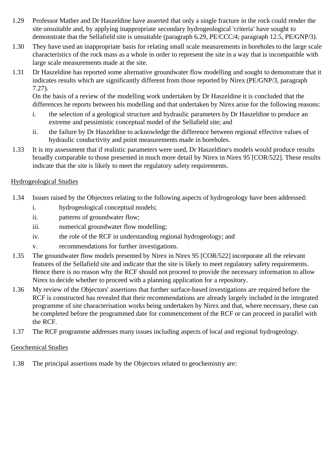- 1.29 Professor Mather and Dr Haszeldine have asserted that only a single fracture in the rock could render the site unsuitable and, by applying inappropriate secondary hydrogeological 'criteria' have sought to demonstrate that the Sellafield site is unsuitable (paragraph 6.29, PE/CCC/4; paragraph 12.5, PE/GNP/3).
- 1.30 They have used an inappropriate basis for relating small scale measurements in boreholes to the large scale characteristics of the rock mass as a whole in order to represent the site in a way that is incompatible with large scale measurements made at the site.
- 1.31 Dr Haszeldine has reported some alternative groundwater flow modelling and sought to demonstrate that it indicates results which are significantly different from those reported by Nirex (PE/GNP/3, paragraph 7.27).

On the basis of a review of the modelling work undertaken by Dr Haszeldine it is concluded that the differences he reports between his modelling and that undertaken by Nirex arise for the following reasons:

- i. the selection of a geological structure and hydraulic parameters by Dr Haszeldine to produce an extreme and pessimistic conceptual model of the Sellafield site; and
- ii. the failure by Dr Haszeldine to acknowledge the difference between regional effective values of hydraulic conductivity and point measurements made in boreholes.
- 1.33 It is my assessment that if realistic parameters were used, Dr Haszeldine's models would produce results broadly comparable to those presented in much more detail by Nirex in Nirex 95 [COR/522]. These results indicate that the site is likely to meet the regulatory safety requirements.

## Hydrogeological Studies

- 1.34 Issues raised by the Objectors relating to the following aspects of hydrogeology have been addressed:
	- i. hydrogeological conceptual models;
	- ii. patterns of groundwater flow;
	- iii. numerical groundwater flow modelling;
	- iv. the role of the RCF in understanding regional hydrogeology; and
	- v. recommendations for further investigations.
- 1.35 The groundwater flow models presented by Nirex in Nirex 95 [COR/522] incorporate all the relevant features of the Sellafield site and indicate that the site is likely to meet regulatory safety requirements. Hence there is no reason why the RCF should not proceed to provide the necessary information to allow Nirex to decide whether to proceed with a planning application for a repository.
- 1.36 My review of the Objectors' assertions that further surface-based investigations are required before the RCF is constructed has revealed that their recommendations are already largely included in the integrated programme of site characterisation works being undertaken by Nirex and that, where necessary, these can be completed before the programmed date for commencement of the RCF or can proceed in parallel with the RCF.
- 1.37 The RCF programme addresses many issues including aspects of local and regional hydrogeology.

## Geochemical Studies

1.38 The principal assertions made by the Objectors related to geochemistry are: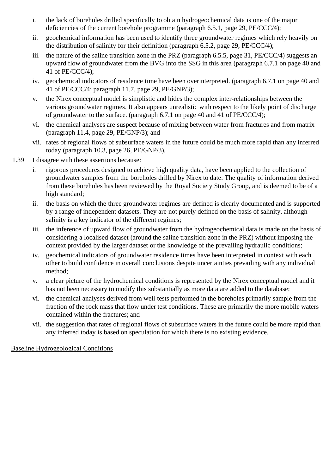- i. the lack of boreholes drilled specifically to obtain hydrogeochemical data is one of the major deficiencies of the current borehole programme (paragraph 6.5.1, page 29, PE/CCC/4);
- ii. geochemical information has been used to identify three groundwater regimes which rely heavily on the distribution of salinity for their definition (paragraph 6.5.2, page 29, PE/CCC/4);
- iii. the nature of the saline transition zone in the PRZ (paragraph 6.5.5, page 31, PE/CCC/4) suggests an upward flow of groundwater from the BVG into the SSG in this area (paragraph 6.7.1 on page 40 and 41 of PE/CCC/4);
- iv. geochemical indicators of residence time have been overinterpreted. (paragraph 6.7.1 on page 40 and 41 of PE/CCC/4; paragraph 11.7, page 29, PE/GNP/3);
- v. the Nirex conceptual model is simplistic and hides the complex inter-relationships between the various groundwater regimes. It also appears unrealistic with respect to the likely point of discharge of groundwater to the surface. (paragraph 6.7.1 on page 40 and 41 of PE/CCC/4);
- vi. the chemical analyses are suspect because of mixing between water from fractures and from matrix (paragraph 11.4, page 29, PE/GNP/3); and
- vii. rates of regional flows of subsurface waters in the future could be much more rapid than any inferred today (paragraph 10.3, page 26, PE/GNP/3).
- 1.39 I disagree with these assertions because:
	- i. rigorous procedures designed to achieve high quality data, have been applied to the collection of groundwater samples from the boreholes drilled by Nirex to date. The quality of information derived from these boreholes has been reviewed by the Royal Society Study Group, and is deemed to be of a high standard;
	- ii. the basis on which the three groundwater regimes are defined is clearly documented and is supported by a range of independent datasets. They are not purely defined on the basis of salinity, although salinity is a key indicator of the different regimes;
	- iii. the inference of upward flow of groundwater from the hydrogeochemical data is made on the basis of considering a localised dataset (around the saline transition zone in the PRZ) without imposing the context provided by the larger dataset or the knowledge of the prevailing hydraulic conditions;
	- iv. geochemical indicators of groundwater residence times have been interpreted in context with each other to build confidence in overall conclusions despite uncertainties prevailing with any individual method;
	- v. a clear picture of the hydrochemical conditions is represented by the Nirex conceptual model and it has not been necessary to modify this substantially as more data are added to the database;
	- vi. the chemical analyses derived from well tests performed in the boreholes primarily sample from the fraction of the rock mass that flow under test conditions. These are primarily the more mobile waters contained within the fractures; and
	- vii. the suggestion that rates of regional flows of subsurface waters in the future could be more rapid than any inferred today is based on speculation for which there is no existing evidence.

Baseline Hydrogeological Conditions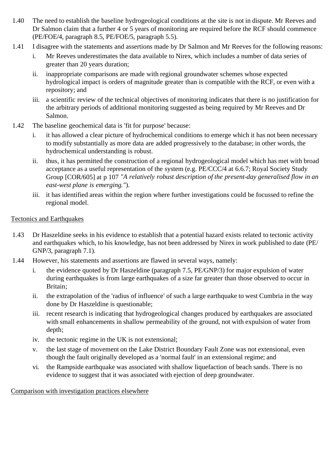- 1.40 The need to establish the baseline hydrogeological conditions at the site is not in dispute. Mr Reeves and Dr Salmon claim that a further 4 or 5 years of monitoring are required before the RCF should commence (PE/FOE/4, paragraph 8.5, PE/FOE/5, paragraph 5.5).
- 1.41 I disagree with the statements and assertions made by Dr Salmon and Mr Reeves for the following reasons:
	- i. Mr Reeves underestimates the data available to Nirex, which includes a number of data series of greater than 20 years duration;
	- ii. inappropriate comparisons are made with regional groundwater schemes whose expected hydrological impact is orders of magnitude greater than is compatible with the RCF, or even with a repository; and
	- iii. a scientific review of the technical objectives of monitoring indicates that there is no justification for the arbitrary periods of additional monitoring suggested as being required by Mr Reeves and Dr Salmon.
- 1.42 The baseline geochemical data is 'fit for purpose' because:
	- i. it has allowed a clear picture of hydrochemical conditions to emerge which it has not been necessary to modify substantially as more data are added progressively to the database; in other words, the hydrochemical understanding is robust.
	- ii. thus, it has permitted the construction of a regional hydrogeological model which has met with broad acceptance as a useful representation of the system (e.g. PE/CCC/4 at 6.6.7; Royal Society Study Group [COR/605] at p 107 *"A relatively robust description of the present-day generalised flow in an east-west plane is emerging."*).
	- iii. it has identified areas within the region where further investigations could be focussed to refine the regional model.

## Tectonics and Earthquakes

- 1.43 Dr Haszeldine seeks in his evidence to establish that a potential hazard exists related to tectonic activity and earthquakes which, to his knowledge, has not been addressed by Nirex in work published to date (PE/ GNP/3, paragraph 7.1).
- 1.44 However, his statements and assertions are flawed in several ways, namely:
	- i. the evidence quoted by Dr Haszeldine (paragraph 7.5, PE/GNP/3) for major expulsion of water during earthquakes is from large earthquakes of a size far greater than those observed to occur in Britain;
	- ii. the extrapolation of the 'radius of influence' of such a large earthquake to west Cumbria in the way done by Dr Haszeldine is questionable;
	- iii. recent research is indicating that hydrogeological changes produced by earthquakes are associated with small enhancements in shallow permeability of the ground, not with expulsion of water from depth;
	- iv. the tectonic regime in the UK is not extensional;
	- v. the last stage of movement on the Lake District Boundary Fault Zone was not extensional, even though the fault originally developed as a 'normal fault' in an extensional regime; and
	- vi. the Rampside earthquake was associated with shallow liquefaction of beach sands. There is no evidence to suggest that it was associated with ejection of deep groundwater.

Comparison with investigation practices elsewhere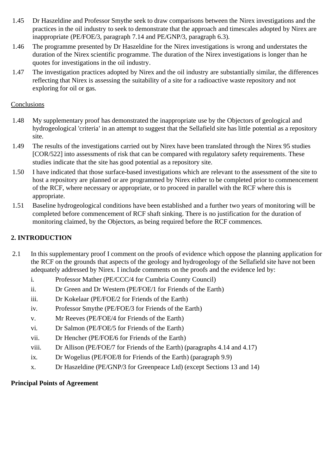- 1.45 Dr Haszeldine and Professor Smythe seek to draw comparisons between the Nirex investigations and the practices in the oil industry to seek to demonstrate that the approach and timescales adopted by Nirex are inappropriate (PE/FOE/3, paragraph 7.14 and PE/GNP/3, paragraph 6.3).
- 1.46 The programme presented by Dr Haszeldine for the Nirex investigations is wrong and understates the duration of the Nirex scientific programme. The duration of the Nirex investigations is longer than he quotes for investigations in the oil industry.
- 1.47 The investigation practices adopted by Nirex and the oil industry are substantially similar, the differences reflecting that Nirex is assessing the suitability of a site for a radioactive waste repository and not exploring for oil or gas.

## Conclusions

- 1.48 My supplementary proof has demonstrated the inappropriate use by the Objectors of geological and hydrogeological 'criteria' in an attempt to suggest that the Sellafield site has little potential as a repository site.
- 1.49 The results of the investigations carried out by Nirex have been translated through the Nirex 95 studies [COR/522] into assessments of risk that can be compared with regulatory safety requirements. These studies indicate that the site has good potential as a repository site.
- 1.50 I have indicated that those surface-based investigations which are relevant to the assessment of the site to host a repository are planned or are programmed by Nirex either to be completed prior to commencement of the RCF, where necessary or appropriate, or to proceed in parallel with the RCF where this is appropriate.
- 1.51 Baseline hydrogeological conditions have been established and a further two years of monitoring will be completed before commencement of RCF shaft sinking. There is no justification for the duration of monitoring claimed, by the Objectors, as being required before the RCF commences.

# **2. INTRODUCTION**

- 2.1 In this supplementary proof I comment on the proofs of evidence which oppose the planning application for the RCF on the grounds that aspects of the geology and hydrogeology of the Sellafield site have not been adequately addressed by Nirex. I include comments on the proofs and the evidence led by:
	- i. Professor Mather (PE/CCC/4 for Cumbria County Council)
	- ii. Dr Green and Dr Western (PE/FOE/1 for Friends of the Earth)
	- iii. Dr Kokelaar (PE/FOE/2 for Friends of the Earth)
	- iv. Professor Smythe (PE/FOE/3 for Friends of the Earth)
	- v. Mr Reeves (PE/FOE/4 for Friends of the Earth)
	- vi. Dr Salmon (PE/FOE/5 for Friends of the Earth)
	- vii. Dr Hencher (PE/FOE/6 for Friends of the Earth)
	- viii. Dr Allison (PE/FOE/7 for Friends of the Earth) (paragraphs 4.14 and 4.17)
	- ix. Dr Wogelius (PE/FOE/8 for Friends of the Earth) (paragraph 9.9)
	- x. Dr Haszeldine (PE/GNP/3 for Greenpeace Ltd) (except Sections 13 and 14)

# **Principal Points of Agreement**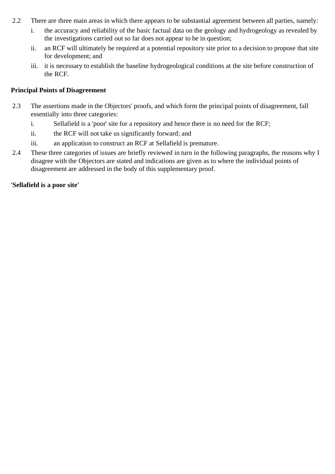- 2.2 There are three main areas in which there appears to be substantial agreement between all parties, namely:
	- i. the accuracy and reliability of the basic factual data on the geology and hydrogeology as revealed by the investigations carried out so far does not appear to be in question;
	- ii. an RCF will ultimately be required at a potential repository site prior to a decision to propose that site for development; and
	- iii. it is necessary to establish the baseline hydrogeological conditions at the site before construction of the RCF.

## **Principal Points of Disagreement**

- 2.3 The assertions made in the Objectors' proofs, and which form the principal points of disagreement, fall essentially into three categories:
	- i. Sellafield is a 'poor' site for a repository and hence there is no need for the RCF;
	- ii. the RCF will not take us significantly forward; and
	- iii. an application to construct an RCF at Sellafield is premature.
- 2.4 These three categories of issues are briefly reviewed in turn in the following paragraphs, the reasons why I disagree with the Objectors are stated and indications are given as to where the individual points of disagreement are addressed in the body of this supplementary proof.

## **'Sellafield is a poor site'**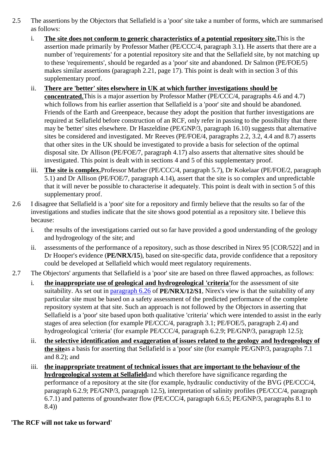- 2.5 The assertions by the Objectors that Sellafield is a 'poor' site take a number of forms, which are summarised as follows:
	- i. **The site does not conform to generic characteristics of a potential repository site.**This is the assertion made primarily by Professor Mather (PE/CCC/4, paragraph 3.1). He asserts that there are a number of 'requirements' for a potential repository site and that the Sellafield site, by not matching up to these 'requirements', should be regarded as a 'poor' site and abandoned. Dr Salmon (PE/FOE/5) makes similar assertions (paragraph 2.21, page 17). This point is dealt with in section 3 of this supplementary proof.
	- ii. **There are 'better' sites elsewhere in UK at which further investigations should be concentrated.**This is a major assertion by Professor Mather (PE/CCC/4, paragraphs 4.6 and 4.7) which follows from his earlier assertion that Sellafield is a 'poor' site and should be abandoned. Friends of the Earth and Greenpeace, because they adopt the position that further investigations are required at Sellafield before construction of an RCF, only refer in passing to the possibility that there may be 'better' sites elsewhere. Dr Haszeldine (PE/GNP/3, paragraph 16.10) suggests that alternative sites be considered and investigated. Mr Reeves (PE/FOE/4, paragraphs 2.2, 3.2, 4.4 and 8.7) asserts that other sites in the UK should be investigated to provide a basis for selection of the optimal disposal site. Dr Allison (PE/FOE/7, paragraph 4.17) also asserts that alternative sites should be investigated. This point is dealt with in sections 4 and 5 of this supplementary proof.
	- iii. **The site is complex.**Professor Mather (PE/CCC/4, paragraph 5.7), Dr Kokelaar (PE/FOE/2, paragraph 5.1) and Dr Allison (PE/FOE/7, paragraph 4.14), assert that the site is so complex and unpredictable that it will never be possible to characterise it adequately. This point is dealt with in section 5 of this supplementary proof.
- 2.6 I disagree that Sellafield is a 'poor' site for a repository and firmly believe that the results so far of the investigations and studies indicate that the site shows good potential as a repository site. I believe this because:
	- i. the results of the investigations carried out so far have provided a good understanding of the geology and hydrogeology of the site; and
	- ii. assessments of the performance of a repository, such as those described in Nirex 95 [COR/522] and in Dr Hooper's evidence (**PE/NRX/15**), based on site-specific data, provide confidence that a repository could be developed at Sellafield which would meet regulatory requirements.
- 2.7 The Objectors' arguments that Sellafield is a 'poor' site are based on three flawed approaches, as follows:
	- i. **the inappropriate use of geological and hydrogeological 'criteria'**for the assessment of site suitability. As set out in paragraph 6.26 of **PE/NRX/12/S1**, Nirex's view is that the suitability of any particular site must be based on a safety assessment of the predicted performance of the complete repository system at that site. Such an approach is not followed by the Objectors in asserting that Sellafield is a 'poor' site based upon both qualitative 'criteria' which were intended to assist in the early stages of area selection (for example PE/CCC/4, paragraph 3.1; PE/FOE/5, paragraph 2.4) and hydrogeological 'criteria' (for example PE/CCC/4, paragraph 6.2.9; PE/GNP/3, paragraph 12.5);
	- ii. **the selective identification and exaggeration of issues related to the geology and hydrogeology of the site**as a basis for asserting that Sellafield is a 'poor' site (for example PE/GNP/3, paragraphs 7.1 and 8.2); and
	- iii. **the inappropriate treatment of technical issues that are important to the behaviour of the hydrogeological system at Sellafield**and which therefore have significance regarding the performance of a repository at the site (for example, hydraulic conductivity of the BVG (PE/CCC/4, paragraph 6.2.9; PE/GNP/3, paragraph 12.5), interpretation of salinity profiles (PE/CCC/4, paragraph 6.7.1) and patterns of groundwater flow (PE/CCC/4, paragraph 6.6.5; PE/GNP/3, paragraphs 8.1 to 8.4))

# **'The RCF will not take us forward'**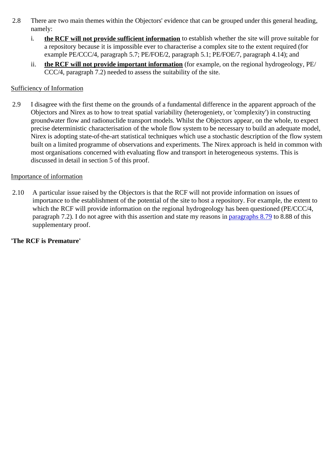- 2.8 There are two main themes within the Objectors' evidence that can be grouped under this general heading, namely:
	- i. **the RCF will not provide sufficient information** to establish whether the site will prove suitable for a repository because it is impossible ever to characterise a complex site to the extent required (for example PE/CCC/4, paragraph 5.7; PE/FOE/2, paragraph 5.1; PE/FOE/7, paragraph 4.14); and
	- ii. **the RCF will not provide important information** (for example, on the regional hydrogeology, PE/ CCC/4, paragraph 7.2) needed to assess the suitability of the site.

## Sufficiency of Information

2.9 I disagree with the first theme on the grounds of a fundamental difference in the apparent approach of the Objectors and Nirex as to how to treat spatial variability (heterogeniety, or 'complexity') in constructing groundwater flow and radionuclide transport models. Whilst the Objectors appear, on the whole, to expect precise deterministic characterisation of the whole flow system to be necessary to build an adequate model, Nirex is adopting state-of-the-art statistical techniques which use a stochastic description of the flow system built on a limited programme of observations and experiments. The Nirex approach is held in common with most organisations concerned with evaluating flow and transport in heterogeneous systems. This is discussed in detail in section 5 of this proof.

## Importance of information

2.10 A particular issue raised by the Objectors is that the RCF will not provide information on issues of importance to the establishment of the potential of the site to host a repository. For example, the extent to which the RCF will provide information on the regional hydrogeology has been questioned (PE/CCC/4, paragraph 7.2). I do not agree with this assertion and state my reasons in paragraphs 8.79 to 8.88 of this supplementary proof.

## **'The RCF is Premature'**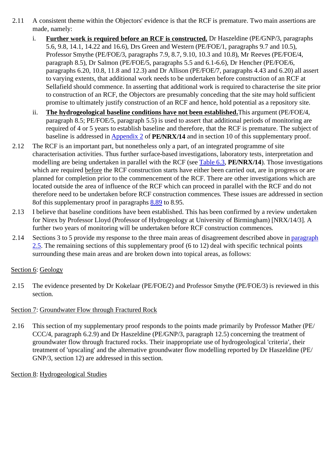- 2.11 A consistent theme within the Objectors' evidence is that the RCF is premature. Two main assertions are made, namely:
	- i. **Further work is required before an RCF is constructed.** Dr Haszeldine (PE/GNP/3, paragraphs 5.6, 9.8, 14.1, 14.22 and 16.6), Drs Green and Western (PE/FOE/1, paragraphs 9.7 and 10.5), Professor Smythe (PE/FOE/3, paragraphs 7.9, 8.7, 9.10, 10.3 and 10.8), Mr Reeves (PE/FOE/4, paragraph 8.5), Dr Salmon (PE/FOE/5, paragraphs 5.5 and 6.1-6.6), Dr Hencher (PE/FOE/6, paragraphs 6.20, 10.8, 11.8 and 12.3) and Dr Allison (PE/FOE/7, paragraphs 4.43 and 6.20) all assert to varying extents, that additional work needs to be undertaken before construction of an RCF at Sellafield should commence. In asserting that additional work is required to characterise the site prior to construction of an RCF, the Objectors are presumably conceding that the site may hold sufficient promise to ultimately justify construction of an RCF and hence, hold potential as a repository site.
	- ii. **The hydrogeological baseline conditions have not been established.**This argument (PE/FOE/4, paragraph 8.5; PE/FOE/5, paragraph 5.5) is used to assert that additional periods of monitoring are required of 4 or 5 years to establish baseline and therefore, that the RCF is premature. The subject of baseline is addressed in Appendix 2 of **PE/NRX/14** and in section 10 of this supplementary proof.
- 2.12 The RCF is an important part, but nonetheless only a part, of an integrated programme of site characterisation activities. Thus further surface-based investigations, laboratory tests, interpretation and modelling are being undertaken in parallel with the RCF (see Table 6.3, **PE/NRX/14**). Those investigations which are required before the RCF construction starts have either been carried out, are in progress or are planned for completion prior to the commencement of the RCF. There are other investigations which are located outside the area of influence of the RCF which can proceed in parallel with the RCF and do not therefore need to be undertaken before RCF construction commences. These issues are addressed in section 8of this supplementary proof in paragraphs 8.89 to 8.95.
- 2.13 I believe that baseline conditions have been established. This has been confirmed by a review undertaken for Nirex by Professor Lloyd (Professor of Hydrogeology at University of Birmingham) [NRX/14/3]. A further two years of monitoring will be undertaken before RCF construction commences.
- 2.14 Sections 3 to 5 provide my response to the three main areas of disagreement described above in paragraph 2.5. The remaining sections of this supplementary proof (6 to 12) deal with specific technical points surrounding these main areas and are broken down into topical areas, as follows:

# Section 6: Geology

2.15 The evidence presented by Dr Kokelaar (PE/FOE/2) and Professor Smythe (PE/FOE/3) is reviewed in this section.

## Section 7: Groundwater Flow through Fractured Rock

2.16 This section of my supplementary proof responds to the points made primarily by Professor Mather (PE/ CCC/4, paragraph 6.2.9) and Dr Haszeldine (PE/GNP/3, paragraph 12.5) concerning the treatment of groundwater flow through fractured rocks. Their inappropriate use of hydrogeological 'criteria', their treatment of 'upscaling' and the alternative groundwater flow modelling reported by Dr Haszeldine (PE/ GNP/3, section 12) are addressed in this section.

Section 8: Hydrogeological Studies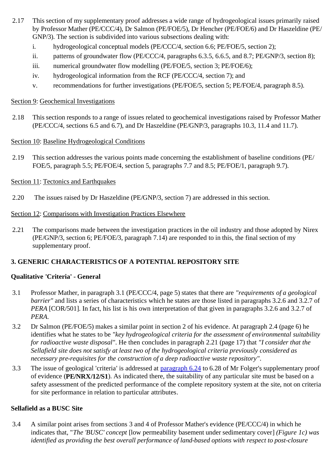- 2.17 This section of my supplementary proof addresses a wide range of hydrogeological issues primarily raised by Professor Mather (PE/CCC/4), Dr Salmon (PE/FOE/5), Dr Hencher (PE/FOE/6) and Dr Haszeldine (PE/ GNP/3). The section is subdivided into various subsections dealing with:
	- i. hydrogeological conceptual models (PE/CCC/4, section 6.6; PE/FOE/5, section 2);
	- ii. patterns of groundwater flow (PE/CCC/4, paragraphs 6.3.5, 6.6.5, and 8.7; PE/GNP/3, section 8);
	- iii. numerical groundwater flow modelling (PE/FOE/5, section 3; PE/FOE/6);
	- iv. hydrogeological information from the RCF (PE/CCC/4, section 7); and
	- v. recommendations for further investigations (PE/FOE/5, section 5; PE/FOE/4, paragraph 8.5).

## Section 9: Geochemical Investigations

2.18 This section responds to a range of issues related to geochemical investigations raised by Professor Mather (PE/CCC/4, sections 6.5 and 6.7), and Dr Haszeldine (PE/GNP/3, paragraphs 10.3, 11.4 and 11.7).

## Section 10: Baseline Hydrogeological Conditions

2.19 This section addresses the various points made concerning the establishment of baseline conditions (PE/ FOE/5, paragraph 5.5; PE/FOE/4, section 5, paragraphs 7.7 and 8.5; PE/FOE/1, paragraph 9.7).

# Section 11: Tectonics and Earthquakes

2.20 The issues raised by Dr Haszeldine (PE/GNP/3, section 7) are addressed in this section.

## Section 12: Comparisons with Investigation Practices Elsewhere

2.21 The comparisons made between the investigation practices in the oil industry and those adopted by Nirex (PE/GNP/3, section 6; PE/FOE/3, paragraph 7.14) are responded to in this, the final section of my supplementary proof.

# **3. GENERIC CHARACTERISTICS OF A POTENTIAL REPOSITORY SITE**

# **Qualitative 'Criteria' - General**

- 3.1 Professor Mather, in paragraph 3.1 (PE/CCC/4, page 5) states that there are *"requirements of a geological barrier"* and lists a series of characteristics which he states are those listed in paragraphs 3.2.6 and 3.2.7 of *PERA* [COR/501]. In fact, his list is his own interpretation of that given in paragraphs 3.2.6 and 3.2.7 of *PERA*.
- 3.2 Dr Salmon (PE/FOE/5) makes a similar point in section 2 of his evidence. At paragraph 2.4 (page 6) he identifies what he states to be *"key hydrogeological criteria for the assessment of environmental suitability for radioactive waste disposal"*. He then concludes in paragraph 2.21 (page 17) that *"I consider that the Sellafield site does not satisfy at least two of the hydrogeological criteria previously considered as necessary pre-requisites for the construction of a deep radioactive waste repository"*.
- 3.3 The issue of geological 'criteria' is addressed at paragraph 6.24 to 6.28 of Mr Folger's supplementary proof of evidence (**PE/NRX/12/S1**). As indicated there, the suitability of any particular site must be based on a safety assessment of the predicted performance of the complete repository system at the site, not on criteria for site performance in relation to particular attributes.

# **Sellafield as a BUSC Site**

3.4 A similar point arises from sections 3 and 4 of Professor Mather's evidence (PE/CCC/4) in which he indicates that, "*The 'BUSC' concept* [low permeability basement under sedimentary cover] *(Figure 1c) was identified as providing the best overall performance of land-based options with respect to post-closure*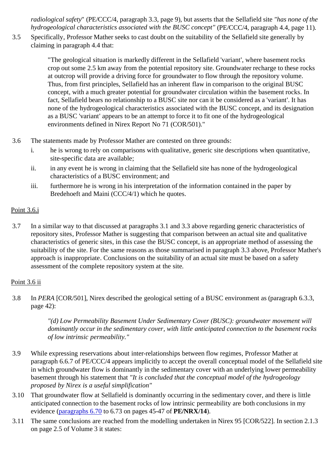*radiological safety*" (PE/CCC/4, paragraph 3.3, page 9), but asserts that the Sellafield site *"has none of the hydrogeological characteristics associated with the BUSC concept"* (PE/CCC/4, paragraph 4.4, page 11).

3.5 Specifically, Professor Mather seeks to cast doubt on the suitability of the Sellafield site generally by claiming in paragraph 4.4 that:

> "The geological situation is markedly different in the Sellafield 'variant', where basement rocks crop out some 2.5 km away from the potential repository site. Groundwater recharge to these rocks at outcrop will provide a driving force for groundwater to flow through the repository volume. Thus, from first principles, Sellafield has an inherent flaw in comparison to the original BUSC concept, with a much greater potential for groundwater circulation within the basement rocks. In fact, Sellafield bears no relationship to a BUSC site nor can it be considered as a 'variant'. It has none of the hydrogeological characteristics associated with the BUSC concept, and its designation as a BUSC 'variant' appears to be an attempt to force it to fit one of the hydrogeological environments defined in Nirex Report No 71 (COR/501)."

- 3.6 The statements made by Professor Mather are contested on three grounds:
	- i. he is wrong to rely on comparisons with qualitative, generic site descriptions when quantitative, site-specific data are available;
	- ii. in any event he is wrong in claiming that the Sellafield site has none of the hydrogeological characteristics of a BUSC environment; and
	- iii. furthermore he is wrong in his interpretation of the information contained in the paper by Bredehoeft and Maini (CCC/4/1) which he quotes.

## Point 3.6.i

3.7 In a similar way to that discussed at paragraphs 3.1 and 3.3 above regarding generic characteristics of repository sites, Professor Mather is suggesting that comparison between an actual site and qualitative characteristics of generic sites, in this case the BUSC concept, is an appropriate method of assessing the suitability of the site. For the same reasons as those summarised in paragraph 3.3 above, Professor Mather's approach is inappropriate. Conclusions on the suitability of an actual site must be based on a safety assessment of the complete repository system at the site.

## Point 3.6 ii

3.8 In *PERA* [COR/501], Nirex described the geological setting of a BUSC environment as (paragraph 6.3.3, page 42):

> *"(d) Low Permeability Basement Under Sedimentary Cover (BUSC): groundwater movement will dominantly occur in the sedimentary cover, with little anticipated connection to the basement rocks of low intrinsic permeability."*

- 3.9 While expressing reservations about inter-relationships between flow regimes, Professor Mather at paragraph 6.6.7 of PE/CCC/4 appears implicitly to accept the overall conceptual model of the Sellafield site in which groundwater flow is dominantly in the sedimentary cover with an underlying lower permeability basement through his statement that *"It is concluded that the conceptual model of the hydrogeology proposed by Nirex is a useful simplification"*
- 3.10 That groundwater flow at Sellafield is dominantly occurring in the sedimentary cover, and there is little anticipated connection to the basement rocks of low intrinsic permeability are both conclusions in my evidence (paragraphs 6.70 to 6.73 on pages 45-47 of **PE/NRX/14**).
- 3.11 The same conclusions are reached from the modelling undertaken in Nirex 95 [COR/522]. In section 2.1.3 on page 2.5 of Volume 3 it states: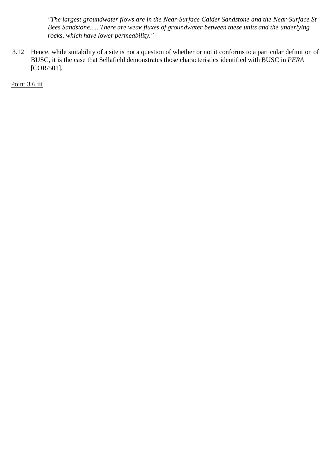*"The largest groundwater flows are in the Near-Surface Calder Sandstone and the Near-Surface St Bees Sandstone......There are weak fluxes of groundwater between these units and the underlying rocks, which have lower permeability."*

3.12 Hence, while suitability of a site is not a question of whether or not it conforms to a particular definition of BUSC, it is the case that Sellafield demonstrates those characteristics identified with BUSC in *PERA* [COR/501].

Point 3.6 iii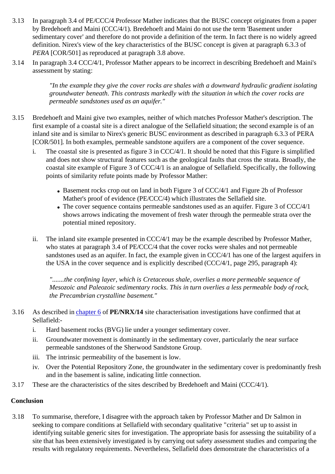- 3.13 In paragraph 3.4 of PE/CCC/4 Professor Mather indicates that the BUSC concept originates from a paper by Bredehoeft and Maini (CCC/4/1). Bredehoeft and Maini do not use the term 'Basement under sedimentary cover' and therefore do not provide a definition of the term. In fact there is no widely agreed definition. Nirex's view of the key characteristics of the BUSC concept is given at paragraph 6.3.3 of *PERA* [COR/501] as reproduced at paragraph 3.8 above.
- 3.14 In paragraph 3.4 CCC/4/1, Professor Mather appears to be incorrect in describing Bredehoeft and Maini's assessment by stating:

*"In the example they give the cover rocks are shales with a downward hydraulic gradient isolating groundwater beneath. This contrasts markedly with the situation in which the cover rocks are permeable sandstones used as an aquifer."*

- 3.15 Bredehoeft and Maini give two examples, neither of which matches Professor Mather's description. The first example of a coastal site is a direct analogue of the Sellafield situation; the second example is of an inland site and is similar to Nirex's generic BUSC environment as described in paragraph 6.3.3 of PERA [COR/501]. In both examples, permeable sandstone aquifers are a component of the cover sequence.
	- i. The coastal site is presented as figure 3 in CCC/4/1. It should be noted that this Figure is simplified and does not show structural features such as the geological faults that cross the strata. Broadly, the coastal site example of Figure 3 of CCC/4/1 is an analogue of Sellafield. Specifically, the following points of similarity refute points made by Professor Mather:
		- Basement rocks crop out on land in both Figure 3 of CCC/4/1 and Figure 2b of Professor Mather's proof of evidence (PE/CCC/4) which illustrates the Sellafield site.
		- The cover sequence contains permeable sandstones used as an aquifer. Figure 3 of CCC/4/1 shows arrows indicating the movement of fresh water through the permeable strata over the potential mined repository.
	- ii. The inland site example presented in CCC/4/1 may be the example described by Professor Mather, who states at paragraph 3.4 of PE/CCC/4 that the cover rocks were shales and not permeable sandstones used as an aquifer. In fact, the example given in CCC/4/1 has one of the largest aquifers in the USA in the cover sequence and is explicitly described (CCC/4/1, page 295, paragraph 4):

*".......the confining layer, which is Cretaceous shale, overlies a more permeable sequence of Mesozoic and Paleozoic sedimentary rocks. This in turn overlies a less permeable body of rock, the Precambrian crystalline basement."*

- 3.16 As described in chapter 6 of **PE/NRX/14** site characterisation investigations have confirmed that at Sellafield:
	- i. Hard basement rocks (BVG) lie under a younger sedimentary cover.
	- ii. Groundwater movement is dominantly in the sedimentary cover, particularly the near surface permeable sandstones of the Sherwood Sandstone Group.
	- iii. The intrinsic permeability of the basement is low.
	- iv. Over the Potential Repository Zone, the groundwater in the sedimentary cover is predominantly fresh and in the basement is saline, indicating little connection.
- 3.17 These are the characteristics of the sites described by Bredehoeft and Maini (CCC/4/1).

## **Conclusion**

3.18 To summarise, therefore, I disagree with the approach taken by Professor Mather and Dr Salmon in seeking to compare conditions at Sellafield with secondary qualitative "criteria" set up to assist in identifying suitable generic sites for investigation. The appropriate basis for assessing the suitability of a site that has been extensively investigated is by carrying out safety assessment studies and comparing the results with regulatory requirements. Nevertheless, Sellafield does demonstrate the characteristics of a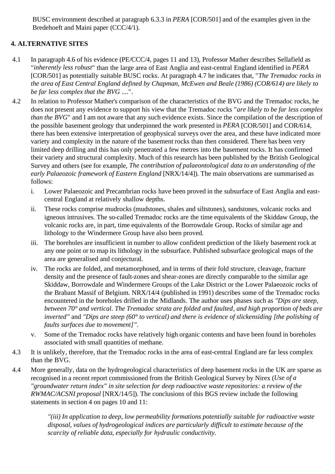BUSC environment described at paragraph 6.3.3 in *PERA* [COR/501] and of the examples given in the Bredehoeft and Maini paper (CCC/4/1).

# **4. ALTERNATIVE SITES**

- 4.1 In paragraph 4.6 of his evidence (PE/CCC/4, pages 11 and 13), Professor Mather describes Sellafield as "*inherently less robust*" than the large area of East Anglia and east-central England identified in *PERA* [COR/501] as potentially suitable BUSC rocks. At paragraph 4.7 he indicates that, "*The Tremadoc rocks in the area of East Central England defined by Chapman, McEwen and Beale (1986) (COR/614) are likely to be far less complex that the BVG* ....".
- 4.2 In relation to Professor Mather's comparison of the characteristics of the BVG and the Tremadoc rocks, he does not present any evidence to support his view that the Tremadoc rocks "*are likely to be far less complex than the BVG*" and I am not aware that any such evidence exists. Since the compilation of the description of the possible basement geology that underpinned the work presented in *PERA* [COR/501] and COR/614, there has been extensive interpretation of geophysical surveys over the area, and these have indicated more variety and complexity in the nature of the basement rocks than then considered. There has been very limited deep drilling and this has only penetrated a few metres into the basement rocks. It has confirmed their variety and structural complexity. Much of this research has been published by the British Geological Survey and others (see for example, *The contribution of palaeontological data to an understanding of the early Palaeozoic framework of Eastern England* [NRX/14/4]). The main observations are summarised as follows:
	- i. Lower Palaeozoic and Precambrian rocks have been proved in the subsurface of East Anglia and eastcentral England at relatively shallow depths.
	- ii. These rocks comprise mudrocks (mudstones, shales and siltstones), sandstones, volcanic rocks and igneous intrusives. The so-called Tremadoc rocks are the time equivalents of the Skiddaw Group, the volcanic rocks are, in part, time equivalents of the Borrowdale Group. Rocks of similar age and lithology to the Windermere Group have also been proved.
	- iii. The boreholes are insufficient in number to allow confident prediction of the likely basement rock at any one point or to map its lithology in the subsurface. Published subsurface geological maps of the area are generalised and conjectural.
	- iv. The rocks are folded, and metamorphosed, and in terms of their fold structure, cleavage, fracture density and the presence of fault-zones and shear-zones are directly comparable to the similar age Skiddaw, Borrowdale and Windermere Groups of the Lake District or the Lower Palaeozoic rocks of the Brabant Massif of Belgium. NRX/14/4 (published in 1991) describes some of the Tremadoc rocks encountered in the boreholes drilled in the Midlands. The author uses phases such as *"Dips are steep, between 70° and vertical. The Tremadoc strata are folded and faulted, and high proportion of beds are inverted"* and *"Dips are steep (60° to vertical) and there is evidence of slickensiding [the polishing of faults surfaces due to movement]"*.
	- v. Some of the Tremadoc rocks have relatively high organic contents and have been found in boreholes associated with small quantities of methane.
- 4.3 It is unlikely, therefore, that the Tremadoc rocks in the area of east-central England are far less complex than the BVG.
- 4.4 More generally, data on the hydrogeological characteristics of deep basement rocks in the UK are sparse as recognised in a recent report commissioned from the British Geological Survey by Nirex (*Use of a "groundwater return index" in site selection for deep radioactive waste repositories: a review of the RWMAC/ACSNI proposal* [NRX/14/5]). The conclusions of this BGS review include the following statements in section 4 on pages 10 and 11:

*"(iii) In application to deep, low permeability formations potentially suitable for radioactive waste disposal, values of hydrogeological indices are particularly difficult to estimate because of the scarcity of reliable data, especially for hydraulic conductivity.*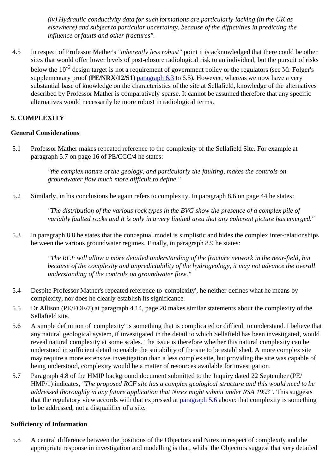*(iv) Hydraulic conductivity data for such formations are particularly lacking (in the UK as elsewhere) and subject to particular uncertainty, because of the difficulties in predicting the influence of faults and other fractures".*

4.5 In respect of Professor Mather's *"inherently less robust"* point it is acknowledged that there could be other sites that would offer lower levels of post-closure radiological risk to an individual, but the pursuit of risks below the 10<sup>-6</sup> design target is not a requirement of government policy or the regulators (see Mr Folger's supplementary proof (**PE/NRX/12/S1**) paragraph 6.3 to 6.5). However, whereas we now have a very substantial base of knowledge on the characteristics of the site at Sellafield, knowledge of the alternatives described by Professor Mather is comparatively sparse. It cannot be assumed therefore that any specific alternatives would necessarily be more robust in radiological terms.

# **5. COMPLEXITY**

## **General Considerations**

5.1 Professor Mather makes repeated reference to the complexity of the Sellafield Site. For example at paragraph 5.7 on page 16 of PE/CCC/4 he states:

> *"the complex nature of the geology, and particularly the faulting, makes the controls on groundwater flow much more difficult to define."*

5.2 Similarly, in his conclusions he again refers to complexity. In paragraph 8.6 on page 44 he states:

*"The distribution of the various rock types in the BVG show the presence of a complex pile of variably faulted rocks and it is only in a very limited area that any coherent picture has emerged."*

5.3 In paragraph 8.8 he states that the conceptual model is simplistic and hides the complex inter-relationships between the various groundwater regimes. Finally, in paragraph 8.9 he states:

> *"The RCF will allow a more detailed understanding of the fracture network in the near-field, but because of the complexity and unpredictability of the hydrogeology, it may not advance the overall understanding of the controls on groundwater flow."*

- 5.4 Despite Professor Mather's repeated reference to 'complexity', he neither defines what he means by complexity, nor does he clearly establish its significance.
- 5.5 Dr Allison (PE/FOE/7) at paragraph 4.14, page 20 makes similar statements about the complexity of the Sellafield site.
- 5.6 A simple definition of 'complexity' is something that is complicated or difficult to understand. I believe that any natural geological system, if investigated in the detail to which Sellafield has been investigated, would reveal natural complexity at some scales. The issue is therefore whether this natural complexity can be understood in sufficient detail to enable the suitability of the site to be established. A more complex site may require a more extensive investigation than a less complex site, but providing the site was capable of being understood, complexity would be a matter of resources available for investigation.
- 5.7 Paragraph 4.8 of the HMIP background document submitted to the Inquiry dated 22 September (PE/ HMP/1) indicates, *"The proposed RCF site has a complex geological structure and this would need to be addressed thoroughly in any future application that Nirex might submit under RSA 1993"*. This suggests that the regulatory view accords with that expressed at paragraph 5.6 above: that complexity is something to be addressed, not a disqualifier of a site.

## **Sufficiency of Information**

5.8 A central difference between the positions of the Objectors and Nirex in respect of complexity and the appropriate response in investigation and modelling is that, whilst the Objectors suggest that very detailed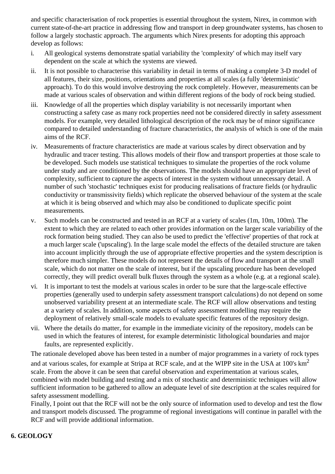and specific characterisation of rock properties is essential throughout the system, Nirex, in common with current state-of-the-art practice in addressing flow and transport in deep groundwater systems, has chosen to follow a largely stochastic approach. The arguments which Nirex presents for adopting this approach develop as follows:

- i. All geological systems demonstrate spatial variability the 'complexity' of which may itself vary dependent on the scale at which the systems are viewed.
- ii. It is not possible to characterise this variability in detail in terms of making a complete 3-D model of all features, their size, positions, orientations and properties at all scales (a fully 'deterministic' approach). To do this would involve destroying the rock completely. However, measurements can be made at various scales of observation and within different regions of the body of rock being studied.
- iii. Knowledge of all the properties which display variability is not necessarily important when constructing a safety case as many rock properties need not be considered directly in safety assessment models. For example, very detailed lithological description of the rock may be of minor significance compared to detailed understanding of fracture characteristics, the analysis of which is one of the main aims of the RCF.
- iv. Measurements of fracture characteristics are made at various scales by direct observation and by hydraulic and tracer testing. This allows models of their flow and transport properties at those scale to be developed. Such models use statistical techniques to simulate the properties of the rock volume under study and are conditioned by the observations. The models should have an appropriate level of complexity, sufficient to capture the aspects of interest in the system without unnecessary detail. A number of such 'stochastic' techniques exist for producing realisations of fracture fields (or hydraulic conductivity or transmissivity fields) which replicate the observed behaviour of the system at the scale at which it is being observed and which may also be conditioned to duplicate specific point measurements.
- v. Such models can be constructed and tested in an RCF at a variety of scales (1m, 10m, 100m). The extent to which they are related to each other provides information on the larger scale variability of the rock formation being studied. They can also be used to predict the 'effective' properties of that rock at a much larger scale ('upscaling'). In the large scale model the effects of the detailed structure are taken into account implicitly through the use of appropriate effective properties and the system description is therefore much simpler. These models do not represent the details of flow and transport at the small scale, which do not matter on the scale of interest, but if the upscaling procedure has been developed correctly, they will predict overall bulk fluxes through the system as a whole (e.g. at a regional scale).
- vi. It is important to test the models at various scales in order to be sure that the large-scale effective properties (generally used to underpin safety assessment transport calculations) do not depend on some unobserved variability present at an intermediate scale. The RCF will allow observations and testing at a variety of scales. In addition, some aspects of safety assessment modelling may require the deployment of relatively small-scale models to evaluate specific features of the repository design.
- vii. Where the details do matter, for example in the immediate vicinity of the repository, models can be used in which the features of interest, for example deterministic lithological boundaries and major faults, are represented explicitly.

The rationale developed above has been tested in a number of major programmes in a variety of rock types and at various scales, for example at Stripa at RCF scale, and at the WIPP site in the USA at  $100$ 's  $\text{km}^2$ scale. From the above it can be seen that careful observation and experimentation at various scales, combined with model building and testing and a mix of stochastic and deterministic techniques will allow sufficient information to be gathered to allow an adequate level of site description at the scales required for safety assessment modelling.

Finally, I point out that the RCF will not be the only source of information used to develop and test the flow and transport models discussed. The programme of regional investigations will continue in parallel with the RCF and will provide additional information.

# **6. GEOLOGY**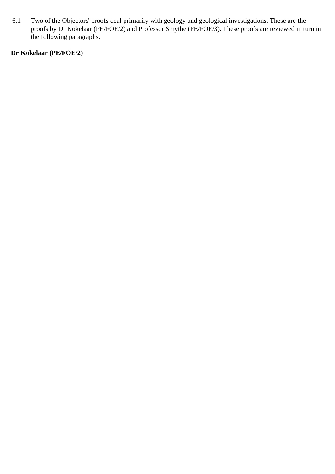6.1 Two of the Objectors' proofs deal primarily with geology and geological investigations. These are the proofs by Dr Kokelaar (PE/FOE/2) and Professor Smythe (PE/FOE/3). These proofs are reviewed in turn in the following paragraphs.

# **Dr Kokelaar (PE/FOE/2)**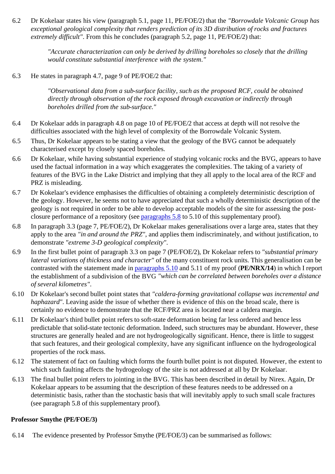6.2 Dr Kokelaar states his view (paragraph 5.1, page 11, PE/FOE/2) that the *"Borrowdale Volcanic Group has exceptional geological complexity that renders prediction of its 3D distribution of rocks and fractures extremely difficult"*. From this he concludes (paragraph 5.2, page 11, PE/FOE/2) that:

> *"Accurate characterization can only be derived by drilling boreholes so closely that the drilling would constitute substantial interference with the system."*

6.3 He states in paragraph 4.7, page 9 of PE/FOE/2 that:

*"Observational data from a sub-surface facility, such as the proposed RCF, could be obtained directly through observation of the rock exposed through excavation or indirectly through boreholes drilled from the sub-surface."*

- 6.4 Dr Kokelaar adds in paragraph 4.8 on page 10 of PE/FOE/2 that access at depth will not resolve the difficulties associated with the high level of complexity of the Borrowdale Volcanic System.
- 6.5 Thus, Dr Kokelaar appears to be stating a view that the geology of the BVG cannot be adequately characterised except by closely spaced boreholes.
- 6.6 Dr Kokelaar, while having substantial experience of studying volcanic rocks and the BVG, appears to have used the factual information in a way which exaggerates the complexities. The taking of a variety of features of the BVG in the Lake District and implying that they all apply to the local area of the RCF and PRZ is misleading.
- 6.7 Dr Kokelaar's evidence emphasises the difficulties of obtaining a completely deterministic description of the geology. However, he seems not to have appreciated that such a wholly deterministic description of the geology is not required in order to be able to develop acceptable models of the site for assessing the postclosure performance of a repository (see paragraphs 5.8 to 5.10 of this supplementary proof).
- 6.8 In paragraph 3.3 (page 7, PE/FOE/2), Dr Kokelaar makes generalisations over a large area, states that they apply to the area *"in and around the PRZ"*, and applies them indiscriminately, and without justification, to demonstrate *"extreme 3-D geological complexity"*.
- 6.9 In the first bullet point of paragraph 3.3 on page 7 (PE/FOE/2), Dr Kokelaar refers to *"substantial primary lateral variations of thickness and character"* of the many constituent rock units. This generalisation can be contrasted with the statement made in paragraphs 5.10 and 5.11 of my proof (**PE/NRX/14**) in which I report the establishment of a subdivision of the BVG *"which can be correlated between boreholes over a distance of several kilometres"*.
- 6.10 Dr Kokelaar's second bullet point states that *"caldera-forming gravitational collapse was incremental and haphazard"*. Leaving aside the issue of whether there is evidence of this on the broad scale, there is certainly no evidence to demonstrate that the RCF/PRZ area is located near a caldera margin.
- 6.11 Dr Kokelaar's third bullet point refers to soft-state deformation being far less ordered and hence less predictable that solid-state tectonic deformation. Indeed, such structures may be abundant. However, these structures are generally healed and are not hydrogeologically significant. Hence, there is little to suggest that such features, and their geological complexity, have any significant influence on the hydrogeological properties of the rock mass.
- 6.12 The statement of fact on faulting which forms the fourth bullet point is not disputed. However, the extent to which such faulting affects the hydrogeology of the site is not addressed at all by Dr Kokelaar.
- 6.13 The final bullet point refers to jointing in the BVG. This has been described in detail by Nirex. Again, Dr Kokelaar appears to be assuming that the description of these features needs to be addressed on a deterministic basis, rather than the stochastic basis that will inevitably apply to such small scale fractures (see paragraph 5.8 of this supplementary proof).

## **Professor Smythe (PE/FOE/3)**

6.14 The evidence presented by Professor Smythe (PE/FOE/3) can be summarised as follows: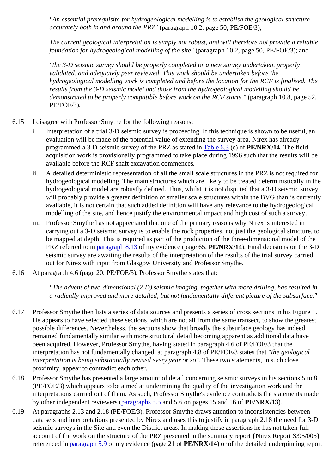*"An essential prerequisite for hydrogeological modelling is to establish the geological structure accurately both in and around the PRZ"* (paragraph 10.2. page 50, PE/FOE/3);

*The current geological interpretation is simply not robust, and will therefore not provide a reliable foundation for hydrogeological modelling of the site"* (paragraph 10.2, page 50, PE/FOE/3); and

*"the 3-D seismic survey should be properly completed or a new survey undertaken, properly validated, and adequately peer reviewed. This work should be undertaken before the hydrogeological modelling work is completed and before the location for the RCF is finalised. The results from the 3-D seismic model and those from the hydrogeological modelling should be demonstrated to be properly compatible before work on the RCF starts."* (paragraph 10.8, page 52, PE/FOE/3).

- 6.15 I disagree with Professor Smythe for the following reasons:
	- i. Interpretation of a trial 3-D seismic survey is proceeding. If this technique is shown to be useful, an evaluation will be made of the potential value of extending the survey area. Nirex has already programmed a 3-D seismic survey of the PRZ as stated in Table 6.3 (c) of **PE/NRX/14**. The field acquisition work is provisionally programmed to take place during 1996 such that the results will be available before the RCF shaft excavation commences.
	- ii. A detailed deterministic representation of all the small scale structures in the PRZ is not required for hydrogeological modelling. The main structures which are likely to be treated deterministically in the hydrogeological model are robustly defined. Thus, whilst it is not disputed that a 3-D seismic survey will probably provide a greater definition of smaller scale structures within the BVG than is currently available, it is not certain that such added definition will have any relevance to the hydrogeological modelling of the site, and hence justify the environmental impact and high cost of such a survey.
	- iii. Professor Smythe has not appreciated that one of the primary reasons why Nirex is interested in carrying out a 3-D seismic survey is to enable the rock properties, not just the geological structure, to be mapped at depth. This is required as part of the production of the three-dimensional model of the PRZ referred to in paragraph 8.13 of my evidence (page 65, **PE/NRX/14**). Final decisions on the 3-D seismic survey are awaiting the results of the interpretation of the results of the trial survey carried out for Nirex with input from Glasgow University and Professor Smythe.
- 6.16 At paragraph 4.6 (page 20, PE/FOE/3), Professor Smythe states that:

*"The advent of two-dimensional (2-D) seismic imaging, together with more drilling, has resulted in a radically improved and more detailed, but not fundamentally different picture of the subsurface."*

- 6.17 Professor Smythe then lists a series of data sources and presents a series of cross sections in his Figure 1. He appears to have selected these sections, which are not all from the same transect, to show the greatest possible differences. Nevertheless, the sections show that broadly the subsurface geology has indeed remained fundamentally similar with more structural detail becoming apparent as additional data have been acquired. However, Professor Smythe, having stated in paragraph 4.6 of PE/FOE/3 that the interpretation has not fundamentally changed, at paragraph 4.8 of PE/FOE/3 states that *"the geological interpretation is being substantially revised every year or so"*. These two statements, in such close proximity, appear to contradict each other.
- 6.18 Professor Smythe has presented a large amount of detail concerning seismic surveys in his sections 5 to 8 (PE/FOE/3) which appears to be aimed at undermining the quality of the investigation work and the interpretations carried out of them. As such, Professor Smythe's evidence contradicts the statements made by other independent reviewers (paragraphs 5.5 and 5.6 on pages 15 and 16 of **PE/NRX/13**).
- 6.19 At paragraphs 2.13 and 2.18 (PE/FOE/3), Professor Smythe draws attention to inconsistencies between data sets and interpretations presented by Nirex and uses this to justify in paragraph 2.18 the need for 3-D seismic surveys in the Site and even the District areas. In making these assertions he has not taken full account of the work on the structure of the PRZ presented in the summary report {Nirex Report S/95/005} referenced in paragraph 5.9 of my evidence (page 21 of **PE/NRX/14**) or of the detailed underpinning report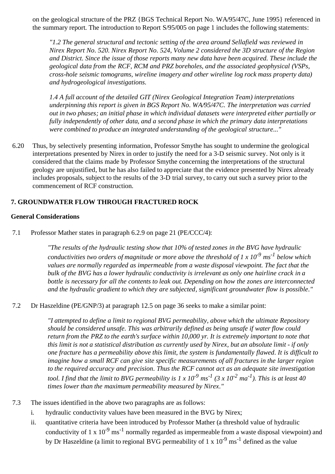on the geological structure of the PRZ {BGS Technical Report No. WA/95/47C, June 1995} referenced in the summary report. The introduction to Report S/95/005 on page 1 includes the following statements:

*"1.2 The general structural and tectonic setting of the area around Sellafield was reviewed in Nirex Report No. 520. Nirex Report No. 524, Volume 2 considered the 3D structure of the Region and District. Since the issue of those reports many new data have been acquired. These include the geological data from the RCF, RCM and PRZ boreholes, and the associated geophysical (VSPs, cross-hole seismic tomograms, wireline imagery and other wireline log rock mass property data) and hydrogeological investigations.*

*1.4 A full account of the detailed GIT (Nirex Geological Integration Team) interpretations underpinning this report is given in BGS Report No. WA/95/47C. The interpretation was carried out in two phases; an initial phase in which individual datasets were interpreted either partially or fully independently of other data, and a second phase in which the primary data interpretations were combined to produce an integrated understanding of the geological structure..."*

6.20 Thus, by selectively presenting information, Professor Smythe has sought to undermine the geological interpretations presented by Nirex in order to justify the need for a 3-D seismic survey. Not only is it considered that the claims made by Professor Smythe concerning the interpretations of the structural geology are unjustified, but he has also failed to appreciate that the evidence presented by Nirex already includes proposals, subject to the results of the 3-D trial survey, to carry out such a survey prior to the commencement of RCF construction.

## **7. GROUNDWATER FLOW THROUGH FRACTURED ROCK**

#### **General Considerations**

7.1 Professor Mather states in paragraph 6.2.9 on page 21 (PE/CCC/4):

*"The results of the hydraulic testing show that 10% of tested zones in the BVG have hydraulic conductivities two orders of magnitude or more above the threshold of 1 x 10-9 ms-1 below which values are normally regarded as impermeable from a waste disposal viewpoint. The fact that the bulk of the BVG has a lower hydraulic conductivity is irrelevant as only one hairline crack in a bottle is necessary for all the contents to leak out. Depending on how the zones are interconnected and the hydraulic gradient to which they are subjected, significant groundwater flow is possible."*

7.2 Dr Haszeldine (PE/GNP/3) at paragraph 12.5 on page 36 seeks to make a similar point:

*"I attempted to define a limit to regional BVG permeability, above which the ultimate Repository should be considered unsafe. This was arbitrarily defined as being unsafe if water flow could return from the PRZ to the earth's surface within 10,000 yr. It is extremely important to note that this limit is not a statistical distribution as currently used by Nirex, but an absolute limit - if only one fracture has a permeability above this limit, the system is fundamentally flawed. It is difficult to imagine how a small RCF can give site specific measurements of all fractures in the larger region to the required accuracy and precision. Thus the RCF cannot act as an adequate site investigation tool. I find that the limit to BVG permeability is 1 x 10<sup>-9</sup>*  $ms^{-1}$  *(3 x 10<sup>-2</sup>*  $ma^{-1}$ *). This is at least 40 times lower than the maximum permeability measured by Nirex."*

- 7.3 The issues identified in the above two paragraphs are as follows:
	- i. hydraulic conductivity values have been measured in the BVG by Nirex;
	- ii. quantitative criteria have been introduced by Professor Mather (a threshold value of hydraulic conductivity of 1 x  $10^{-9}$  ms<sup>-1</sup> normally regarded as impermeable from a waste disposal viewpoint) and by Dr Haszeldine (a limit to regional BVG permeability of 1 x  $10^{-9}$  ms<sup>-1</sup> defined as the value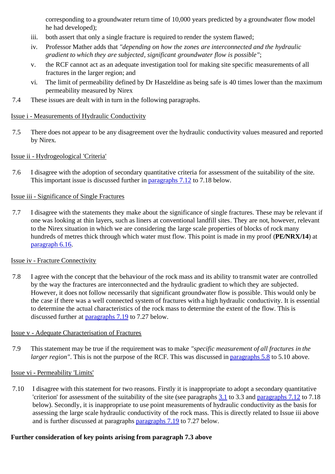corresponding to a groundwater return time of 10,000 years predicted by a groundwater flow model he had developed);

- iii. both assert that only a single fracture is required to render the system flawed;
- iv. Professor Mather adds that *"depending on how the zones are interconnected and the hydraulic gradient to which they are subjected, significant groundwater flow is possible"*;
- v. the RCF cannot act as an adequate investigation tool for making site specific measurements of all fractures in the larger region; and
- vi. The limit of permeability defined by Dr Haszeldine as being safe is 40 times lower than the maximum permeability measured by Nirex
- 7.4 These issues are dealt with in turn in the following paragraphs.

#### Issue i - Measurements of Hydraulic Conductivity

7.5 There does not appear to be any disagreement over the hydraulic conductivity values measured and reported by Nirex.

#### Issue ii - Hydrogeological 'Criteria'

7.6 I disagree with the adoption of secondary quantitative criteria for assessment of the suitability of the site. This important issue is discussed further in paragraphs 7.12 to 7.18 below.

#### Issue iii - Significance of Single Fractures

7.7 I disagree with the statements they make about the significance of single fractures. These may be relevant if one was looking at thin layers, such as liners at conventional landfill sites. They are not, however, relevant to the Nirex situation in which we are considering the large scale properties of blocks of rock many hundreds of metres thick through which water must flow. This point is made in my proof (**PE/NRX/14**) at paragraph 6.16.

#### Issue iv - Fracture Connectivity

7.8 I agree with the concept that the behaviour of the rock mass and its ability to transmit water are controlled by the way the fractures are interconnected and the hydraulic gradient to which they are subjected. However, it does not follow necessarily that significant groundwater flow is possible. This would only be the case if there was a well connected system of fractures with a high hydraulic conductivity. It is essential to determine the actual characteristics of the rock mass to determine the extent of the flow. This is discussed further at paragraphs 7.19 to 7.27 below.

#### Issue v - Adequate Characterisation of Fractures

7.9 This statement may be true if the requirement was to make *"specific measurement of all fractures in the larger region"*. This is not the purpose of the RCF. This was discussed in paragraphs 5.8 to 5.10 above.

## Issue vi - Permeability 'Limits'

7.10 I disagree with this statement for two reasons. Firstly it is inappropriate to adopt a secondary quantitative 'criterion' for assessment of the suitability of the site (see paragraphs 3.1 to 3.3 and paragraphs 7.12 to 7.18 below). Secondly, it is inappropriate to use point measurements of hydraulic conductivity as the basis for assessing the large scale hydraulic conductivity of the rock mass. This is directly related to Issue iii above and is further discussed at paragraphs paragraphs 7.19 to 7.27 below.

## **Further consideration of key points arising from paragraph 7.3 above**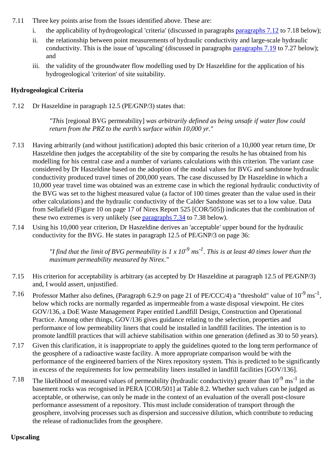- 7.11 Three key points arise from the Issues identified above. These are:
	- i. the applicability of hydrogeological 'criteria' (discussed in paragraphs paragraphs 7.12 to 7.18 below);
	- ii. the relationship between point measurements of hydraulic conductivity and large-scale hydraulic conductivity. This is the issue of 'upscaling' (discussed in paragraphs paragraphs 7.19 to 7.27 below); and
	- iii. the validity of the groundwater flow modelling used by Dr Haszeldine for the application of his hydrogeological 'criterion' of site suitability.

## **Hydrogeological Criteria**

7.12 Dr Haszeldine in paragraph 12.5 (PE/GNP/3) states that:

*"This* [regional BVG permeability] *was arbitrarily defined as being unsafe if water flow could return from the PRZ to the earth's surface within 10,000 yr."*

- 7.13 Having arbitrarily (and without justification) adopted this basic criterion of a 10,000 year return time, Dr Haszeldine then judges the acceptability of the site by comparing the results he has obtained from his modelling for his central case and a number of variants calculations with this criterion. The variant case considered by Dr Haszeldine based on the adoption of the modal values for BVG and sandstone hydraulic conductivity produced travel times of 200,000 years. The case discussed by Dr Haszeldine in which a 10,000 year travel time was obtained was an extreme case in which the regional hydraulic conductivity of the BVG was set to the highest measured value (a factor of 100 times greater than the value used in their other calculations) and the hydraulic conductivity of the Calder Sandstone was set to a low value. Data from Sellafield (Figure 10 on page 17 of Nirex Report 525 [COR/505]) indicates that the combination of these two extremes is very unlikely (see paragraphs 7.34 to 7.38 below).
- 7.14 Using his 10,000 year criterion, Dr Haszeldine derives an 'acceptable' upper bound for the hydraulic conductivity for the BVG. He states in paragraph 12.5 of PE/GNP/3 on page 36:

*"I find that the limit of BVG permeability is 1 x 10-9 ms-1. This is at least 40 times lower than the maximum permeability measured by Nirex."*

- 7.15 His criterion for acceptability is arbitrary (as accepted by Dr Haszeldine at paragraph 12.5 of PE/GNP/3) and, I would assert, unjustified.
- 7.16 Professor Mather also defines, (Paragraph 6.2.9 on page 21 of PE/CCC/4) a "threshold" value of  $10^{-9}$  ms<sup>-1</sup>, below which rocks are normally regarded as impermeable from a waste disposal viewpoint. He cites GOV/136, a DoE Waste Management Paper entitled Landfill Design, Construction and Operational Practice. Among other things, GOV/136 gives guidance relating to the selection, properties and performance of low permeability liners that could be installed in landfill facilities. The intention is to promote landfill practices that will achieve stabilisation within one generation (defined as 30 to 50 years).
- 7.17 Given this clarification, it is inappropriate to apply the guidelines quoted to the long term performance of the geosphere of a radioactive waste facility. A more appropriate comparison would be with the performance of the engineered barriers of the Nirex repository system. This is predicted to be significantly in excess of the requirements for low permeability liners installed in landfill facilities [GOV/136].
- 7.18 The likelihood of measured values of permeability (hydraulic conductivity) greater than  $10^{-9}$  ms<sup>-1</sup> in the basement rocks was recognised in PERA [COR/501] at Table 8.2. Whether such values can be judged as acceptable, or otherwise, can only be made in the context of an evaluation of the overall post-closure performance assessment of a repository. This must include consideration of transport through the geosphere, involving processes such as dispersion and successive dilution, which contribute to reducing the release of radionuclides from the geosphere.

## **Upscaling**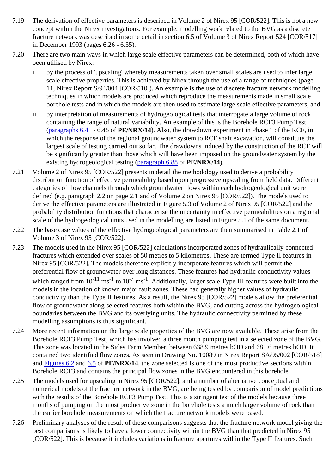- 7.19 The derivation of effective parameters is described in Volume 2 of Nirex 95 [COR/522]. This is not a new concept within the Nirex investigations. For example, modelling work related to the BVG as a discrete fracture network was described in some detail in section 6.5 of Volume 3 of Nirex Report 524 [COR/517] in December 1993 (pages 6.26 - 6.35).
- 7.20 There are two main ways in which large scale effective parameters can be determined, both of which have been utilised by Nirex:
	- i. by the process of 'upscaling' whereby measurements taken over small scales are used to infer large scale effective properties. This is achieved by Nirex through the use of a range of techniques (page 11, Nirex Report S/94/004 [COR/510]). An example is the use of discrete fracture network modelling techniques in which models are produced which reproduce the measurements made in small scale borehole tests and in which the models are then used to estimate large scale effective parameters; and
	- ii. by interpretation of measurements of hydrogeological tests that interrogate a large volume of rock containing the range of natural variability. An example of this is the Borehole RCF3 Pump Test (paragraphs 6.41 - 6.45 of **PE/NRX/14**). Also, the drawdown experiment in Phase 1 of the RCF, in which the response of the regional groundwater system to RCF shaft excavation, will constitute the largest scale of testing carried out so far. The drawdowns induced by the construction of the RCF will be significantly greater than those which will have been imposed on the groundwater system by the existing hydrogeological testing (paragraph 6.88 of **PE/NRX/14**).
- 7.21 Volume 2 of Nirex 95 [COR/522] presents in detail the methodology used to derive a probability distribution function of effective permeability based upon progressive upscaling from field data. Different categories of flow channels through which groundwater flows within each hydrogeological unit were defined (e.g. paragraph 2.2 on page 2.1 and of Volume 2 on Nirex 95 [COR/522]). The models used to derive the effective parameters are illustrated in Figure 5.3 of Volume 2 of Nirex 95 [COR/522] and the probability distribution functions that characterise the uncertainty in effective permeabilities on a regional scale of the hydrogeological units used in the modelling are listed in Figure 5.1 of the same document.
- 7.22 The base case values of the effective hydrogeological parameters are then summarised in Table 2.1 of Volume 3 of Nirex 95 [COR/522].
- 7.23 The models used in the Nirex 95 [COR/522] calculations incorporated zones of hydraulically connected fractures which extended over scales of 50 metres to 5 kilometres. These are termed Type II features in Nirex 95 [COR/522]. The models therefore explicitly incorporate features which will permit the preferential flow of groundwater over long distances. These features had hydraulic conductivity values which ranged from  $10^{-11}$  ms<sup>-1</sup> to  $10^{-7}$  ms<sup>-1</sup>. Additionally, larger scale Type III features were built into the models in the location of known major fault zones. These had generally higher values of hydraulic conductivity than the Type II features. As a result, the Nirex 95 [COR/522] models allow the preferential flow of groundwater along selected features both within the BVG, and cutting across the hydrogeological boundaries between the BVG and its overlying units. The hydraulic connectivity permitted by these modelling assumptions is thus significant.
- 7.24 More recent information on the large scale properties of the BVG are now available. These arise from the Borehole RCF3 Pump Test, which has involved a three month pumping test in a selected zone of the BVG. This zone was located in the Sides Farm Member, between 638.9 metres bOD and 681.6 metres bOD. It contained two identified flow zones. As seen in Drawing No. 10089 in Nirex Report SA/95/002 [COR/518] and Figures 6.2 and 6.5 of **PE/NRX/14**, the zone selected is one of the most productive sections within Borehole RCF3 and contains the principal flow zones in the BVG encountered in this borehole.
- 7.25 The models used for upscaling in Nirex 95 [COR/522], and a number of alternative conceptual and numerical models of the fracture network in the BVG, are being tested by comparison of model predictions with the results of the Borehole RCF3 Pump Test. This is a stringent test of the models because three months of pumping on the most productive zone in the borehole tests a much larger volume of rock than the earlier borehole measurements on which the fracture network models were based.
- 7.26 Preliminary analyses of the result of these comparisons suggests that the fracture network model giving the best comparisons is likely to have a lower connectivity within the BVG than that predicted in Nirex 95 [COR/522]. This is because it includes variations in fracture apertures within the Type II features. Such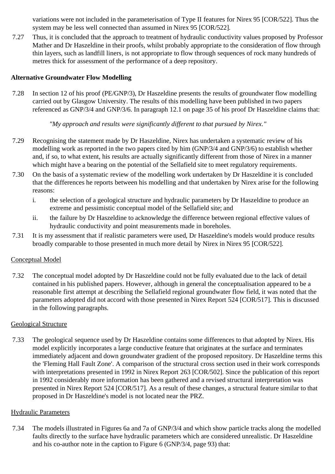variations were not included in the parameterisation of Type II features for Nirex 95 [COR/522]. Thus the system may be less well connected than assumed in Nirex 95 [COR/522].

7.27 Thus, it is concluded that the approach to treatment of hydraulic conductivity values proposed by Professor Mather and Dr Haszeldine in their proofs, whilst probably appropriate to the consideration of flow through thin layers, such as landfill liners, is not appropriate to flow through sequences of rock many hundreds of metres thick for assessment of the performance of a deep repository.

## **Alternative Groundwater Flow Modelling**

7.28 In section 12 of his proof (PE/GNP/3), Dr Haszeldine presents the results of groundwater flow modelling carried out by Glasgow University. The results of this modelling have been published in two papers referenced as GNP/3/4 and GNP/3/6. In paragraph 12.1 on page 35 of his proof Dr Haszeldine claims that:

*"My approach and results were significantly different to that pursued by Nirex."*

- 7.29 Recognising the statement made by Dr Haszeldine, Nirex has undertaken a systematic review of his modelling work as reported in the two papers cited by him (GNP/3/4 and GNP/3/6) to establish whether and, if so, to what extent, his results are actually significantly different from those of Nirex in a manner which might have a bearing on the potential of the Sellafield site to meet regulatory requirements.
- 7.30 On the basis of a systematic review of the modelling work undertaken by Dr Haszeldine it is concluded that the differences he reports between his modelling and that undertaken by Nirex arise for the following reasons:
	- i. the selection of a geological structure and hydraulic parameters by Dr Haszeldine to produce an extreme and pessimistic conceptual model of the Sellafield site; and
	- ii. the failure by Dr Haszeldine to acknowledge the difference between regional effective values of hydraulic conductivity and point measurements made in boreholes.
- 7.31 It is my assessment that if realistic parameters were used, Dr Haszeldine's models would produce results broadly comparable to those presented in much more detail by Nirex in Nirex 95 [COR/522].

## Conceptual Model

7.32 The conceptual model adopted by Dr Haszeldine could not be fully evaluated due to the lack of detail contained in his published papers. However, although in general the conceptualisation appeared to be a reasonable first attempt at describing the Sellafield regional groundwater flow field, it was noted that the parameters adopted did not accord with those presented in Nirex Report 524 [COR/517]. This is discussed in the following paragraphs.

## Geological Structure

7.33 The geological sequence used by Dr Haszeldine contains some differences to that adopted by Nirex. His model explicitly incorporates a large conductive feature that originates at the surface and terminates immediately adjacent and down groundwater gradient of the proposed repository. Dr Haszeldine terms this the 'Fleming Hall Fault Zone'. A comparison of the structural cross section used in their work corresponds with interpretations presented in 1992 in Nirex Report 263 [COR/502]. Since the publication of this report in 1992 considerably more information has been gathered and a revised structural interpretation was presented in Nirex Report 524 [COR/517]. As a result of these changes, a structural feature similar to that proposed in Dr Haszeldine's model is not located near the PRZ.

## Hydraulic Parameters

7.34 The models illustrated in Figures 6a and 7a of GNP/3/4 and which show particle tracks along the modelled faults directly to the surface have hydraulic parameters which are considered unrealistic. Dr Haszeldine and his co-author note in the caption to Figure 6 (GNP/3/4, page 93) that: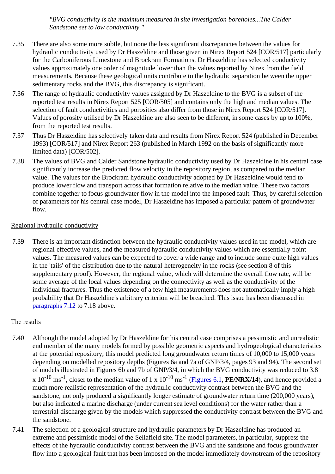*"BVG conductivity is the maximum measured in site investigation boreholes...The Calder Sandstone set to low conductivity."*

- 7.35 There are also some more subtle, but none the less significant discrepancies between the values for hydraulic conductivity used by Dr Haszeldine and those given in Nirex Report 524 [COR/517] particularly for the Carboniferous Limestone and Brockram Formations. Dr Haszeldine has selected conductivity values approximately one order of magnitude lower than the values reported by Nirex from the field measurements. Because these geological units contribute to the hydraulic separation between the upper sedimentary rocks and the BVG, this discrepancy is significant.
- 7.36 The range of hydraulic conductivity values assigned by Dr Haszeldine to the BVG is a subset of the reported test results in Nirex Report 525 [COR/505] and contains only the high and median values. The selection of fault conductivities and porosities also differ from those in Nirex Report 524 [COR/517]. Values of porosity utilised by Dr Haszeldine are also seen to be different, in some cases by up to 100%, from the reported test results.
- 7.37 Thus Dr Haszeldine has selectively taken data and results from Nirex Report 524 (published in December 1993) [COR/517] and Nirex Report 263 (published in March 1992 on the basis of significantly more limited data) [COR/502].
- 7.38 The values of BVG and Calder Sandstone hydraulic conductivity used by Dr Haszeldine in his central case significantly increase the predicted flow velocity in the repository region, as compared to the median value. The values for the Brockram hydraulic conductivity adopted by Dr Haszeldine would tend to produce lower flow and transport across that formation relative to the median value. These two factors combine together to focus groundwater flow in the model into the imposed fault. Thus, by careful selection of parameters for his central case model, Dr Haszeldine has imposed a particular pattern of groundwater flow.

## Regional hydraulic conductivity

7.39 There is an important distinction between the hydraulic conductivity values used in the model, which are regional effective values, and the measured hydraulic conductivity values which are essentially point values. The measured values can be expected to cover a wide range and to include some quite high values in the 'tails' of the distribution due to the natural heterogeneity in the rocks (see section 8 of this supplementary proof). However, the regional value, which will determine the overall flow rate, will be some average of the local values depending on the connectivity as well as the conductivity of the individual fractures. Thus the existence of a few high measurements does not automatically imply a high probability that Dr Haszeldine's arbitrary criterion will be breached. This issue has been discussed in paragraphs 7.12 to 7.18 above.

## The results

- 7.40 Although the model adopted by Dr Haszeldine for his central case comprises a pessimistic and unrealistic end member of the many models formed by possible geometric aspects and hydrogeological characteristics at the potential repository, this model predicted long groundwater return times of 10,000 to 15,000 years depending on modelled repository depths (Figures 6a and 7a of GNP/3/4, pages 93 and 94). The second set of models illustrated in Figures 6b and 7b of GNP/3/4, in which the BVG conductivity was reduced to 3.8 x  $10^{-10}$  ms<sup>-1</sup>, closer to the median value of 1 x  $10^{-10}$  ms<sup>-1</sup> (Figures 6.1, **PE/NRX/14**), and hence provided a much more realistic representation of the hydraulic conductivity contrast between the BVG and the sandstone, not only produced a significantly longer estimate of groundwater return time (200,000 years), but also indicated a marine discharge (under current sea level conditions) for the water rather than a terrestrial discharge given by the models which suppressed the conductivity contrast between the BVG and the sandstone.
- 7.41 The selection of a geological structure and hydraulic parameters by Dr Haszeldine has produced an extreme and pessimistic model of the Sellafield site. The model parameters, in particular, suppress the effects of the hydraulic conductivity contrast between the BVG and the sandstone and focus groundwater flow into a geological fault that has been imposed on the model immediately downstream of the repository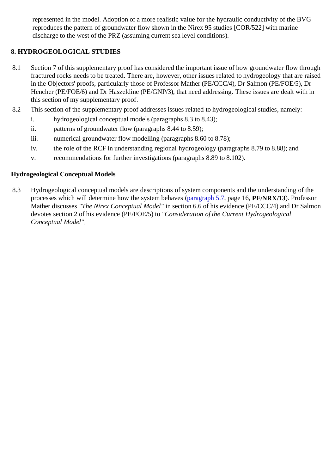represented in the model. Adoption of a more realistic value for the hydraulic conductivity of the BVG reproduces the pattern of groundwater flow shown in the Nirex 95 studies [COR/522] with marine discharge to the west of the PRZ (assuming current sea level conditions).

# **8. HYDROGEOLOGICAL STUDIES**

- 8.1 Section 7 of this supplementary proof has considered the important issue of how groundwater flow through fractured rocks needs to be treated. There are, however, other issues related to hydrogeology that are raised in the Objectors' proofs, particularly those of Professor Mather (PE/CCC/4), Dr Salmon (PE/FOE/5), Dr Hencher (PE/FOE/6) and Dr Haszeldine (PE/GNP/3), that need addressing. These issues are dealt with in this section of my supplementary proof.
- 8.2 This section of the supplementary proof addresses issues related to hydrogeological studies, namely:
	- i. hydrogeological conceptual models (paragraphs 8.3 to 8.43);
	- ii. patterns of groundwater flow (paragraphs 8.44 to 8.59);
	- iii. numerical groundwater flow modelling (paragraphs 8.60 to 8.78);
	- iv. the role of the RCF in understanding regional hydrogeology (paragraphs 8.79 to 8.88); and
	- v. recommendations for further investigations (paragraphs 8.89 to 8.102).

## **Hydrogeological Conceptual Models**

8.3 Hydrogeological conceptual models are descriptions of system components and the understanding of the processes which will determine how the system behaves (paragraph 5.7, page 16, **PE/NRX/13**). Professor Mather discusses *"The Nirex Conceptual Model"* in section 6.6 of his evidence (PE/CCC/4) and Dr Salmon devotes section 2 of his evidence (PE/FOE/5) to *"Consideration of the Current Hydrogeological Conceptual Model"*.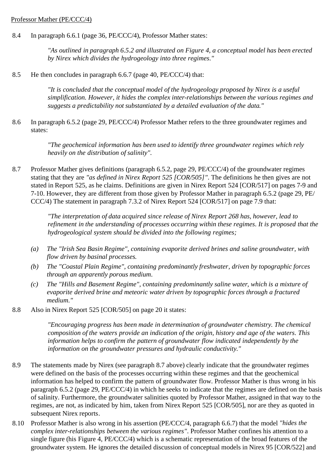#### Professor Mather (PE/CCC/4)

8.4 In paragraph 6.6.1 (page 36, PE/CCC/4), Professor Mather states:

*"As outlined in paragraph 6.5.2 and illustrated on Figure 4, a conceptual model has been erected by Nirex which divides the hydrogeology into three regimes."*

8.5 He then concludes in paragraph 6.6.7 (page 40, PE/CCC/4) that:

*"It is concluded that the conceptual model of the hydrogeology proposed by Nirex is a useful simplification. However, it hides the complex inter-relationships between the various regimes and suggests a predictability not substantiated by a detailed evaluation of the data."*

8.6 In paragraph 6.5.2 (page 29, PE/CCC/4) Professor Mather refers to the three groundwater regimes and states:

> *"The geochemical information has been used to identify three groundwater regimes which rely heavily on the distribution of salinity".*

8.7 Professor Mather gives definitions (paragraph 6.5.2, page 29, PE/CCC/4) of the groundwater regimes stating that they are *"as defined in Nirex Report 525 [COR/505]"*. The definitions he then gives are not stated in Report 525, as he claims. Definitions are given in Nirex Report 524 [COR/517] on pages 7-9 and 7-10. However, they are different from those given by Professor Mather in paragraph 6.5.2 (page 29, PE/ CCC/4) The statement in paragraph 7.3.2 of Nirex Report 524 [COR/517] on page 7.9 that:

> *"The interpretation of data acquired since release of Nirex Report 268 has, however, lead to refinement in the understanding of processes occurring within these regimes. It is proposed that the hydrogeological system should be divided into the following regimes;*

- *(a) The "Irish Sea Basin Regime", containing evaporite derived brines and saline groundwater, with flow driven by basinal processes.*
- *(b) The "Coastal Plain Regime", containing predominantly freshwater, driven by topographic forces through an apparently porous medium.*
- *(c) The "Hills and Basement Regime", containing predominantly saline water, which is a mixture of evaporite derived brine and meteoric water driven by topographic forces through a fractured medium."*
- 8.8 Also in Nirex Report 525 [COR/505] on page 20 it states:

*"Encouraging progress has been made in determination of groundwater chemistry. The chemical composition of the waters provide an indication of the origin, history and age of the waters. This information helps to confirm the pattern of groundwater flow indicated independently by the information on the groundwater pressures and hydraulic conductivity."*

- 8.9 The statements made by Nirex (see paragraph 8.7 above) clearly indicate that the groundwater regimes were defined on the basis of the processes occurring within these regimes and that the geochemical information has helped to confirm the pattern of groundwater flow. Professor Mather is thus wrong in his paragraph 6.5.2 (page 29, PE/CCC/4) in which he seeks to indicate that the regimes are defined on the basis of salinity. Furthermore, the groundwater salinities quoted by Professor Mather, assigned in that way to the regimes, are not, as indicated by him, taken from Nirex Report 525 [COR/505], nor are they as quoted in subsequent Nirex reports.
- 8.10 Professor Mather is also wrong in his assertion (PE/CCC/4, paragraph 6.6.7) that the model *"hides the complex inter-relationships between the various regimes"*. Professor Mather confines his attention to a single figure (his Figure 4, PE/CCC/4) which is a schematic representation of the broad features of the groundwater system. He ignores the detailed discussion of conceptual models in Nirex 95 [COR/522] and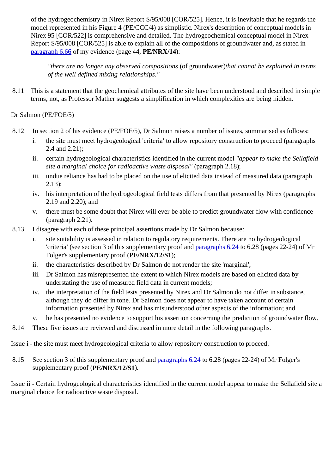of the hydrogeochemistry in Nirex Report S/95/008 [COR/525]. Hence, it is inevitable that he regards the model represented in his Figure 4 (PE/CCC/4) as simplistic. Nirex's description of conceptual models in Nirex 95 [COR/522] is comprehensive and detailed. The hydrogeochemical conceptual model in Nirex Report S/95/008 [COR/525] is able to explain all of the compositions of groundwater and, as stated in paragraph 6.66 of my evidence (page 44, **PE/NRX/14**):

*"there are no longer any observed compositions* (of groundwater)*that cannot be explained in terms of the well defined mixing relationships."*

8.11 This is a statement that the geochemical attributes of the site have been understood and described in simple terms, not, as Professor Mather suggests a simplification in which complexities are being hidden.

# Dr Salmon (PE/FOE/5)

- 8.12 In section 2 of his evidence (PE/FOE/5), Dr Salmon raises a number of issues, summarised as follows:
	- i. the site must meet hydrogeological 'criteria' to allow repository construction to proceed (paragraphs 2.4 and 2.21);
	- ii. certain hydrogeological characteristics identified in the current model *"appear to make the Sellafield site a marginal choice for radioactive waste disposal"* (paragraph 2.18);
	- iii. undue reliance has had to be placed on the use of elicited data instead of measured data (paragraph 2.13);
	- iv. his interpretation of the hydrogeological field tests differs from that presented by Nirex (paragraphs 2.19 and 2.20); and
	- v. there must be some doubt that Nirex will ever be able to predict groundwater flow with confidence (paragraph 2.21).
- 8.13 I disagree with each of these principal assertions made by Dr Salmon because:
	- i. site suitability is assessed in relation to regulatory requirements. There are no hydrogeological 'criteria' (see section 3 of this supplementary proof and paragraphs 6.24 to 6.28 (pages 22-24) of Mr Folger's supplementary proof (**PE/NRX/12/S1**);
	- ii. the characteristics described by Dr Salmon do not render the site 'marginal';
	- iii. Dr Salmon has misrepresented the extent to which Nirex models are based on elicited data by understating the use of measured field data in current models;
	- iv. the interpretation of the field tests presented by Nirex and Dr Salmon do not differ in substance, although they do differ in tone. Dr Salmon does not appear to have taken account of certain information presented by Nirex and has misunderstood other aspects of the information; and
	- v. he has presented no evidence to support his assertion concerning the prediction of groundwater flow.
- 8.14 These five issues are reviewed and discussed in more detail in the following paragraphs.

# Issue i - the site must meet hydrogeological criteria to allow repository construction to proceed.

8.15 See section 3 of this supplementary proof and paragraphs 6.24 to 6.28 (pages 22-24) of Mr Folger's supplementary proof (**PE/NRX/12/S1**).

Issue ii - Certain hydrogeological characteristics identified in the current model appear to make the Sellafield site a marginal choice for radioactive waste disposal.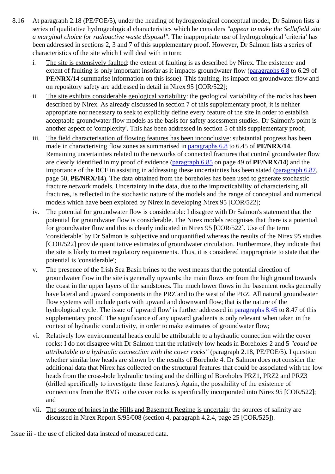- 8.16 At paragraph 2.18 (PE/FOE/5), under the heading of hydrogeological conceptual model, Dr Salmon lists a series of qualitative hydrogeological characteristics which he considers *"appear to make the Sellafield site a marginal choice for radioactive waste disposal"*. The inappropriate use of hydrogeological 'criteria' has been addressed in sections 2, 3 and 7 of this supplementary proof. However, Dr Salmon lists a series of characteristics of the site which I will deal with in turn:
	- i. The site is extensively faulted: the extent of faulting is as described by Nirex. The existence and extent of faulting is only important insofar as it impacts groundwater flow (paragraphs 6.8 to 6.29 of **PE/NRX/14** summarise information on this issue). This faulting, its impact on groundwater flow and on repository safety are addressed in detail in Nirex 95 [COR/522];
	- ii. The site exhibits considerable geological variability: the geological variability of the rocks has been described by Nirex. As already discussed in section 7 of this supplementary proof, it is neither appropriate nor necessary to seek to explicitly define every feature of the site in order to establish acceptable groundwater flow models as the basis for safety assessment studies. Dr Salmon's point is another aspect of 'complexity'. This has been addressed in section 5 of this supplementary proof;
	- iii. The field characterisation of flowing features has been inconclusive: substantial progress has been made in characterising flow zones as summarised in paragraphs 6.8 to 6.45 of **PE/NRX/14**. Remaining uncertainties related to the networks of connected fractures that control groundwater flow are clearly identified in my proof of evidence (paragraph 6.85 on page 49 of **PE/NRX/14**) and the importance of the RCF in assisting in addressing these uncertainties has been stated (paragraph 6.87, page 50, **PE/NRX/14**). The data obtained from the boreholes has been used to generate stochastic fracture network models. Uncertainty in the data, due to the impracticability of characterising all fractures, is reflected in the stochastic nature of the models and the range of conceptual and numerical models which have been explored by Nirex in developing Nirex 95 [COR/522];
	- iv. The potential for groundwater flow is considerable: I disagree with Dr Salmon's statement that the potential for groundwater flow is considerable. The Nirex models recognises that there is a potential for groundwater flow and this is clearly indicated in Nirex 95 [COR/522]. Use of the term 'considerable' by Dr Salmon is subjective and unquantified whereas the results of the Nirex 95 studies [COR/522] provide quantitative estimates of groundwater circulation. Furthermore, they indicate that the site is likely to meet regulatory requirements. Thus, it is considered inappropriate to state that the potential is 'considerable';
	- v. The presence of the Irish Sea Basin brines to the west means that the potential direction of groundwater flow in the site is generally upwards: the main flows are from the high ground towards the coast in the upper layers of the sandstones. The much lower flows in the basement rocks generally have lateral and upward components in the PRZ and to the west of the PRZ. All natural groundwater flow systems will include parts with upward and downward flow; that is the nature of the hydrological cycle. The issue of 'upward flow' is further addressed in paragraphs 8.45 to 8.47 of this supplementary proof. The significance of any upward gradients is only relevant when taken in the context of hydraulic conductivity, in order to make estimates of groundwater flow;
	- vi. Relatively low environmental heads could be attributable to a hydraulic connection with the cover rocks: I do not disagree with Dr Salmon that the relatively low heads in Boreholes 2 and 5 *"could be attributable to a hydraulic connection with the cover rocks"* (paragraph 2.18, PE/FOE/5). I question whether similar low heads are shown by the results of Borehole 4. Dr Salmon does not consider the additional data that Nirex has collected on the structural features that could be associated with the low heads from the cross-hole hydraulic testing and the drilling of Boreholes PRZ1, PRZ2 and PRZ3 (drilled specifically to investigate these features). Again, the possibility of the existence of connections from the BVG to the cover rocks is specifically incorporated into Nirex 95 [COR/522]; and
	- vii. The source of brines in the Hills and Basement Regime is uncertain: the sources of salinity are discussed in Nirex Report S/95/008 (section 4, paragraph 4.2.4, page 25 [COR/525]).

Issue iii - the use of elicited data instead of measured data.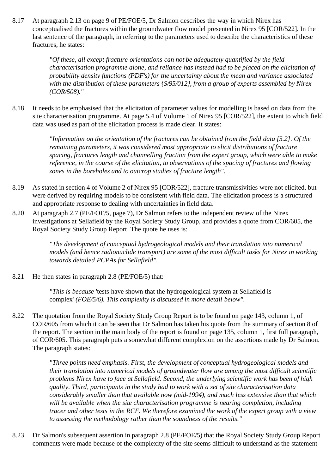8.17 At paragraph 2.13 on page 9 of PE/FOE/5, Dr Salmon describes the way in which Nirex has conceptualised the fractures within the groundwater flow model presented in Nirex 95 [COR/522]. In the last sentence of the paragraph, in referring to the parameters used to describe the characteristics of these fractures, he states:

> *"Of these, all except fracture orientations can not be adequately quantified by the field characterisation programme alone, and reliance has instead had to be placed on the elicitation of probability density functions (PDF's) for the uncertainty about the mean and variance associated with the distribution of these parameters {S/95/012}, from a group of experts assembled by Nirex (COR/508)."*

8.18 It needs to be emphasised that the elicitation of parameter values for modelling is based on data from the site characterisation programme. At page 5.4 of Volume 1 of Nirex 95 [COR/522], the extent to which field data was used as part of the elicitation process is made clear. It states:

> *"Information on the orientation of the fractures can be obtained from the field data [5.2]. Of the remaining parameters, it was considered most appropriate to elicit distributions of fracture spacing, fractures length and channelling fraction from the expert group, which were able to make reference, in the course of the elicitation, to observations of the spacing of fractures and flowing zones in the boreholes and to outcrop studies of fracture length".*

- 8.19 As stated in section 4 of Volume 2 of Nirex 95 [COR/522], fracture transmissivities were not elicited, but were derived by requiring models to be consistent with field data. The elicitation process is a structured and appropriate response to dealing with uncertainties in field data.
- 8.20 At paragraph 2.7 (PE/FOE/5, page 7), Dr Salmon refers to the independent review of the Nirex investigations at Sellafield by the Royal Society Study Group, and provides a quote from COR/605, the Royal Society Study Group Report. The quote he uses is:

*"The development of conceptual hydrogeological models and their translation into numerical models (and hence radionuclide transport) are some of the most difficult tasks for Nirex in working towards detailed PCPAs for Sellafield".*

8.21 He then states in paragraph 2.8 (PE/FOE/5) that:

*"This is because* 'tests have shown that the hydrogeological system at Sellafield is complex' *(FOE/5/6). This complexity is discussed in more detail below".*

8.22 The quotation from the Royal Society Study Group Report is to be found on page 143, column 1, of COR/605 from which it can be seen that Dr Salmon has taken his quote from the summary of section 8 of the report. The section in the main body of the report is found on page 135, column 1, first full paragraph, of COR/605. This paragraph puts a somewhat different complexion on the assertions made by Dr Salmon. The paragraph states:

> *"Three points need emphasis. First, the development of conceptual hydrogeological models and their translation into numerical models of groundwater flow are among the most difficult scientific problems Nirex have to face at Sellafield. Second, the underlying scientific work has been of high quality. Third, participants in the study had to work with a set of site characterisation data considerably smaller than that available now (mid-1994), and much less extensive than that which will be available when the site characterisation programme is nearing completion, including tracer and other tests in the RCF. We therefore examined the work of the expert group with a view to assessing the methodology rather than the soundness of the results."*

8.23 Dr Salmon's subsequent assertion in paragraph 2.8 (PE/FOE/5) that the Royal Society Study Group Report comments were made because of the complexity of the site seems difficult to understand as the statement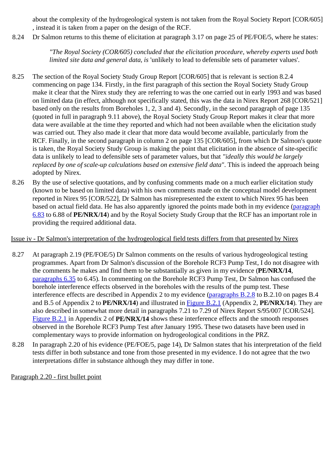about the complexity of the hydrogeological system is not taken from the Royal Society Report [COR/605] , instead it is taken from a paper on the design of the RCF.

8.24 Dr Salmon returns to this theme of elicitation at paragraph 3.17 on page 25 of PE/FOE/5, where he states:

*"The Royal Society (COR/605) concluded that the elicitation procedure, whereby experts used both limited site data and general data, is* 'unlikely to lead to defensible sets of parameter values'*.*

- 8.25 The section of the Royal Society Study Group Report [COR/605] that is relevant is section 8.2.4 commencing on page 134. Firstly, in the first paragraph of this section the Royal Society Study Group make it clear that the Nirex study they are referring to was the one carried out in early 1993 and was based on limited data (in effect, although not specifically stated, this was the data in Nirex Report 268 [COR/521] based only on the results from Boreholes 1, 2, 3 and 4). Secondly, in the second paragraph of page 135 (quoted in full in paragraph 9.11 above), the Royal Society Study Group Report makes it clear that more data were available at the time they reported and which had not been available when the elicitation study was carried out. They also made it clear that more data would become available, particularly from the RCF. Finally, in the second paragraph in column 2 on page 135 [COR/605], from which Dr Salmon's quote is taken, the Royal Society Study Group is making the point that elicitation in the absence of site-specific data is unlikely to lead to defensible sets of parameter values, but that *"ideally this would be largely replaced by one of scale-up calculations based on extensive field data"*. This is indeed the approach being adopted by Nirex.
- 8.26 By the use of selective quotations, and by confusing comments made on a much earlier elicitation study (known to be based on limited data) with his own comments made on the conceptual model development reported in Nirex 95 [COR/522], Dr Salmon has misrepresented the extent to which Nirex 95 has been based on actual field data. He has also apparently ignored the points made both in my evidence (paragraph 6.83 to 6.88 of **PE/NRX/14**) and by the Royal Society Study Group that the RCF has an important role in providing the required additional data.

### Issue iv - Dr Salmon's interpretation of the hydrogeological field tests differs from that presented by Nirex

- 8.27 At paragraph 2.19 (PE/FOE/5) Dr Salmon comments on the results of various hydrogeological testing programmes. Apart from Dr Salmon's discussion of the Borehole RCF3 Pump Test, I do not disagree with the comments he makes and find them to be substantially as given in my evidence (**PE/NRX/14**, paragraphs 6.35 to 6.45). In commenting on the Borehole RCF3 Pump Test, Dr Salmon has confused the borehole interference effects observed in the boreholes with the results of the pump test. These interference effects are described in Appendix 2 to my evidence (paragraphs B.2.8 to B.2.10 on pages B.4 and B.5 of Appendix 2 to **PE/NRX/14**) and illustrated in Figure B.2.1 (Appendix 2, **PE/NRX/14**). They are also described in somewhat more detail in paragraphs 7.21 to 7.29 of Nirex Report S/95/007 [COR/524]. Figure B.2.1 in Appendix 2 of **PE/NRX/14** shows these interference effects and the smooth responses observed in the Borehole RCF3 Pump Test after January 1995. These two datasets have been used in complementary ways to provide information on hydrogeological conditions in the PRZ.
- 8.28 In paragraph 2.20 of his evidence (PE/FOE/5, page 14), Dr Salmon states that his interpretation of the field tests differ in both substance and tone from those presented in my evidence. I do not agree that the two interpretations differ in substance although they may differ in tone.

Paragraph 2.20 - first bullet point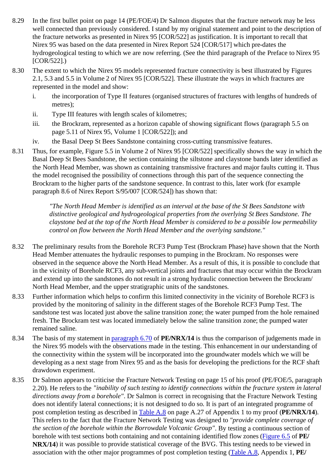- 8.29 In the first bullet point on page 14 (PE/FOE/4) Dr Salmon disputes that the fracture network may be less well connected than previously considered. I stand by my original statement and point to the description of the fracture networks as presented in Nirex 95 [COR/522] as justification. It is important to recall that Nirex 95 was based on the data presented in Nirex Report 524 [COR/517] which pre-dates the hydrogeological testing to which we are now referring. (See the third paragraph of the Preface to Nirex 95  $ICOR/5221.$
- 8.30 The extent to which the Nirex 95 models represented fracture connectivity is best illustrated by Figures 2.1, 5.3 and 5.5 in Volume 2 of Nirex 95 [COR/522]. These illustrate the ways in which fractures are represented in the model and show:
	- i. the incorporation of Type II features (organised structures of fractures with lengths of hundreds of metres);
	- ii. Type III features with length scales of kilometres;
	- iii. the Brockram, represented as a horizon capable of showing significant flows (paragraph 5.5 on page 5.11 of Nirex 95, Volume 1 [COR/522]); and
	- iv. the Basal Deep St Bees Sandstone containing cross-cutting transmissive features.
- 8.31 Thus, for example, Figure 5.5 in Volume 2 of Nirex 95 [COR/522] specifically shows the way in which the Basal Deep St Bees Sandstone, the section containing the siltstone and claystone bands later identified as the North Head Member, was shown as containing transmissive fractures and major faults cutting it. Thus the model recognised the possibility of connections through this part of the sequence connecting the Brockram to the higher parts of the sandstone sequence. In contrast to this, later work (for example paragraph 8.6 of Nirex Report S/95/007 [COR/524]) has shown that:

*"The North Head Member is identified as an interval at the base of the St Bees Sandstone with distinctive geological and hydrogeological properties from the overlying St Bees Sandstone. The claystone bed at the top of the North Head Member is considered to be a possible low permeability control on flow between the North Head Member and the overlying sandstone."*

- 8.32 The preliminary results from the Borehole RCF3 Pump Test (Brockram Phase) have shown that the North Head Member attenuates the hydraulic responses to pumping in the Brockram. No responses were observed in the sequence above the North Head Member. As a result of this, it is possible to conclude that in the vicinity of Borehole RCF3, any sub-vertical joints and fractures that may occur within the Brockram and extend up into the sandstones do not result in a strong hydraulic connection between the Brockram/ North Head Member, and the upper stratigraphic units of the sandstones.
- 8.33 Further information which helps to confirm this limited connectivity in the vicinity of Borehole RCF3 is provided by the monitoring of salinity in the different stages of the Borehole RCF3 Pump Test. The sandstone test was located just above the saline transition zone; the water pumped from the hole remained fresh. The Brockram test was located immediately below the saline transition zone; the pumped water remained saline.
- 8.34 The basis of my statement in paragraph 6.70 of **PE/NRX/14** is thus the comparison of judgements made in the Nirex 95 models with the observations made in the testing. This enhancement in our understanding of the connectivity within the system will be incorporated into the groundwater models which we will be developing as a next stage from Nirex 95 and as the basis for developing the predictions for the RCF shaft drawdown experiment.
- 8.35 Dr Salmon appears to criticise the Fracture Network Testing on page 15 of his proof (PE/FOE/5, paragraph 2.20). He refers to the *"inability of such testing to identify connections within the fracture system in lateral directions away from a borehole"*. Dr Salmon is correct in recognising that the Fracture Network Testing does not identify lateral connections; it is not designed to do so. It is part of an integrated programme of post completion testing as described in Table A.8 on page A.27 of Appendix 1 to my proof (**PE/NRX/14**). This refers to the fact that the Fracture Network Testing was designed to *"provide complete coverage of the section of the borehole within the Borrowdale Volcanic Group"*. By testing a continuous section of borehole with test sections both containing and not containing identified flow zones (Figure 6.5 of **PE/ NRX/14**) it was possible to provide statistical coverage of the BVG. This testing needs to be viewed in association with the other major programmes of post completion testing (Table A.8, Appendix 1, **PE/**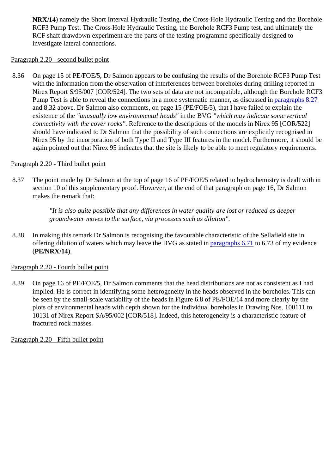**NRX/14**) namely the Short Interval Hydraulic Testing, the Cross-Hole Hydraulic Testing and the Borehole RCF3 Pump Test. The Cross-Hole Hydraulic Testing, the Borehole RCF3 Pump test, and ultimately the RCF shaft drawdown experiment are the parts of the testing programme specifically designed to investigate lateral connections.

## Paragraph 2.20 - second bullet point

8.36 On page 15 of PE/FOE/5, Dr Salmon appears to be confusing the results of the Borehole RCF3 Pump Test with the information from the observation of interferences between boreholes during drilling reported in Nirex Report S/95/007 [COR/524]. The two sets of data are not incompatible, although the Borehole RCF3 Pump Test is able to reveal the connections in a more systematic manner, as discussed in paragraphs 8.27 and 8.32 above. Dr Salmon also comments, on page 15 (PE/FOE/5), that I have failed to explain the existence of the *"unusually low environmental heads"* in the BVG *"which may indicate some vertical connectivity with the cover rocks"*. Reference to the descriptions of the models in Nirex 95 [COR/522] should have indicated to Dr Salmon that the possibility of such connections are explicitly recognised in Nirex 95 by the incorporation of both Type II and Type III features in the model. Furthermore, it should be again pointed out that Nirex 95 indicates that the site is likely to be able to meet regulatory requirements.

# Paragraph 2.20 - Third bullet point

8.37 The point made by Dr Salmon at the top of page 16 of PE/FOE/5 related to hydrochemistry is dealt with in section 10 of this supplementary proof. However, at the end of that paragraph on page 16, Dr Salmon makes the remark that:

> *"It is also quite possible that any differences in water quality are lost or reduced as deeper groundwater moves to the surface, via processes such as dilution".*

8.38 In making this remark Dr Salmon is recognising the favourable characteristic of the Sellafield site in offering dilution of waters which may leave the BVG as stated in paragraphs 6.71 to 6.73 of my evidence (**PE/NRX/14**).

## Paragraph 2.20 - Fourth bullet point

8.39 On page 16 of PE/FOE/5, Dr Salmon comments that the head distributions are not as consistent as I had implied. He is correct in identifying some heterogeneity in the heads observed in the boreholes. This can be seen by the small-scale variability of the heads in Figure 6.8 of PE/FOE/14 and more clearly by the plots of environmental heads with depth shown for the individual boreholes in Drawing Nos. 100111 to 10131 of Nirex Report SA/95/002 [COR/518]. Indeed, this heterogeneity is a characteristic feature of fractured rock masses.

Paragraph 2.20 - Fifth bullet point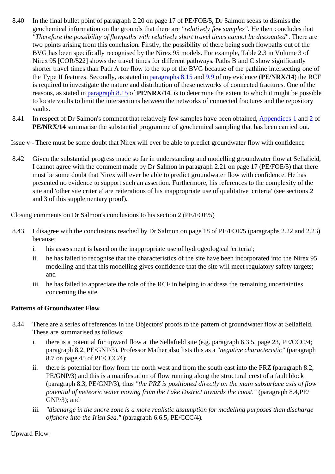- 8.40 In the final bullet point of paragraph 2.20 on page 17 of PE/FOE/5, Dr Salmon seeks to dismiss the geochemical information on the grounds that there are *"relatively few samples"*. He then concludes that *"Therefore the possibility of flowpaths with relatively short travel times cannot be discounted"*. There are two points arising from this conclusion. Firstly, the possibility of there being such flowpaths out of the BVG has been specifically recognised by the Nirex 95 models. For example, Table 2.3 in Volume 3 of Nirex 95 [COR/522] shows the travel times for different pathways. Paths B and C show significantly shorter travel times than Path A for flow to the top of the BVG because of the pathline intersecting one of the Type II features. Secondly, as stated in paragraphs 8.15 and 9.9 of my evidence (**PE/NRX/14**) the RCF is required to investigate the nature and distribution of these networks of connected fractures. One of the reasons, as stated in paragraph 8.15 of **PE/NRX/14**, is to determine the extent to which it might be possible to locate vaults to limit the intersections between the networks of connected fractures and the repository vaults.
- 8.41 In respect of Dr Salmon's comment that relatively few samples have been obtained, Appendices 1 and 2 of **PE/NRX/14** summarise the substantial programme of geochemical sampling that has been carried out.

### Issue v - There must be some doubt that Nirex will ever be able to predict groundwater flow with confidence

8.42 Given the substantial progress made so far in understanding and modelling groundwater flow at Sellafield, I cannot agree with the comment made by Dr Salmon in paragraph 2.21 on page 17 (PE/FOE/5) that there must be some doubt that Nirex will ever be able to predict groundwater flow with confidence. He has presented no evidence to support such an assertion. Furthermore, his references to the complexity of the site and 'other site criteria' are reiterations of his inappropriate use of qualitative 'criteria' (see sections 2 and 3 of this supplementary proof).

### Closing comments on Dr Salmon's conclusions to his section 2 (PE/FOE/5)

- 8.43 I disagree with the conclusions reached by Dr Salmon on page 18 of PE/FOE/5 (paragraphs 2.22 and 2.23) because:
	- i. his assessment is based on the inappropriate use of hydrogeological 'criteria';
	- ii. he has failed to recognise that the characteristics of the site have been incorporated into the Nirex 95 modelling and that this modelling gives confidence that the site will meet regulatory safety targets; and
	- iii. he has failed to appreciate the role of the RCF in helping to address the remaining uncertainties concerning the site.

#### **Patterns of Groundwater Flow**

- 8.44 There are a series of references in the Objectors' proofs to the pattern of groundwater flow at Sellafield. These are summarised as follows:
	- i. there is a potential for upward flow at the Sellafield site (e.g. paragraph 6.3.5, page 23, PE/CCC/4; paragraph 8.2, PE/GNP/3). Professor Mather also lists this as a *"negative characteristic"* (paragraph 8.7 on page 45 of PE/CCC/4);
	- ii. there is potential for flow from the north west and from the south east into the PRZ (paragraph 8.2, PE/GNP/3) and this is a manifestation of flow running along the structural crest of a fault block (paragraph 8.3, PE/GNP/3), thus *"the PRZ is positioned directly on the main subsurface axis of flow potential of meteoric water moving from the Lake District towards the coast."* (paragraph 8.4,PE/ GNP/3); and
	- iii. *"discharge in the shore zone is a more realistic assumption for modelling purposes than discharge offshore into the Irish Sea."* (paragraph 6.6.5, PE/CCC/4).

#### Upward Flow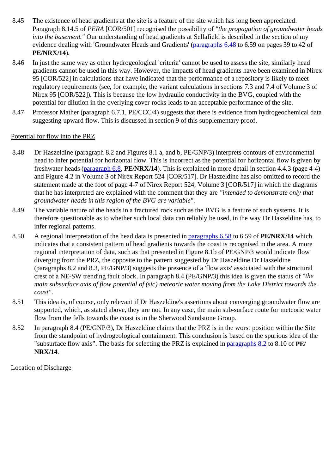- 8.45 The existence of head gradients at the site is a feature of the site which has long been appreciated. Paragraph 8.14.5 of *PERA* [COR/501] recognised the possibility of *"the propagation of groundwater heads into the basement."* Our understanding of head gradients at Sellafield is described in the section of my evidence dealing with 'Groundwater Heads and Gradients' (paragraphs 6.48 to 6.59 on pages 39 to 42 of **PE/NRX/14**).
- 8.46 In just the same way as other hydrogeological 'criteria' cannot be used to assess the site, similarly head gradients cannot be used in this way. However, the impacts of head gradients have been examined in Nirex 95 [COR/522] in calculations that have indicated that the performance of a repository is likely to meet regulatory requirements (see, for example, the variant calculations in sections 7.3 and 7.4 of Volume 3 of Nirex 95 [COR/522]). This is because the low hydraulic conductivity in the BVG, coupled with the potential for dilution in the overlying cover rocks leads to an acceptable performance of the site.
- 8.47 Professor Mather (paragraph 6.7.1, PE/CCC/4) suggests that there is evidence from hydrogeochemical data suggesting upward flow. This is discussed in section 9 of this supplementary proof.

### Potential for flow into the PRZ

- 8.48 Dr Haszeldine (paragraph 8.2 and Figures 8.1 a, and b, PE/GNP/3) interprets contours of environmental head to infer potential for horizontal flow. This is incorrect as the potential for horizontal flow is given by freshwater heads (paragraph 6.8, **PE/NRX/14**). This is explained in more detail in section 4.4.3 (page 4-4) and Figure 4.2 in Volume 3 of Nirex Report 524 [COR/517]. Dr Haszeldine has also omitted to record the statement made at the foot of page 4-7 of Nirex Report 524, Volume 3 [COR/517] in which the diagrams that he has interpreted are explained with the comment that they are *"intended to demonstrate only that groundwater heads in this region of the BVG are variable"*.
- 8.49 The variable nature of the heads in a fractured rock such as the BVG is a feature of such systems. It is therefore questionable as to whether such local data can reliably be used, in the way Dr Haszeldine has, to infer regional patterns.
- 8.50 A regional interpretation of the head data is presented in paragraphs 6.58 to 6.59 of **PE/NRX/14** which indicates that a consistent pattern of head gradients towards the coast is recognised in the area. A more regional interpretation of data, such as that presented in Figure 8.1b of PE/GNP/3 would indicate flow diverging from the PRZ, the opposite to the pattern suggested by Dr Haszeldine.Dr Haszeldine (paragraphs 8.2 and 8.3, PE/GNP/3) suggests the presence of a 'flow axis' associated with the structural crest of a NE-SW trending fault block. In paragraph 8.4 (PE/GNP/3) this idea is given the status of *"the main subsurface axis of flow potential of (sic) meteoric water moving from the Lake District towards the coast"*.
- 8.51 This idea is, of course, only relevant if Dr Haszeldine's assertions about converging groundwater flow are supported, which, as stated above, they are not. In any case, the main sub-surface route for meteoric water flow from the fells towards the coast is in the Sherwood Sandstone Group.
- 8.52 In paragraph 8.4 (PE/GNP/3), Dr Haszeldine claims that the PRZ is in the worst position within the Site from the standpoint of hydrogeological containment. This conclusion is based on the spurious idea of the "subsurface flow axis". The basis for selecting the PRZ is explained in paragraphs 8.2 to 8.10 of **PE/ NRX/14**.

## Location of Discharge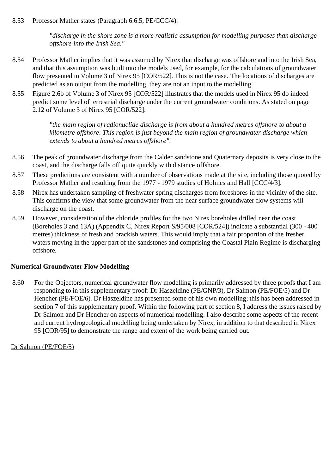8.53 Professor Mather states (Paragraph 6.6.5, PE/CCC/4):

*"discharge in the shore zone is a more realistic assumption for modelling purposes than discharge offshore into the Irish Sea."*

- 8.54 Professor Mather implies that it was assumed by Nirex that discharge was offshore and into the Irish Sea, and that this assumption was built into the models used, for example, for the calculations of groundwater flow presented in Volume 3 of Nirex 95 [COR/522]. This is not the case. The locations of discharges are predicted as an output from the modelling, they are not an input to the modelling.
- 8.55 Figure 2.6b of Volume 3 of Nirex 95 [COR/522] illustrates that the models used in Nirex 95 do indeed predict some level of terrestrial discharge under the current groundwater conditions. As stated on page 2.12 of Volume 3 of Nirex 95 [COR/522]:

*"the main region of radionuclide discharge is from about a hundred metres offshore to about a kilometre offshore. This region is just beyond the main region of groundwater discharge which extends to about a hundred metres offshore".*

- 8.56 The peak of groundwater discharge from the Calder sandstone and Quaternary deposits is very close to the coast, and the discharge falls off quite quickly with distance offshore.
- 8.57 These predictions are consistent with a number of observations made at the site, including those quoted by Professor Mather and resulting from the 1977 - 1979 studies of Holmes and Hall [CCC/4/3].
- 8.58 Nirex has undertaken sampling of freshwater spring discharges from foreshores in the vicinity of the site. This confirms the view that some groundwater from the near surface groundwater flow systems will discharge on the coast.
- 8.59 However, consideration of the chloride profiles for the two Nirex boreholes drilled near the coast (Boreholes 3 and 13A) (Appendix C, Nirex Report S/95/008 [COR/524]) indicate a substantial (300 - 400 metres) thickness of fresh and brackish waters. This would imply that a fair proportion of the fresher waters moving in the upper part of the sandstones and comprising the Coastal Plain Regime is discharging offshore.

## **Numerical Groundwater Flow Modelling**

8.60 For the Objectors, numerical groundwater flow modelling is primarily addressed by three proofs that I am responding to in this supplementary proof: Dr Haszeldine (PE/GNP/3), Dr Salmon (PE/FOE/5) and Dr Hencher (PE/FOE/6). Dr Haszeldine has presented some of his own modelling; this has been addressed in section 7 of this supplementary proof. Within the following part of section 8, I address the issues raised by Dr Salmon and Dr Hencher on aspects of numerical modelling. I also describe some aspects of the recent and current hydrogeological modelling being undertaken by Nirex, in addition to that described in Nirex 95 [COR/95] to demonstrate the range and extent of the work being carried out.

#### Dr Salmon (PE/FOE/5)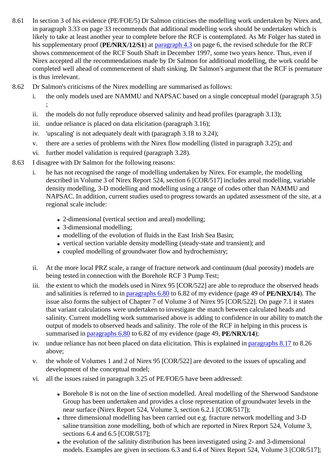- 8.61 In section 3 of his evidence (PE/FOE/5) Dr Salmon criticises the modelling work undertaken by Nirex and, in paragraph 3.33 on page 33 recommends that additional modelling work should be undertaken which is likely to take at least another year to complete before the RCF is contemplated. As Mr Folger has stated in his supplementary proof (**PE/NRX/12/S1**) at paragraph 4.3 on page 6, the revised schedule for the RCF shows commencement of the RCF South Shaft in December 1997, some two years hence. Thus, even if Nirex accepted all the recommendations made by Dr Salmon for additional modelling, the work could be completed well ahead of commencement of shaft sinking. Dr Salmon's argument that the RCF is premature is thus irrelevant.
- 8.62 Dr Salmon's criticisms of the Nirex modelling are summarised as follows:
	- i. the only models used are NAMMU and NAPSAC based on a single conceptual model (paragraph 3.5) ;
	- ii. the models do not fully reproduce observed salinity and head profiles (paragraph 3.13);
	- iii. undue reliance is placed on data elicitation (paragraph 3.16);
	- iv. 'upscaling' is not adequately dealt with (paragraph 3.18 to 3.24);
	- v. there are a series of problems with the Nirex flow modelling (listed in paragraph 3.25); and
	- vi. further model validation is required (paragraph 3.28).
- 8.63 I disagree with Dr Salmon for the following reasons:
	- i. he has not recognised the range of modelling undertaken by Nirex. For example, the modelling described in Volume 3 of Nirex Report 524, section 6 [COR/517] includes areal modelling, variable density modelling, 3-D modelling and modelling using a range of codes other than NAMMU and NAPSAC. In addition, current studies used to progress towards an updated assessment of the site, at a regional scale include:
		- 2-dimensional (vertical section and areal) modelling;
		- 3-dimensional modelling;
		- modelling of the evolution of fluids in the East Irish Sea Basin;
		- vertical section variable density modelling (steady-state and transient); and
		- coupled modelling of groundwater flow and hydrochemistry;
	- ii. At the more local PRZ scale, a range of fracture network and continuum (dual porosity) models are being tested in connection with the Borehole RCF 3 Pump Test;
	- iii. the extent to which the models used in Nirex 95 [COR/522] are able to reproduce the observed heads and salinities is referred to in paragraphs 6.80 to 6.82 of my evidence (page 49 of **PE/NRX/14**). The issue also forms the subject of Chapter 7 of Volume 3 of Nirex 95 [COR/522]. On page 7.1 it states that variant calculations were undertaken to investigate the match between calculated heads and salinity. Current modelling work summarised above is adding to confidence in our ability to match the output of models to observed heads and salinity. The role of the RCF in helping in this process is summarised in paragraphs 6.80 to 6.82 of my evidence (page 49, **PE/NRX/14**);
	- iv. undue reliance has not been placed on data elicitation. This is explained in paragraphs 8.17 to 8.26 above;
	- v. the whole of Volumes 1 and 2 of Nirex 95 [COR/522] are devoted to the issues of upscaling and development of the conceptual model;
	- vi. all the issues raised in paragraph 3.25 of PE/FOE/5 have been addressed:
		- Borehole 8 is not on the line of section modelled. Areal modelling of the Sherwood Sandstone Group has been undertaken and provides a close representation of groundwater levels in the near surface (Nirex Report 524, Volume 3, section 6.2.1 [COR/517]);
		- three dimensional modelling has been carried out e.g. fracture network modelling and 3-D saline transition zone modelling, both of which are reported in Nirex Report 524, Volume 3, sections 6.4 and 6.5 [COR/517];
		- the evolution of the salinity distribution has been investigated using 2- and 3-dimensional models. Examples are given in sections 6.3 and 6.4 of Nirex Report 524, Volume 3 [COR/517];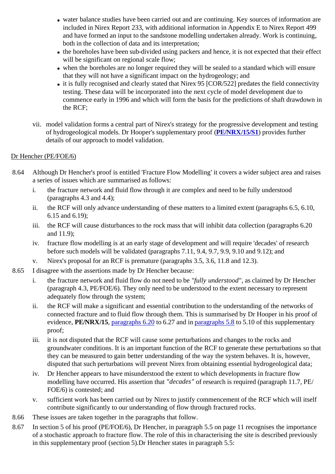- water balance studies have been carried out and are continuing. Key sources of information are included in Nirex Report 233, with additional information in Appendix E to Nirex Report 499 and have formed an input to the sandstone modelling undertaken already. Work is continuing, both in the collection of data and its interpretation;
- the boreholes have been sub-divided using packers and hence, it is not expected that their effect will be significant on regional scale flow:
- when the boreholes are no longer required they will be sealed to a standard which will ensure that they will not have a significant impact on the hydrogeology; and
- $\bullet$  it is fully recognised and clearly stated that Nirex 95 [COR/522] predates the field connectivity testing. These data will be incorporated into the next cycle of model development due to commence early in 1996 and which will form the basis for the predictions of shaft drawdown in the RCF;
- vii. model validation forms a central part of Nirex's strategy for the progressive development and testing of hydrogeological models. Dr Hooper's supplementary proof (**PE/NRX/15/S1**) provides further details of our approach to model validation.

# Dr Hencher (PE/FOE/6)

- 8.64 Although Dr Hencher's proof is entitled 'Fracture Flow Modelling' it covers a wider subject area and raises a series of issues which are summarised as follows:
	- i. the fracture network and fluid flow through it are complex and need to be fully understood (paragraphs 4.3 and 4.4);
	- ii. the RCF will only advance understanding of these matters to a limited extent (paragraphs 6.5, 6.10, 6.15 and 6.19);
	- iii. the RCF will cause disturbances to the rock mass that will inhibit data collection (paragraphs 6.20 and 11.9);
	- iv. fracture flow modelling is at an early stage of development and will require 'decades' of research before such models will be validated (paragraphs 7.11, 9.4, 9.7, 9.9, 9.10 and 9.12); and
	- v. Nirex's proposal for an RCF is premature (paragraphs 3.5, 3.6, 11.8 and 12.3).
- 8.65 I disagree with the assertions made by Dr Hencher because:
	- i. the fracture network and fluid flow do not need to be *"fully understood"*, as claimed by Dr Hencher (paragraph 4.3, PE/FOE/6). They only need to be understood to the extent necessary to represent adequately flow through the system;
	- ii. the RCF will make a significant and essential contribution to the understanding of the networks of connected fracture and to fluid flow through them. This is summarised by Dr Hooper in his proof of evidence, **PE/NRX/15**, paragraphs 6.20 to 6.27 and in paragraphs 5.8 to 5.10 of this supplementary proof;
	- iii. it is not disputed that the RCF will cause some perturbations and changes to the rocks and groundwater conditions. It is an important function of the RCF to generate these perturbations so that they can be measured to gain better understanding of the way the system behaves. It is, however, disputed that such perturbations will prevent Nirex from obtaining essential hydrogeological data;
	- iv. Dr Hencher appears to have misunderstood the extent to which developments in fracture flow modelling have occurred. His assertion that *"decades"* of research is required (paragraph 11.7, PE/ FOE/6) is contested; and
	- v. sufficient work has been carried out by Nirex to justify commencement of the RCF which will itself contribute significantly to our understanding of flow through fractured rocks.
- 8.66 These issues are taken together in the paragraphs that follow.
- 8.67 In section 5 of his proof (PE/FOE/6), Dr Hencher, in paragraph 5.5 on page 11 recognises the importance of a stochastic approach to fracture flow. The role of this in characterising the site is described previously in this supplementary proof (section 5).Dr Hencher states in paragraph 5.5: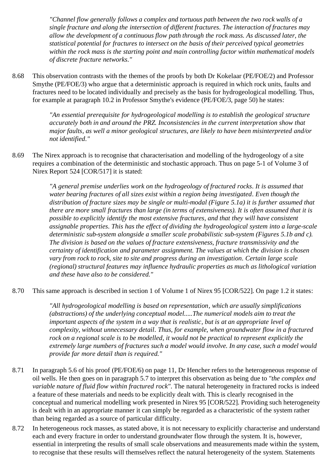*"Channel flow generally follows a complex and tortuous path between the two rock walls of a single fracture and along the intersection of different fractures. The interaction of fractures may allow the development of a continuous flow path through the rock mass. As discussed later, the statistical potential for fractures to intersect on the basis of their perceived typical geometries within the rock mass is the starting point and main controlling factor within mathematical models of discrete fracture networks."*

8.68 This observation contrasts with the themes of the proofs by both Dr Kokelaar (PE/FOE/2) and Professor Smythe (PE/FOE/3) who argue that a deterministic approach is required in which rock units, faults and fractures need to be located individually and precisely as the basis for hydrogeological modelling. Thus, for example at paragraph 10.2 in Professor Smythe's evidence (PE/FOE/3, page 50) he states:

> *"An essential prerequisite for hydrogeological modelling is to establish the geological structure accurately both in and around the PRZ. Inconsistencies in the current interpretation show that major faults, as well a minor geological structures, are likely to have been misinterpreted and/or not identified."*

8.69 The Nirex approach is to recognise that characterisation and modelling of the hydrogeology of a site requires a combination of the deterministic and stochastic approach. Thus on page 5-1 of Volume 3 of Nirex Report 524 [COR/517] it is stated:

> *"A general premise underlies work on the hydrogeology of fractured rocks. It is assumed that water bearing fractures of all sizes exist within a region being investigated. Even though the distribution of fracture sizes may be single or multi-modal (Figure 5.1a) it is further assumed that there are more small fractures than large (in terms of extensiveness). It is often assumed that it is possible to explicitly identify the most extensive fractures, and that they will have consistent assignable properties. This has the effect of dividing the hydrogeological system into a large-scale deterministic sub-system alongside a smaller scale probabilistic sub-system (Figures 5.1b and c). The division is based on the values of fracture extensiveness, fracture transmissivity and the certainty of identification and parameter assignment. The values at which the division is chosen vary from rock to rock, site to site and progress during an investigation. Certain large scale (regional) structural features may influence hydraulic properties as much as lithological variation and these have also to be considered."*

8.70 This same approach is described in section 1 of Volume 1 of Nirex 95 [COR/522]. On page 1.2 it states:

*"All hydrogeological modelling is based on representation, which are usually simplifications (abstractions) of the underlying conceptual model.....The numerical models aim to treat the important aspects of the system in a way that is realistic, but is at an appropriate level of complexity, without unnecessary detail. Thus, for example, when groundwater flow in a fractured rock on a regional scale is to be modelled, it would not be practical to represent explicitly the extremely large numbers of fractures such a model would involve. In any case, such a model would provide far more detail than is required."*

- 8.71 In paragraph 5.6 of his proof (PE/FOE/6) on page 11, Dr Hencher refers to the heterogeneous response of oil wells. He then goes on in paragraph 5.7 to interpret this observation as being due to *"the complex and variable nature of fluid flow within fractured rock"*. The natural heterogeneity in fractured rocks is indeed a feature of these materials and needs to be explicitly dealt with. This is clearly recognised in the conceptual and numerical modelling work presented in Nirex 95 [COR/522]. Providing such heterogeneity is dealt with in an appropriate manner it can simply be regarded as a characteristic of the system rather than being regarded as a source of particular difficulty.
- 8.72 In heterogeneous rock masses, as stated above, it is not necessary to explicitly characterise and understand each and every fracture in order to understand groundwater flow through the system. It is, however, essential in interpreting the results of small scale observations and measurements made within the system, to recognise that these results will themselves reflect the natural heterogeneity of the system. Statements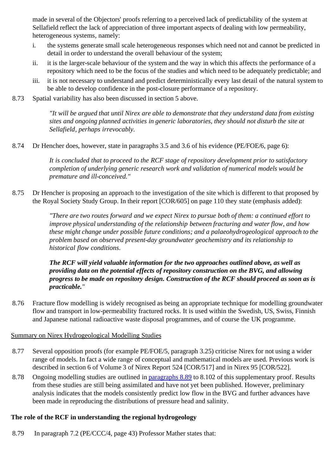made in several of the Objectors' proofs referring to a perceived lack of predictability of the system at Sellafield reflect the lack of appreciation of three important aspects of dealing with low permeability, heterogeneous systems, namely:

- i. the systems generate small scale heterogeneous responses which need not and cannot be predicted in detail in order to understand the overall behaviour of the system;
- ii. it is the larger-scale behaviour of the system and the way in which this affects the performance of a repository which need to be the focus of the studies and which need to be adequately predictable; and
- iii. it is not necessary to understand and predict deterministically every last detail of the natural system to be able to develop confidence in the post-closure performance of a repository.
- 8.73 Spatial variability has also been discussed in section 5 above.

*"It will be argued that until Nirex are able to demonstrate that they understand data from existing sites and ongoing planned activities in generic laboratories, they should not disturb the site at Sellafield, perhaps irrevocably.*

8.74 Dr Hencher does, however, state in paragraphs 3.5 and 3.6 of his evidence (PE/FOE/6, page 6):

*It is concluded that to proceed to the RCF stage of repository development prior to satisfactory completion of underlying generic research work and validation of numerical models would be premature and ill-conceived."*

8.75 Dr Hencher is proposing an approach to the investigation of the site which is different to that proposed by the Royal Society Study Group. In their report [COR/605] on page 110 they state (emphasis added):

> *"There are two routes forward and we expect Nirex to pursue both of them: a continued effort to improve physical understanding of the relationship between fracturing and water flow, and how these might change under possible future conditions; and a palaeohydrogeological approach to the problem based on observed present-day groundwater geochemistry and its relationship to historical flow conditions.*

*The RCF will yield valuable information for the two approaches outlined above, as well as providing data on the potential effects of repository construction on the BVG, and allowing progress to be made on repository design. Construction of the RCF should proceed as soon as is practicable."*

8.76 Fracture flow modelling is widely recognised as being an appropriate technique for modelling groundwater flow and transport in low-permeability fractured rocks. It is used within the Swedish, US, Swiss, Finnish and Japanese national radioactive waste disposal programmes, and of course the UK programme.

#### Summary on Nirex Hydrogeological Modelling Studies

- 8.77 Several opposition proofs (for example PE/FOE/5, paragraph 3.25) criticise Nirex for not using a wider range of models. In fact a wide range of conceptual and mathematical models are used. Previous work is described in section 6 of Volume 3 of Nirex Report 524 [COR/517] and in Nirex 95 [COR/522].
- 8.78 Ongoing modelling studies are outlined in paragraphs 8.89 to 8.102 of this supplementary proof. Results from these studies are still being assimilated and have not yet been published. However, preliminary analysis indicates that the models consistently predict low flow in the BVG and further advances have been made in reproducing the distributions of pressure head and salinity.

## **The role of the RCF in understanding the regional hydrogeology**

8.79 In paragraph 7.2 (PE/CCC/4, page 43) Professor Mather states that: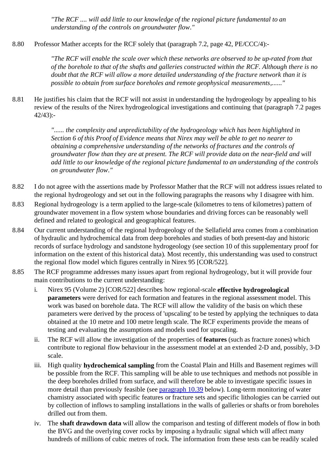*"The RCF .... will add little to our knowledge of the regional picture fundamental to an understanding of the controls on groundwater flow."*

8.80 Professor Mather accepts for the RCF solely that (paragraph 7.2, page 42, PE/CCC/4):-

*"The RCF will enable the scale over which these networks are observed to be up-rated from that of the borehole to that of the shafts and galleries constructed within the RCF. Although there is no doubt that the RCF will allow a more detailed understanding of the fracture network than it is possible to obtain from surface boreholes and remote geophysical measurements,......"*

8.81 He justifies his claim that the RCF will not assist in understanding the hydrogeology by appealing to his review of the results of the Nirex hydrogeological investigations and continuing that (paragraph 7.2 pages 42/43):-

> *"...... the complexity and unpredictability of the hydrogeology which has been highlighted in Section 6 of this Proof of Evidence means that Nirex may well be able to get no nearer to obtaining a comprehensive understanding of the networks of fractures and the controls of groundwater flow than they are at present. The RCF will provide data on the near-field and will add little to our knowledge of the regional picture fundamental to an understanding of the controls on groundwater flow."*

- 8.82 I do not agree with the assertions made by Professor Mather that the RCF will not address issues related to the regional hydrogeology and set out in the following paragraphs the reasons why I disagree with him.
- 8.83 Regional hydrogeology is a term applied to the large-scale (kilometres to tens of kilometres) pattern of groundwater movement in a flow system whose boundaries and driving forces can be reasonably well defined and related to geological and geographical features.
- 8.84 Our current understanding of the regional hydrogeology of the Sellafield area comes from a combination of hydraulic and hydrochemical data from deep boreholes and studies of both present-day and historic records of surface hydrology and sandstone hydrogeology (see section 10 of this supplementary proof for information on the extent of this historical data). Most recently, this understanding was used to construct the regional flow model which figures centrally in Nirex 95 [COR/522].
- 8.85 The RCF programme addresses many issues apart from regional hydrogeology, but it will provide four main contributions to the current understanding:
	- i. Nirex 95 (Volume 2) [COR/522] describes how regional-scale **effective hydrogeological parameters** were derived for each formation and features in the regional assessment model. This work was based on borehole data. The RCF will allow the validity of the basis on which these parameters were derived by the process of 'upscaling' to be tested by applying the techniques to data obtained at the 10 metre and 100 metre length scale. The RCF experiments provide the means of testing and evaluating the assumptions and models used for upscaling.
	- ii. The RCF will allow the investigation of the properties of **features** (such as fracture zones) which contribute to regional flow behaviour in the assessment model at an extended 2-D and, possibly, 3-D scale.
	- iii. High quality **hydrochemical sampling** from the Coastal Plain and Hills and Basement regimes will be possible from the RCF. This sampling will be able to use techniques and methods not possible in the deep boreholes drilled from surface, and will therefore be able to investigate specific issues in more detail than previously feasible (see paragraph 10.39 below). Long-term monitoring of water chamistry associated with specific features or fracture sets and specific lithologies can be carried out by collection of inflows to sampling installations in the walls of galleries or shafts or from boreholes drilled out from them.
	- iv. The **shaft drawdown data** will allow the comparison and testing of different models of flow in both the BVG and the overlying cover rocks by imposing a hydraulic signal which will affect many hundreds of millions of cubic metres of rock. The information from these tests can be readily scaled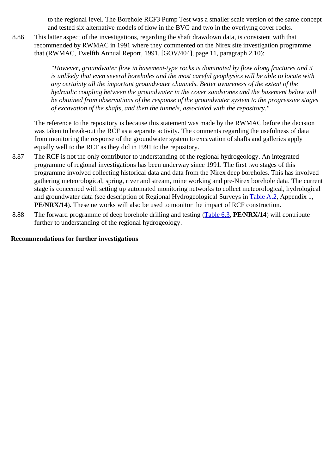to the regional level. The Borehole RCF3 Pump Test was a smaller scale version of the same concept and tested six alternative models of flow in the BVG and two in the overlying cover rocks.

8.86 This latter aspect of the investigations, regarding the shaft drawdown data, is consistent with that recommended by RWMAC in 1991 where they commented on the Nirex site investigation programme that (RWMAC, Twelfth Annual Report, 1991, [GOV/404], page 11, paragraph 2.10):

> *"However, groundwater flow in basement-type rocks is dominated by flow along fractures and it is unlikely that even several boreholes and the most careful geophysics will be able to locate with any certainty all the important groundwater channels. Better awareness of the extent of the hydraulic coupling between the groundwater in the cover sandstones and the basement below will be obtained from observations of the response of the groundwater system to the progressive stages of excavation of the shafts, and then the tunnels, associated with the repository."*

The reference to the repository is because this statement was made by the RWMAC before the decision was taken to break-out the RCF as a separate activity. The comments regarding the usefulness of data from monitoring the response of the groundwater system to excavation of shafts and galleries apply equally well to the RCF as they did in 1991 to the repository.

- 8.87 The RCF is not the only contributor to understanding of the regional hydrogeology. An integrated programme of regional investigations has been underway since 1991. The first two stages of this programme involved collecting historical data and data from the Nirex deep boreholes. This has involved gathering meteorological, spring, river and stream, mine working and pre-Nirex borehole data. The current stage is concerned with setting up automated monitoring networks to collect meteorological, hydrological and groundwater data (see description of Regional Hydrogeological Surveys in Table A.2, Appendix 1, **PE/NRX/14**). These networks will also be used to monitor the impact of RCF construction.
- 8.88 The forward programme of deep borehole drilling and testing (Table 6.3, **PE/NRX/14**) will contribute further to understanding of the regional hydrogeology.

### **Recommendations for further investigations**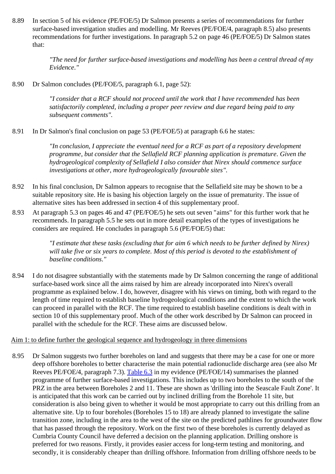8.89 In section 5 of his evidence (PE/FOE/5) Dr Salmon presents a series of recommendations for further surface-based investigation studies and modelling. Mr Reeves (PE/FOE/4, paragraph 8.5) also presents recommendations for further investigations. In paragraph 5.2 on page 46 (PE/FOE/5) Dr Salmon states that:

> *"The need for further surface-based investigations and modelling has been a central thread of my Evidence."*

8.90 Dr Salmon concludes (PE/FOE/5, paragraph 6.1, page 52):

*"I consider that a RCF should not proceed until the work that I have recommended has been satisfactorily completed, including a proper peer review and due regard being paid to any subsequent comments".*

8.91 In Dr Salmon's final conclusion on page 53 (PE/FOE/5) at paragraph 6.6 he states:

*"In conclusion, I appreciate the eventual need for a RCF as part of a repository development programme, but consider that the Sellafield RCF planning application is premature. Given the hydrogeological complexity of Sellafield I also consider that Nirex should commence surface investigations at other, more hydrogeologically favourable sites".*

- 8.92 In his final conclusion, Dr Salmon appears to recognise that the Sellafield site may be shown to be a suitable repository site. He is basing his objection largely on the issue of prematurity. The issue of alternative sites has been addressed in section 4 of this supplementary proof.
- 8.93 At paragraph 5.3 on pages 46 and 47 (PE/FOE/5) he sets out seven "aims" for this further work that he recommends. In paragraph 5.5 he sets out in more detail examples of the types of investigations he considers are required. He concludes in paragraph 5.6 (PE/FOE/5) that:

*"I estimate that these tasks (excluding that for aim 6 which needs to be further defined by Nirex) will take five or six years to complete. Most of this period is devoted to the establishment of baseline conditions."*

8.94 I do not disagree substantially with the statements made by Dr Salmon concerning the range of additional surface-based work since all the aims raised by him are already incorporated into Nirex's overall programme as explained below. I do, however, disagree with his views on timing, both with regard to the length of time required to establish baseline hydrogeological conditions and the extent to which the work can proceed in parallel with the RCF. The time required to establish baseline conditions is dealt with in section 10 of this supplementary proof. Much of the other work described by Dr Salmon can proceed in parallel with the schedule for the RCF. These aims are discussed below.

#### Aim 1: to define further the geological sequence and hydrogeology in three dimensions

8.95 Dr Salmon suggests two further boreholes on land and suggests that there may be a case for one or more deep offshore boreholes to better characterise the main potential radionuclide discharge area (see also Mr Reeves PE/FOE/4, paragraph 7.3). Table 6.3 in my evidence (PE/FOE/14) summarises the planned programme of further surface-based investigations. This includes up to two boreholes to the south of the PRZ in the area between Boreholes 2 and 11. These are shown as 'drilling into the Seascale Fault Zone'. It is anticipated that this work can be carried out by inclined drilling from the Borehole 11 site, but consideration is also being given to whether it would be most appropriate to carry out this drilling from an alternative site. Up to four boreholes (Boreholes 15 to 18) are already planned to investigate the saline transition zone, including in the area to the west of the site on the predicted pathlines for groundwater flow that has passed through the repository. Work on the first two of these boreholes is currently delayed as Cumbria County Council have deferred a decision on the planning application. Drilling onshore is preferred for two reasons. Firstly, it provides easier access for long-term testing and monitoring, and secondly, it is considerably cheaper than drilling offshore. Information from drilling offshore needs to be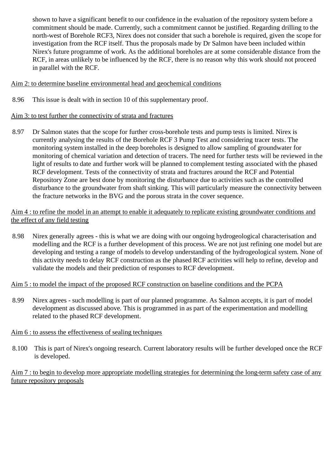shown to have a significant benefit to our confidence in the evaluation of the repository system before a commitment should be made. Currently, such a commitment cannot be justified. Regarding drilling to the north-west of Borehole RCF3, Nirex does not consider that such a borehole is required, given the scope for investigation from the RCF itself. Thus the proposals made by Dr Salmon have been included within Nirex's future programme of work. As the additional boreholes are at some considerable distance from the RCF, in areas unlikely to be influenced by the RCF, there is no reason why this work should not proceed in parallel with the RCF.

# Aim 2: to determine baseline environmental head and geochemical conditions

8.96 This issue is dealt with in section 10 of this supplementary proof.

## Aim 3: to test further the connectivity of strata and fractures

8.97 Dr Salmon states that the scope for further cross-borehole tests and pump tests is limited. Nirex is currently analysing the results of the Borehole RCF 3 Pump Test and considering tracer tests. The monitoring system installed in the deep boreholes is designed to allow sampling of groundwater for monitoring of chemical variation and detection of tracers. The need for further tests will be reviewed in the light of results to date and further work will be planned to complement testing associated with the phased RCF development. Tests of the connectivity of strata and fractures around the RCF and Potential Repository Zone are best done by monitoring the disturbance due to activities such as the controlled disturbance to the groundwater from shaft sinking. This will particularly measure the connectivity between the fracture networks in the BVG and the porous strata in the cover sequence.

### Aim 4 : to refine the model in an attempt to enable it adequately to replicate existing groundwater conditions and the effect of any field testing

8.98 Nirex generally agrees - this is what we are doing with our ongoing hydrogeological characterisation and modelling and the RCF is a further development of this process. We are not just refining one model but are developing and testing a range of models to develop understanding of the hydrogeological system. None of this activity needs to delay RCF construction as the phased RCF activities will help to refine, develop and validate the models and their prediction of responses to RCF development.

## Aim 5 : to model the impact of the proposed RCF construction on baseline conditions and the PCPA

8.99 Nirex agrees - such modelling is part of our planned programme. As Salmon accepts, it is part of model development as discussed above. This is programmed in as part of the experimentation and modelling related to the phased RCF development.

## Aim 6 : to assess the effectiveness of sealing techniques

8.100 This is part of Nirex's ongoing research. Current laboratory results will be further developed once the RCF is developed.

# Aim 7 : to begin to develop more appropriate modelling strategies for determining the long-term safety case of any future repository proposals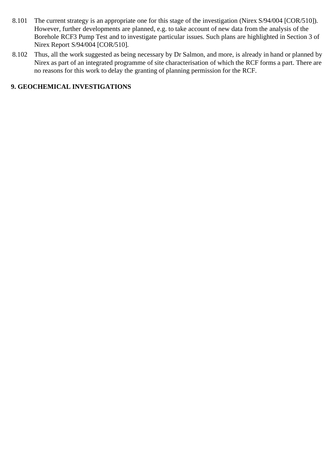- 8.101 The current strategy is an appropriate one for this stage of the investigation (Nirex S/94/004 [COR/510]). However, further developments are planned, e.g. to take account of new data from the analysis of the Borehole RCF3 Pump Test and to investigate particular issues. Such plans are highlighted in Section 3 of Nirex Report S/94/004 [COR/510].
- 8.102 Thus, all the work suggested as being necessary by Dr Salmon, and more, is already in hand or planned by Nirex as part of an integrated programme of site characterisation of which the RCF forms a part. There are no reasons for this work to delay the granting of planning permission for the RCF.

## **9. GEOCHEMICAL INVESTIGATIONS**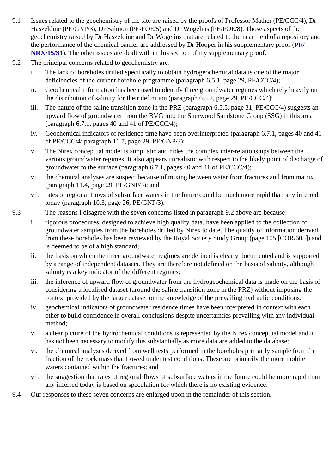- 9.1 Issues related to the geochemistry of the site are raised by the proofs of Professor Mather (PE/CCC/4), Dr Haszeldine (PE/GNP/3), Dr Salmon (PE/FOE/5) and Dr Wogelius (PE/FOE/8). Those aspects of the geochemistry raised by Dr Haszeldine and Dr Wogelius that are related to the near field of a repository and the performance of the chemical barrier are addressed by Dr Hooper in his supplementary proof (**PE/ NRX/15/S1**). The other issues are dealt with in this section of my supplementary proof.
- 9.2 The principal concerns related to geochemistry are:
	- i. The lack of boreholes drilled specifically to obtain hydrogeochemical data is one of the major deficiencies of the current borehole programme (paragraph 6.5.1, page 29, PE/CCC/4);
	- ii. Geochemical information has been used to identify three groundwater regimes which rely heavily on the distribution of salinity for their definition (paragraph 6.5.2, page 29, PE/CCC/4);
	- iii. The nature of the saline transition zone in the PRZ (paragraph 6.5.5, page 31, PE/CCC/4) suggests an upward flow of groundwater from the BVG into the Sherwood Sandstone Group (SSG) in this area (paragraph  $6.7.1$ , pages 40 and 41 of PE/CCC/4);
	- iv. Geochemical indicators of residence time have been overinterpreted (paragraph 6.7.1, pages 40 and 41 of PE/CCC/4; paragraph 11.7, page 29, PE/GNP/3);
	- v. The Nirex conceptual model is simplistic and hides the complex inter-relationships between the various groundwater regimes. It also appears unrealistic with respect to the likely point of discharge of groundwater to the surface (paragraph 6.7.1, pages 40 and 41 of PE/CCC/4);
	- vi. the chemical analyses are suspect because of mixing between water from fractures and from matrix (paragraph 11.4, page 29, PE/GNP/3); and
	- vii. rates of regional flows of subsurface waters in the future could be much more rapid than any inferred today (paragraph 10.3, page 26, PE/GNP/3).
- 9.3 The reasons I disagree with the seven concerns listed in paragraph 9.2 above are because:
	- i. rigorous procedures, designed to achieve high quality data, have been applied to the collection of groundwater samples from the boreholes drilled by Nirex to date. The quality of information derived from these boreholes has been reviewed by the Royal Society Study Group (page 105 [COR/605]) and is deemed to be of a high standard;
	- ii. the basis on which the three groundwater regimes are defined is clearly documented and is supported by a range of independent datasets. They are therefore not defined on the basis of salinity, although salinity is a key indicator of the different regimes;
	- iii. the inference of upward flow of groundwater from the hydrogeochemical data is made on the basis of considering a localised dataset (around the saline transition zone in the PRZ) without imposing the context provided by the larger dataset or the knowledge of the prevailing hydraulic conditions;
	- iv. geochemical indicators of groundwater residence times have been interpreted in context with each other to build confidence in overall conclusions despite uncertainties prevailing with any individual method;
	- v. a clear picture of the hydrochemical conditions is represented by the Nirex conceptual model and it has not been necessary to modify this substantially as more data are added to the database;
	- vi. the chemical analyses derived from well tests performed in the boreholes primarily sample from the fraction of the rock mass that flowed under test conditions. These are primarily the more mobile waters contained within the fractures; and
	- vii. the suggestion that rates of regional flows of subsurface waters in the future could be more rapid than any inferred today is based on speculation for which there is no existing evidence.
- 9.4 Our responses to these seven concerns are enlarged upon in the remainder of this section.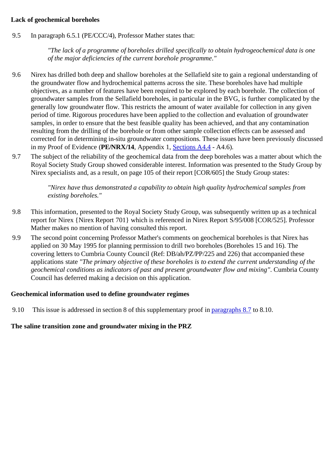## **Lack of geochemical boreholes**

9.5 In paragraph 6.5.1 (PE/CCC/4), Professor Mather states that:

*"The lack of a programme of boreholes drilled specifically to obtain hydrogeochemical data is one of the major deficiencies of the current borehole programme."*

- 9.6 Nirex has drilled both deep and shallow boreholes at the Sellafield site to gain a regional understanding of the groundwater flow and hydrochemical patterns across the site. These boreholes have had multiple objectives, as a number of features have been required to be explored by each borehole. The collection of groundwater samples from the Sellafield boreholes, in particular in the BVG, is further complicated by the generally low groundwater flow. This restricts the amount of water available for collection in any given period of time. Rigorous procedures have been applied to the collection and evaluation of groundwater samples, in order to ensure that the best feasible quality has been achieved, and that any contamination resulting from the drilling of the borehole or from other sample collection effects can be assessed and corrected for in determining in-situ groundwater compositions. These issues have been previously discussed in my Proof of Evidence (**PE/NRX/14**, Appendix 1, Sections A4.4 - A4.6).
- 9.7 The subject of the reliability of the geochemical data from the deep boreholes was a matter about which the Royal Society Study Group showed considerable interest. Information was presented to the Study Group by Nirex specialists and, as a result, on page 105 of their report [COR/605] the Study Group states:

*"Nirex have thus demonstrated a capability to obtain high quality hydrochemical samples from existing boreholes."*

- 9.8 This information, presented to the Royal Society Study Group, was subsequently written up as a technical report for Nirex {Nirex Report 701} which is referenced in Nirex Report S/95/008 [COR/525]. Professor Mather makes no mention of having consulted this report.
- 9.9 The second point concerning Professor Mather's comments on geochemical boreholes is that Nirex has applied on 30 May 1995 for planning permission to drill two boreholes (Boreholes 15 and 16). The covering letters to Cumbria County Council (Ref: DB/ah/PZ/PP/225 and 226) that accompanied these applications state *"The primary objective of these boreholes is to extend the current understanding of the geochemical conditions as indicators of past and present groundwater flow and mixing"*. Cumbria County Council has deferred making a decision on this application.

#### **Geochemical information used to define groundwater regimes**

9.10 This issue is addressed in section 8 of this supplementary proof in paragraphs 8.7 to 8.10.

## **The saline transition zone and groundwater mixing in the PRZ**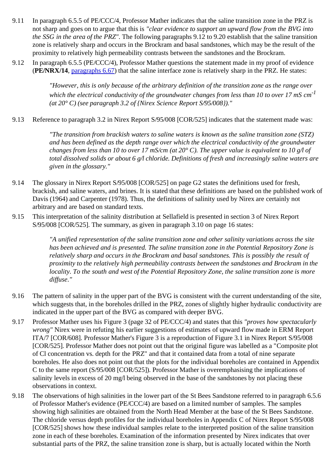- 9.11 In paragraph 6.5.5 of PE/CCC/4, Professor Mather indicates that the saline transition zone in the PRZ is not sharp and goes on to argue that this is *"clear evidence to support an upward flow from the BVG into the SSG in the area of the PRZ"*. The following paragraphs 9.12 to 9.20 establish that the saline transition zone is relatively sharp and occurs in the Brockram and basal sandstones, which may be the result of the proximity to relatively high permeability contrasts between the sandstones and the Brockram.
- 9.12 In paragraph 6.5.5 (PE/CCC/4), Professor Mather questions the statement made in my proof of evidence (**PE/NRX/14**, paragraphs 6.67) that the saline interface zone is relatively sharp in the PRZ. He states:

*"However, this is only because of the arbitrary definition of the transition zone as the range over which the electrical conductivity of the groundwater changes from less than 10 to over 17 mS cm-1 (at 20° C) (see paragraph 3.2 of {Nirex Science Report S/95/008})."*

9.13 Reference to paragraph 3.2 in Nirex Report S/95/008 [COR/525] indicates that the statement made was:

*"The transition from brackish waters to saline waters is known as the saline transition zone (STZ) and has been defined as the depth range over which the electrical conductivity of the groundwater changes from less than 10 to over 17 mS/cm (at 20° C). The upper value is equivalent to 10 g/l of total dissolved solids or about 6 g/l chloride. Definitions of fresh and increasingly saline waters are given in the glossary."*

- 9.14 The glossary in Nirex Report S/95/008 [COR/525] on page G2 states the definitions used for fresh, brackish, and saline waters, and brines. It is stated that these definitions are based on the published work of Davis (1964) and Carpenter (1978). Thus, the definitions of salinity used by Nirex are certainly not arbitrary and are based on standard texts.
- 9.15 This interpretation of the salinity distribution at Sellafield is presented in section 3 of Nirex Report S/95/008 [COR/525]. The summary, as given in paragraph 3.10 on page 16 states:

*"A unified representation of the saline transition zone and other salinity variations across the site has been achieved and is presented. The saline transition zone in the Potential Repository Zone is relatively sharp and occurs in the Brockram and basal sandstones. This is possibly the result of proximity to the relatively high permeability contrasts between the sandstones and Brockram in the locality. To the south and west of the Potential Repository Zone, the saline transition zone is more diffuse."*

- 9.16 The pattern of salinity in the upper part of the BVG is consistent with the current understanding of the site, which suggests that, in the boreholes drilled in the PRZ, zones of slightly higher hydraulic conductivity are indicated in the upper part of the BVG as compared with deeper BVG.
- 9.17 Professor Mather uses his Figure 3 (page 32 of PE/CCC/4) and states that this *"proves how spectacularly wrong"* Nirex were in refuting his earlier suggestions of estimates of upward flow made in ERM Report ITA/7 [COR/608]. Professor Mather's Figure 3 is a reproduction of Figure 3.1 in Nirex Report S/95/008 [COR/525]. Professor Mather does not point out that the original figure was labelled as a "Composite plot of Cl concentration vs. depth for the PRZ" and that it contained data from a total of nine separate boreholes. He also does not point out that the plots for the individual boreholes are contained in Appendix C to the same report (S/95/008 [COR/525]). Professor Mather is overemphasising the implications of salinity levels in excess of 20 mg/l being observed in the base of the sandstones by not placing these observations in context.
- 9.18 The observations of high salinities in the lower part of the St Bees Sandstone referred to in paragraph 6.5.6 of Professor Mather's evidence (PE/CCC/4) are based on a limited number of samples. The samples showing high salinities are obtained from the North Head Member at the base of the St Bees Sandstone. The chloride versus depth profiles for the individual boreholes in Appendix C of Nirex Report S/95/008 [COR/525] shows how these individual samples relate to the interpreted position of the saline transition zone in each of these boreholes. Examination of the information presented by Nirex indicates that over substantial parts of the PRZ, the saline transition zone is sharp, but is actually located within the North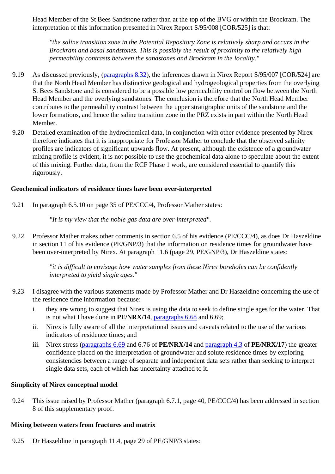Head Member of the St Bees Sandstone rather than at the top of the BVG or within the Brockram. The interpretation of this information presented in Nirex Report S/95/008 [COR/525] is that:

*"the saline transition zone in the Potential Repository Zone is relatively sharp and occurs in the Brockram and basal sandstones. This is possibly the result of proximity to the relatively high permeability contrasts between the sandstones and Brockram in the locality."*

- 9.19 As discussed previously, (paragraphs 8.32), the inferences drawn in Nirex Report S/95/007 [COR/524] are that the North Head Member has distinctive geological and hydrogeological properties from the overlying St Bees Sandstone and is considered to be a possible low permeability control on flow between the North Head Member and the overlying sandstones. The conclusion is therefore that the North Head Member contributes to the permeability contrast between the upper stratigraphic units of the sandstone and the lower formations, and hence the saline transition zone in the PRZ exists in part within the North Head Member.
- 9.20 Detailed examination of the hydrochemical data, in conjunction with other evidence presented by Nirex therefore indicates that it is inappropriate for Professor Mather to conclude that the observed salinity profiles are indicators of significant upwards flow. At present, although the existence of a groundwater mixing profile is evident, it is not possible to use the geochemical data alone to speculate about the extent of this mixing. Further data, from the RCF Phase 1 work, are considered essential to quantify this rigorously.

### **Geochemical indicators of residence times have been over-interpreted**

9.21 In paragraph 6.5.10 on page 35 of PE/CCC/4, Professor Mather states:

*"It is my view that the noble gas data are over-interpreted".*

9.22 Professor Mather makes other comments in section 6.5 of his evidence (PE/CCC/4), as does Dr Haszeldine in section 11 of his evidence (PE/GNP/3) that the information on residence times for groundwater have been over-interpreted by Nirex. At paragraph 11.6 (page 29, PE/GNP/3), Dr Haszeldine states:

> *"it is difficult to envisage how water samples from these Nirex boreholes can be confidently interpreted to yield single ages."*

- 9.23 I disagree with the various statements made by Professor Mather and Dr Haszeldine concerning the use of the residence time information because:
	- i. they are wrong to suggest that Nirex is using the data to seek to define single ages for the water. That is not what I have done in **PE/NRX/14**, paragraphs 6.68 and 6.69;
	- ii. Nirex is fully aware of all the interpretational issues and caveats related to the use of the various indicators of residence times; and
	- iii. Nirex stress (paragraphs 6.69 and 6.76 of **PE/NRX/14** and paragraph 4.3 of **PE/NRX/17**) the greater confidence placed on the interpretation of groundwater and solute residence times by exploring consistencies between a range of separate and independent data sets rather than seeking to interpret single data sets, each of which has uncertainty attached to it.

#### **Simplicity of Nirex conceptual model**

9.24 This issue raised by Professor Mather (paragraph 6.7.1, page 40, PE/CCC/4) has been addressed in section 8 of this supplementary proof.

#### **Mixing between waters from fractures and matrix**

9.25 Dr Haszeldine in paragraph 11.4, page 29 of PE/GNP/3 states: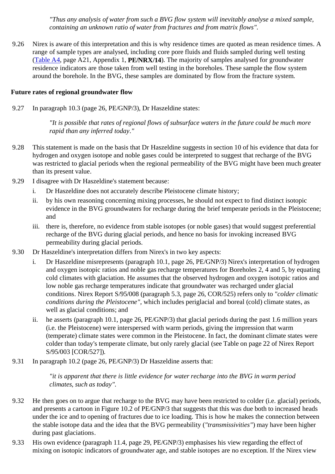*"Thus any analysis of water from such a BVG flow system will inevitably analyse a mixed sample, containing an unknown ratio of water from fractures and from matrix flows".*

9.26 Nirex is aware of this interpretation and this is why residence times are quoted as mean residence times. A range of sample types are analysed, including core pore fluids and fluids sampled during well testing (Table A4, page A21, Appendix 1, **PE/NRX/14**). The majority of samples analysed for groundwater residence indicators are those taken from well testing in the boreholes. These sample the flow system around the borehole. In the BVG, these samples are dominated by flow from the fracture system.

### **Future rates of regional groundwater flow**

9.27 In paragraph 10.3 (page 26, PE/GNP/3), Dr Haszeldine states:

*"It is possible that rates of regional flows of subsurface waters in the future could be much more rapid than any inferred today."*

- 9.28 This statement is made on the basis that Dr Haszeldine suggests in section 10 of his evidence that data for hydrogen and oxygen isotope and noble gases could be interpreted to suggest that recharge of the BVG was restricted to glacial periods when the regional permeability of the BVG might have been much greater than its present value.
- 9.29 I disagree with Dr Haszeldine's statement because:
	- i. Dr Haszeldine does not accurately describe Pleistocene climate history;
	- ii. by his own reasoning concerning mixing processes, he should not expect to find distinct isotopic evidence in the BVG groundwaters for recharge during the brief temperate periods in the Pleistocene; and
	- iii. there is, therefore, no evidence from stable isotopes (or noble gases) that would suggest preferential recharge of the BVG during glacial periods, and hence no basis for invoking increased BVG permeability during glacial periods.
- 9.30 Dr Haszeldine's interpretation differs from Nirex's in two key aspects:
	- i. Dr Haszeldine misrepresents (paragraph 10.1, page 26, PE/GNP/3) Nirex's interpretation of hydrogen and oxygen isotopic ratios and noble gas recharge temperatures for Boreholes 2, 4 and 5, by equating cold climates with glaciation. He assumes that the observed hydrogen and oxygen isotopic ratios and low noble gas recharge temperatures indicate that groundwater was recharged under glacial conditions. Nirex Report S/95/008 (paragraph 5.3, page 26, COR/525) refers only to *"colder climatic conditions during the Pleistocene"*, which includes periglacial and boreal (cold) climate states, as well as glacial conditions; and
	- ii. he asserts (paragraph 10.1, page 26, PE/GNP/3) that glacial periods during the past 1.6 million years (i.e. the Pleistocene) were interspersed with warm periods, giving the impression that warm (temperate) climate states were common in the Pleistocene. In fact, the dominant climate states were colder than today's temperate climate, but only rarely glacial (see Table on page 22 of Nirex Report S/95/003 [COR/527]).
- 9.31 In paragraph 10.2 (page 26, PE/GNP/3) Dr Haszeldine asserts that:

*"it is apparent that there is little evidence for water recharge into the BVG in warm period climates, such as today".*

- 9.32 He then goes on to argue that recharge to the BVG may have been restricted to colder (i.e. glacial) periods, and presents a cartoon in Figure 10.2 of PE/GNP/3 that suggests that this was due both to increased heads under the ice and to opening of fractures due to ice loading. This is how he makes the connection between the stable isotope data and the idea that the BVG permeability (*"transmissivities"*) may have been higher during past glaciations.
- 9.33 His own evidence (paragraph 11.4, page 29, PE/GNP/3) emphasises his view regarding the effect of mixing on isotopic indicators of groundwater age, and stable isotopes are no exception. If the Nirex view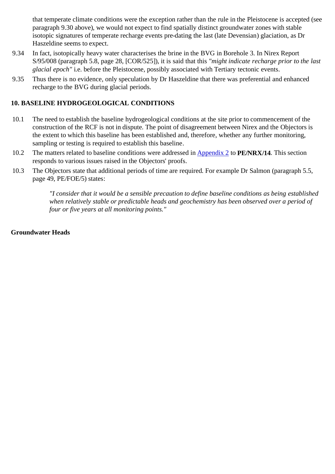that temperate climate conditions were the exception rather than the rule in the Pleistocene is accepted (see paragraph 9.30 above), we would not expect to find spatially distinct groundwater zones with stable isotopic signatures of temperate recharge events pre-dating the last (late Devensian) glaciation, as Dr Haszeldine seems to expect.

- 9.34 In fact, isotopically heavy water characterises the brine in the BVG in Borehole 3. In Nirex Report S/95/008 (paragraph 5.8, page 28, [COR/525]), it is said that this *"might indicate recharge prior to the last glacial epoch"* i.e. before the Pleistocene, possibly associated with Tertiary tectonic events.
- 9.35 Thus there is no evidence, only speculation by Dr Haszeldine that there was preferential and enhanced recharge to the BVG during glacial periods.

# **10. BASELINE HYDROGEOLOGICAL CONDITIONS**

- 10.1 The need to establish the baseline hydrogeological conditions at the site prior to commencement of the construction of the RCF is not in dispute. The point of disagreement between Nirex and the Objectors is the extent to which this baseline has been established and, therefore, whether any further monitoring, sampling or testing is required to establish this baseline.
- 10.2 The matters related to baseline conditions were addressed in Appendix 2 to **PE/NRX/14**. This section responds to various issues raised in the Objectors' proofs.
- 10.3 The Objectors state that additional periods of time are required. For example Dr Salmon (paragraph 5.5, page 49, PE/FOE/5) states:

*"I consider that it would be a sensible precaution to define baseline conditions as being established when relatively stable or predictable heads and geochemistry has been observed over a period of four or five years at all monitoring points."*

### **Groundwater Heads**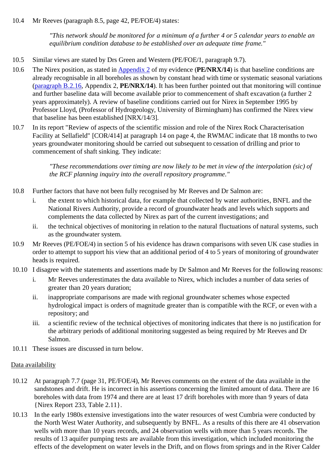## 10.4 Mr Reeves (paragraph 8.5, page 42, PE/FOE/4) states:

*"This network should be monitored for a minimum of a further 4 or 5 calendar years to enable an equilibrium condition database to be established over an adequate time frame."*

- 10.5 Similar views are stated by Drs Green and Western (PE/FOE/1, paragraph 9.7).
- 10.6 The Nirex position, as stated in Appendix 2 of my evidence (**PE/NRX/14**) is that baseline conditions are already recognisable in all boreholes as shown by constant head with time or systematic seasonal variations (paragraph B.2.16, Appendix 2, **PE/NRX/14**). It has been further pointed out that monitoring will continue and further baseline data will become available prior to commencement of shaft excavation (a further 2 years approximately). A review of baseline conditions carried out for Nirex in September 1995 by Professor Lloyd, (Professor of Hydrogeology, University of Birmingham) has confirmed the Nirex view that baseline has been established [NRX/14/3].
- 10.7 In its report "Review of aspects of the scientific mission and role of the Nirex Rock Characterisation Facility at Sellafield" [COR/414] at paragraph 14 on page 4, the RWMAC indicate that 18 months to two years groundwater monitoring should be carried out subsequent to cessation of drilling and prior to commencement of shaft sinking. They indicate:

*"These recommendations over timing are now likely to be met in view of the interpolation (sic) of the RCF planning inquiry into the overall repository programme."*

- 10.8 Further factors that have not been fully recognised by Mr Reeves and Dr Salmon are:
	- i. the extent to which historical data, for example that collected by water authorities, BNFL and the National Rivers Authority, provide a record of groundwater heads and levels which supports and complements the data collected by Nirex as part of the current investigations; and
	- ii. the technical objectives of monitoring in relation to the natural fluctuations of natural systems, such as the groundwater system.
- 10.9 Mr Reeves (PE/FOE/4) in section 5 of his evidence has drawn comparisons with seven UK case studies in order to attempt to support his view that an additional period of 4 to 5 years of monitoring of groundwater heads is required.
- 10.10 I disagree with the statements and assertions made by Dr Salmon and Mr Reeves for the following reasons:
	- i. Mr Reeves underestimates the data available to Nirex, which includes a number of data series of greater than 20 years duration;
	- ii. inappropriate comparisons are made with regional groundwater schemes whose expected hydrological impact is orders of magnitude greater than is compatible with the RCF, or even with a repository; and
	- iii. a scientific review of the technical objectives of monitoring indicates that there is no justification for the arbitrary periods of additional monitoring suggested as being required by Mr Reeves and Dr Salmon.
- 10.11 These issues are discussed in turn below.

## Data availability

- 10.12 At paragraph 7.7 (page 31, PE/FOE/4), Mr Reeves comments on the extent of the data available in the sandstones and drift. He is incorrect in his assertions concerning the limited amount of data. There are 16 boreholes with data from 1974 and there are at least 17 drift boreholes with more than 9 years of data {Nirex Report 233, Table 2.11}.
- 10.13 In the early 1980s extensive investigations into the water resources of west Cumbria were conducted by the North West Water Authority, and subsequently by BNFL. As a results of this there are 41 observation wells with more than 10 years records, and 24 observation wells with more than 5 years records. The results of 13 aquifer pumping tests are available from this investigation, which included monitoring the effects of the development on water levels in the Drift, and on flows from springs and in the River Calder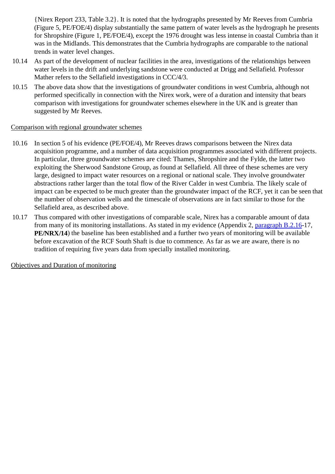{Nirex Report 233, Table 3.2}. It is noted that the hydrographs presented by Mr Reeves from Cumbria (Figure 5, PE/FOE/4) display substantially the same pattern of water levels as the hydrograph he presents for Shropshire (Figure 1, PE/FOE/4), except the 1976 drought was less intense in coastal Cumbria than it was in the Midlands. This demonstrates that the Cumbria hydrographs are comparable to the national trends in water level changes.

- 10.14 As part of the development of nuclear facilities in the area, investigations of the relationships between water levels in the drift and underlying sandstone were conducted at Drigg and Sellafield. Professor Mather refers to the Sellafield investigations in CCC/4/3.
- 10.15 The above data show that the investigations of groundwater conditions in west Cumbria, although not performed specifically in connection with the Nirex work, were of a duration and intensity that bears comparison with investigations for groundwater schemes elsewhere in the UK and is greater than suggested by Mr Reeves.

## Comparison with regional groundwater schemes

- 10.16 In section 5 of his evidence (PE/FOE/4), Mr Reeves draws comparisons between the Nirex data acquisition programme, and a number of data acquisition programmes associated with different projects. In particular, three groundwater schemes are cited: Thames, Shropshire and the Fylde, the latter two exploiting the Sherwood Sandstone Group, as found at Sellafield. All three of these schemes are very large, designed to impact water resources on a regional or national scale. They involve groundwater abstractions rather larger than the total flow of the River Calder in west Cumbria. The likely scale of impact can be expected to be much greater than the groundwater impact of the RCF, yet it can be seen that the number of observation wells and the timescale of observations are in fact similar to those for the Sellafield area, as described above.
- 10.17 Thus compared with other investigations of comparable scale, Nirex has a comparable amount of data from many of its monitoring installations. As stated in my evidence (Appendix 2, paragraph B.2.16-17, **PE/NRX/14**) the baseline has been established and a further two years of monitoring will be available before excavation of the RCF South Shaft is due to commence. As far as we are aware, there is no tradition of requiring five years data from specially installed monitoring.

Objectives and Duration of monitoring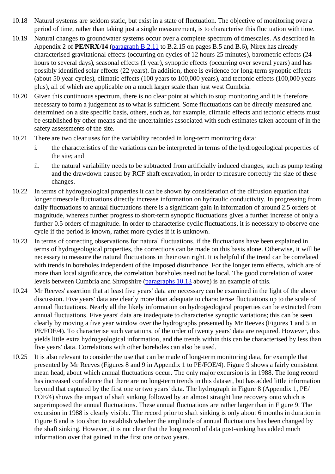- 10.18 Natural systems are seldom static, but exist in a state of fluctuation. The objective of monitoring over a period of time, rather than taking just a single measurement, is to characterise this fluctuation with time.
- 10.19 Natural changes to groundwater systems occur over a complete spectrum of timescales. As described in Appendix 2 of **PE/NRX/14** (paragraph B.2.11 to B.2.15 on pages B.5 and B.6), Nirex has already characterised gravitational effects (occurring on cycles of 12 hours 25 minutes), barometric effects (24 hours to several days), seasonal effects (1 year), synoptic effects (occurring over several years) and has possibly identified solar effects (22 years). In addition, there is evidence for long-term synoptic effects (about 50 year cycles), climatic effects (100 years to 100,000 years), and tectonic effects (100,000 years plus), all of which are applicable on a much larger scale than just west Cumbria.
- 10.20 Given this continuous spectrum, there is no clear point at which to stop monitoring and it is therefore necessary to form a judgement as to what is sufficient. Some fluctuations can be directly measured and determined on a site specific basis, others, such as, for example, climatic effects and tectonic effects must be established by other means and the uncertainties associated with such estimates taken account of in the safety assessments of the site.
- 10.21 There are two clear uses for the variability recorded in long-term monitoring data:
	- i. the characteristics of the variations can be interpreted in terms of the hydrogeological properties of the site; and
	- ii. the natural variability needs to be subtracted from artificially induced changes, such as pump testing and the drawdown caused by RCF shaft excavation, in order to measure correctly the size of these changes.
- 10.22 In terms of hydrogeological properties it can be shown by consideration of the diffusion equation that longer timescale fluctuations directly increase information on hydraulic conductivity. In progressing from daily fluctuations to annual fluctuations there is a significant gain in information of around 2.5 orders of magnitude, whereas further progress to short-term synoptic fluctuations gives a further increase of only a further 0.5 orders of magnitude. In order to characterise cyclic fluctuations, it is necessary to observe one cycle if the period is known, rather more cycles if it is unknown.
- 10.23 In terms of correcting observations for natural fluctuations, if the fluctuations have been explained in terms of hydrogeological properties, the corrections can be made on this basis alone. Otherwise, it will be necessary to measure the natural fluctuations in their own right. It is helpful if the trend can be correlated with trends in boreholes independent of the imposed disturbance. For the longer term effects, which are of more than local significance, the correlation boreholes need not be local. The good correlation of water levels between Cumbria and Shropshire (paragraphs 10.13 above) is an example of this.
- 10.24 Mr Reeves' assertion that at least five years' data are necessary can be examined in the light of the above discussion. Five years' data are clearly more than adequate to characterise fluctuations up to the scale of annual fluctuations. Nearly all the likely information on hydrogeological properties can be extracted from annual fluctuations. Five years' data are inadequate to characterise synoptic variations; this can be seen clearly by moving a five year window over the hydrographs presented by Mr Reeves (Figures 1 and 5 in PE/FOE/4). To characterise such variations, of the order of twenty years' data are required. However, this yields little extra hydrogeological information, and the trends within this can be characterised by less than five years' data. Correlations with other boreholes can also be used.
- 10.25 It is also relevant to consider the use that can be made of long-term monitoring data, for example that presented by Mr Reeves (Figures 8 and 9 in Appendix 1 to PE/FOE/4). Figure 9 shows a fairly consistent mean head, about which annual fluctuations occur. The only major excursion is in 1988. The long record has increased confidence that there are no long-term trends in this dataset, but has added little information beyond that captured by the first one or two years' data. The hydrograph in Figure 8 (Appendix 1, PE/ FOE/4) shows the impact of shaft sinking followed by an almost straight line recovery onto which is superimposed the annual fluctuations. These annual fluctuations are rather larger than in Figure 9. The excursion in 1988 is clearly visible. The record prior to shaft sinking is only about 6 months in duration in Figure 8 and is too short to establish whether the amplitude of annual fluctuations has been changed by the shaft sinking. However, it is not clear that the long record of data post-sinking has added much information over that gained in the first one or two years.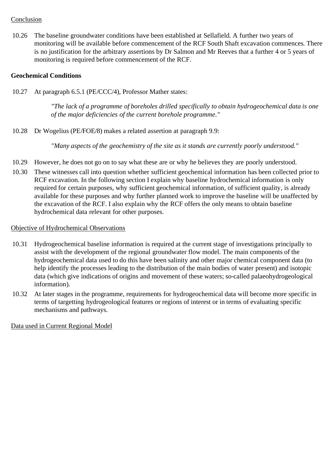## Conclusion

10.26 The baseline groundwater conditions have been established at Sellafield. A further two years of monitoring will be available before commencement of the RCF South Shaft excavation commences. There is no justification for the arbitrary assertions by Dr Salmon and Mr Reeves that a further 4 or 5 years of monitoring is required before commencement of the RCF.

### **Geochemical Conditions**

10.27 At paragraph 6.5.1 (PE/CCC/4), Professor Mather states:

*"The lack of a programme of boreholes drilled specifically to obtain hydrogeochemical data is one of the major deficiencies of the current borehole programme."*

10.28 Dr Wogelius (PE/FOE/8) makes a related assertion at paragraph 9.9:

*"Many aspects of the geochemistry of the site as it stands are currently poorly understood."*

- 10.29 However, he does not go on to say what these are or why he believes they are poorly understood.
- 10.30 These witnesses call into question whether sufficient geochemical information has been collected prior to RCF excavation. In the following section I explain why baseline hydrochemical information is only required for certain purposes, why sufficient geochemical information, of sufficient quality, is already available for these purposes and why further planned work to improve the baseline will be unaffected by the excavation of the RCF. I also explain why the RCF offers the only means to obtain baseline hydrochemical data relevant for other purposes.

#### Objective of Hydrochemical Observations

- 10.31 Hydrogeochemical baseline information is required at the current stage of investigations principally to assist with the development of the regional groundwater flow model. The main components of the hydrogeochemical data used to do this have been salinity and other major chemical component data (to help identify the processes leading to the distribution of the main bodies of water present) and isotopic data (which give indications of origins and movement of these waters; so-called palaeohydrogeological information).
- 10.32 At later stages in the programme, requirements for hydrogeochemical data will become more specific in terms of targetting hydrogeological features or regions of interest or in terms of evaluating specific mechanisms and pathways.

Data used in Current Regional Model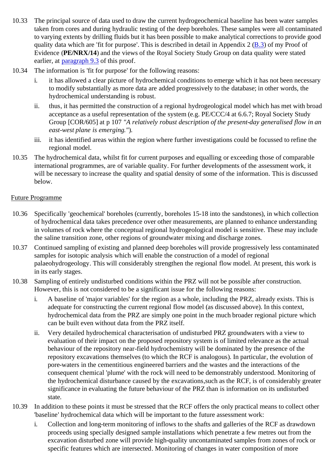- 10.33 The principal source of data used to draw the current hydrogeochemical baseline has been water samples taken from cores and during hydraulic testing of the deep boreholes. These samples were all contaminated to varying extents by drilling fluids but it has been possible to make analytical corrections to provide good quality data which are 'fit for purpose'. This is described in detail in Appendix 2 (B.3) of my Proof of Evidence (**PE/NRX/14**) and the views of the Royal Society Study Group on data quality were stated earlier, at paragraph 9.3 of this proof.
- 10.34 The information is 'fit for purpose' for the following reasons:
	- i. it has allowed a clear picture of hydrochemical conditions to emerge which it has not been necessary to modify substantially as more data are added progressively to the database; in other words, the hydrochemical understanding is robust.
	- ii. thus, it has permitted the construction of a regional hydrogeological model which has met with broad acceptance as a useful representation of the system (e.g. PE/CCC/4 at 6.6.7; Royal Society Study Group [COR/605] at p 107 *"A relatively robust description of the present-day generalised flow in an east-west plane is emerging."*).
	- iii. it has identified areas within the region where further investigations could be focussed to refine the regional model.
- 10.35 The hydrochemical data, whilst fit for current purposes and equalling or exceeding those of comparable international programmes, are of variable quality. For further developments of the assessment work, it will be necessary to increase the quality and spatial density of some of the information. This is discussed below.

## Future Programme

- 10.36 Specifically 'geochemical' boreholes (currently, boreholes 15-18 into the sandstones), in which collection of hydrochemical data takes precedence over other measurements, are planned to enhance understanding in volumes of rock where the conceptual regional hydrogeological model is sensitive. These may include the saline transition zone, other regions of groundwater mixing and discharge zones.
- 10.37 Continued sampling of existing and planned deep boreholes will provide progressively less contaminated samples for isotopic analysis which will enable the construction of a model of regional palaeohydrogeology. This will considerably strengthen the regional flow model. At present, this work is in its early stages.
- 10.38 Sampling of entirely undisturbed conditions within the PRZ will not be possible after construction. However, this is not considered to be a significant issue for the following reasons:
	- i. A baseline of 'major variables' for the region as a whole, including the PRZ, already exists. This is adequate for constructing the current regional flow model (as discussed above). In this context, hydrochemical data from the PRZ are simply one point in the much broader regional picture which can be built even without data from the PRZ itself.
	- ii. Very detailed hydrochemical characterisation of undisturbed PRZ groundwaters with a view to evaluation of their impact on the proposed repository system is of limited relevance as the actual behaviour of the repository near-field hydrochemistry will be dominated by the presence of the repository excavations themselves (to which the RCF is analogous). In particular, the evolution of pore-waters in the cementitious engineered barriers and the wastes and the interactions of the consequent chemical 'plume' with the rock will need to be demonstrably understood. Monitoring of the hydrochemical disturbance caused by the excavations,such as the RCF, is of considerably greater significance in evaluating the future behaviour of the PRZ than is information on its undisturbed state.
- 10.39 In addition to these points it must be stressed that the RCF offers the only practical means to collect other 'baseline' hydrochemical data which will be important to the future assessment work:
	- i. Collection and long-term monitoring of inflows to the shafts and galleries of the RCF as drawdown proceeds using specially designed sample installations which penetrate a few metres out from the excavation disturbed zone will provide high-quality uncontaminated samples from zones of rock or specific features which are intersected. Monitoring of changes in water composition of more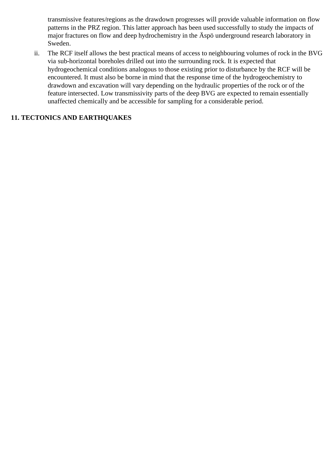transmissive features/regions as the drawdown progresses will provide valuable information on flow patterns in the PRZ region. This latter approach has been used successfully to study the impacts of major fractures on flow and deep hydrochemistry in the Äspö underground research laboratory in Sweden.

ii. The RCF itself allows the best practical means of access to neighbouring volumes of rock in the BVG via sub-horizontal boreholes drilled out into the surrounding rock. It is expected that hydrogeochemical conditions analogous to those existing prior to disturbance by the RCF will be encountered. It must also be borne in mind that the response time of the hydrogeochemistry to drawdown and excavation will vary depending on the hydraulic properties of the rock or of the feature intersected. Low transmissivity parts of the deep BVG are expected to remain essentially unaffected chemically and be accessible for sampling for a considerable period.

# **11. TECTONICS AND EARTHQUAKES**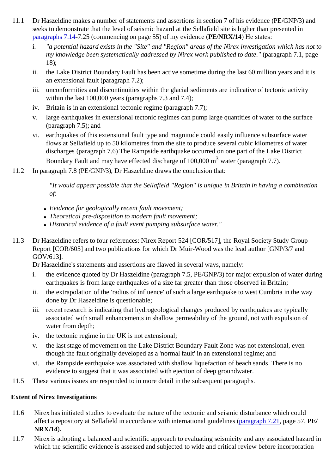- 11.1 Dr Haszeldine makes a number of statements and assertions in section 7 of his evidence (PE/GNP/3) and seeks to demonstrate that the level of seismic hazard at the Sellafield site is higher than presented in paragraphs 7.14-7.25 (commencing on page 55) of my evidence (**PE/NRX/14**) He states:
	- i. *"a potential hazard exists in the "Site" and "Region" areas of the Nirex investigation which has not to my knowledge been systematically addressed by Nirex work published to date."* (paragraph 7.1, page 18);
	- ii. the Lake District Boundary Fault has been active sometime during the last 60 million years and it is an extensional fault (paragraph 7.2);
	- iii. unconformities and discontinuities within the glacial sediments are indicative of tectonic activity within the last 100,000 years (paragraphs 7.3 and 7.4);
	- iv. Britain is in an extensional tectonic regime (paragraph 7.7);
	- v. large earthquakes in extensional tectonic regimes can pump large quantities of water to the surface (paragraph 7.5); and
	- vi. earthquakes of this extensional fault type and magnitude could easily influence subsurface water flows at Sellafield up to 50 kilometres from the site to produce several cubic kilometres of water discharges (paragraph 7.6) The Rampside earthquake occurred on one part of the Lake District Boundary Fault and may have effected discharge of 100,000 m<sup>3</sup> water (paragraph 7.7).
- 11.2 In paragraph 7.8 (PE/GNP/3), Dr Haszeldine draws the conclusion that:

*"It would appear possible that the Sellafield "Region" is unique in Britain in having a combination of:-*

- *Evidence for geologically recent fault movement;*
- *Theoretical pre-disposition to modern fault movement;*
- *Historical evidence of a fault event pumping subsurface water."*
- 11.3 Dr Haszeldine refers to four references: Nirex Report 524 [COR/517], the Royal Society Study Group Report [COR/605] and two publications for which Dr Muir-Wood was the lead author [GNP/3/7 and GOV/613].

Dr Haszeldine's statements and assertions are flawed in several ways, namely:

- i. the evidence quoted by Dr Haszeldine (paragraph 7.5, PE/GNP/3) for major expulsion of water during earthquakes is from large earthquakes of a size far greater than those observed in Britain;
- ii. the extrapolation of the 'radius of influence' of such a large earthquake to west Cumbria in the way done by Dr Haszeldine is questionable;
- iii. recent research is indicating that hydrogeological changes produced by earthquakes are typically associated with small enhancements in shallow permeability of the ground, not with expulsion of water from depth;
- iv. the tectonic regime in the UK is not extensional;
- v. the last stage of movement on the Lake District Boundary Fault Zone was not extensional, even though the fault originally developed as a 'normal fault' in an extensional regime; and
- vi. the Rampside earthquake was associated with shallow liquefaction of beach sands. There is no evidence to suggest that it was associated with ejection of deep groundwater.
- 11.5 These various issues are responded to in more detail in the subsequent paragraphs.

## **Extent of Nirex Investigations**

- 11.6 Nirex has initiated studies to evaluate the nature of the tectonic and seismic disturbance which could affect a repository at Sellafield in accordance with international guidelines (paragraph 7.21, page 57, **PE/ NRX/14**).
- 11.7 Nirex is adopting a balanced and scientific approach to evaluating seismicity and any associated hazard in which the scientific evidence is assessed and subjected to wide and critical review before incorporation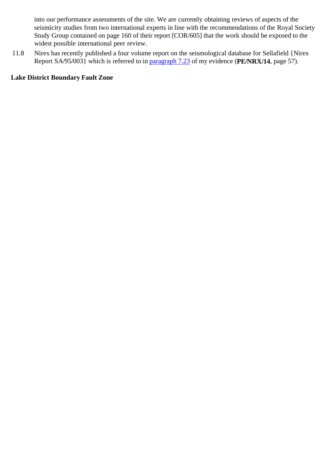into our performance assessments of the site. We are currently obtaining reviews of aspects of the seismicity studies from two international experts in line with the recommendations of the Royal Society Study Group contained on page 160 of their report [COR/605] that the work should be exposed to the widest possible international peer review.

11.8 Nirex has recently published a four volume report on the seismological database for Sellafield {Nirex Report SA/95/003} which is referred to in paragraph 7.23 of my evidence (**PE/NRX/14**, page 57).

# **Lake District Boundary Fault Zone**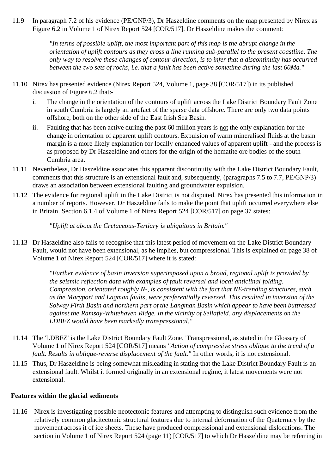11.9 In paragraph 7.2 of his evidence (PE/GNP/3), Dr Haszeldine comments on the map presented by Nirex as Figure 6.2 in Volume 1 of Nirex Report 524 [COR/517]. Dr Haszeldine makes the comment:

> *"In terms of possible uplift, the most important part of this map is the abrupt change in the orientation of uplift contours as they cross a line running sub-parallel to the present coastline. The only way to resolve these changes of contour direction, is to infer that a discontinuity has occurred between the two sets of rocks, i.e. that a fault has been active sometime during the last 60Ma."*

- 11.10 Nirex has presented evidence (Nirex Report 524, Volume 1, page 38 [COR/517]) in its published discussion of Figure 6.2 that:
	- i. The change in the orientation of the contours of uplift across the Lake District Boundary Fault Zone in south Cumbria is largely an artefact of the sparse data offshore. There are only two data points offshore, both on the other side of the East Irish Sea Basin.
	- ii. Faulting that has been active during the past 60 million years is not the only explanation for the change in orientation of apparent uplift contours. Expulsion of warm mineralised fluids at the basin margin is a more likely explanation for locally enhanced values of apparent uplift - and the process is as proposed by Dr Haszeldine and others for the origin of the hematite ore bodies of the south Cumbria area.
- 11.11 Nevertheless, Dr Haszeldine associates this apparent discontinuity with the Lake District Boundary Fault, comments that this structure is an extensional fault and, subsequently, (paragraphs 7.5 to 7.7, PE/GNP/3) draws an association between extensional faulting and groundwater expulsion.
- 11.12 The evidence for regional uplift in the Lake District is not disputed. Nirex has presented this information in a number of reports. However, Dr Haszeldine fails to make the point that uplift occurred everywhere else in Britain. Section 6.1.4 of Volume 1 of Nirex Report 524 [COR/517] on page 37 states:

*"Uplift at about the Cretaceous-Tertiary is ubiquitous in Britain."*

11.13 Dr Haszeldine also fails to recognise that this latest period of movement on the Lake District Boundary Fault, would not have been extensional, as he implies, but compressional. This is explained on page 38 of Volume 1 of Nirex Report 524 [COR/517] where it is stated:

> *"Further evidence of basin inversion superimposed upon a broad, regional uplift is provided by the seismic reflection data with examples of fault reversal and local anticlinal folding. Compression, orientated roughly N-, is consistent with the fact that NE-trending structures, such as the Maryport and Lagman faults, were preferentially reversed. This resulted in inversion of the Solway Firth Basin and northern part of the Langman Basin which appear to have been buttressed against the Ramsay-Whitehaven Ridge. In the vicinity of Sellafield, any displacements on the LDBFZ would have been markedly transpressional."*

- 11.14 The 'LDBFZ' is the Lake District Boundary Fault Zone. 'Transpressional, as stated in the Glossary of Volume 1 of Nirex Report 524 [COR/517] means *"Action of compressive stress oblique to the trend of a fault. Results in oblique-reverse displacement of the fault."* In other words, it is not extensional.
- 11.15 Thus, Dr Haszeldine is being somewhat misleading in stating that the Lake District Boundary Fault is an extensional fault. Whilst it formed originally in an extensional regime, it latest movements were not extensional.

#### **Features within the glacial sediments**

11.16 Nirex is investigating possible neotectonic features and attempting to distinguish such evidence from the relatively common glacitectonic structural features due to internal deformation of the Quaternary by the movement across it of ice sheets. These have produced compressional and extensional dislocations. The section in Volume 1 of Nirex Report 524 (page 11) [COR/517] to which Dr Haszeldine may be referring in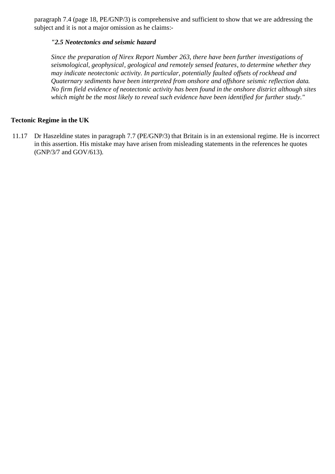paragraph 7.4 (page 18, PE/GNP/3) is comprehensive and sufficient to show that we are addressing the subject and it is not a major omission as he claims:-

### *"2.5 Neotectonics and seismic hazard*

*Since the preparation of Nirex Report Number 263, there have been further investigations of seismological, geophysical, geological and remotely sensed features, to determine whether they may indicate neotectonic activity. In particular, potentially faulted offsets of rockhead and Quaternary sediments have been interpreted from onshore and offshore seismic reflection data. No firm field evidence of neotectonic activity has been found in the onshore district although sites which might be the most likely to reveal such evidence have been identified for further study."*

### **Tectonic Regime in the UK**

11.17 Dr Haszeldine states in paragraph 7.7 (PE/GNP/3) that Britain is in an extensional regime. He is incorrect in this assertion. His mistake may have arisen from misleading statements in the references he quotes (GNP/3/7 and GOV/613).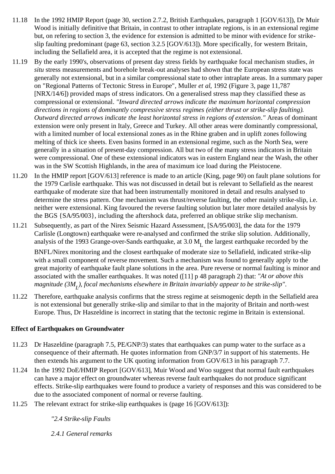- 11.18 In the 1992 HMIP Report (page 30, section 2.7.2, British Earthquakes, paragraph 1 [GOV/613]), Dr Muir Wood is initially definitive that Britain, in contrast to other intraplate regions, is in an extensional regime but, on refering to section 3, the evidence for extension is admitted to be minor with evidence for strikeslip faulting predominant (page 63, section 3.2.5 [GOV/613]). More specifically, for western Britain, including the Sellafield area, it is accepted that the regime is not extensional.
- 11.19 By the early 1990's, observations of present day stress fields by earthquake focal mechanism studies, *in situ* stress measurements and borehole break-out analyses had shown that the European stress state was generally not extensional, but in a similar compressional state to other intraplate areas. In a summary paper on "Regional Patterns of Tectonic Stress in Europe", Muller *et al*, 1992 (Figure 3, page 11,787 [NRX/14/6]) provided maps of stress indicators. On a generalised stress map they classified these as compressional or extensional. *"Inward directed arrows indicate the maximum horizontal compression directions in regions of dominantly compressive stress regimes (either thrust or strike-slip faulting). Outward directed arrows indicate the least horizontal stress in regions of extension."* Areas of dominant extension were only present in Italy, Greece and Turkey. All other areas were dominantly compressional, with a limited number of local extensional zones as in the Rhine graben and in uplift zones following melting of thick ice sheets. Even basins formed in an extensional regime, such as the North Sea, were generally in a situation of present-day compression. All but two of the many stress indicators in Britain were compressional. One of these extensional indicators was in eastern England near the Wash, the other was in the SW Scottish Highlands, in the area of maximum ice load during the Pleistocene.
- 11.20 In the HMIP report [GOV/613] reference is made to an article (King, page 90) on fault plane solutions for the 1979 Carlisle earthquake. This was not discussed in detail but is relevant to Sellafield as the nearest earthquake of moderate size that had been instrumentally monitored in detail and results analysed to determine the stress pattern. One mechanism was thrust/reverse faulting, the other mainly strike-slip, i.e. neither were extensional. King favoured the reverse faulting solution but later more detailed analysis by the BGS {SA/95/003}, including the aftershock data, preferred an oblique strike slip mechanism.
- 11.21 Subsequently, as part of the Nirex Seismic Hazard Assessment, [SA/95/003], the data for the 1979 Carlisle (Longtown) earthquake were re-analysed and confirmed the strike slip solution. Additionally, analysis of the 1993 Grange-over-Sands earthquake, at  $3.0 M<sub>r</sub>$  the largest earthquake recorded by the

BNFL/Nirex monitoring and the closest earthquake of moderate size to Sellafield, indicated strike-slip with a small component of reverse movement. Such a mechanism was found to generally apply to the great majority of earthquake fault plane solutions in the area. Pure reverse or normal faulting is minor and associated with the smaller earthquakes. It was noted ([11] p 48 paragraph 2) that: *"At or above this magnitude (3ML ), focal mechanisms elsewhere in Britain invariably appear to be strike-slip"*.

11.22 Therefore, earthquake analysis confirms that the stress regime at seismogenic depth in the Sellafield area is not extensional but generally strike-slip and similar to that in the majority of Britain and north-west Europe. Thus, Dr Haszeldine is incorrect in stating that the tectonic regime in Britain is extensional.

## **Effect of Earthquakes on Groundwater**

- 11.23 Dr Haszeldine (paragraph 7.5, PE/GNP/3) states that earthquakes can pump water to the surface as a consequence of their aftermath. He quotes information from GNP/3/7 in support of his statements. He then extends his argument to the UK quoting information from GOV/613 in his paragraph 7.7.
- 11.24 In the 1992 DoE/HMIP Report [GOV/613], Muir Wood and Woo suggest that normal fault earthquakes can have a major effect on groundwater whereas reverse fault earthquakes do not produce significant effects. Strike-slip earthquakes were found to produce a variety of responses and this was considered to be due to the associated component of normal or reverse faulting.
- 11.25 The relevant extract for strike-slip earthquakes is (page 16 [GOV/613]):

## *"2.4 Strike-slip Faults*

*2.4.1 General remarks*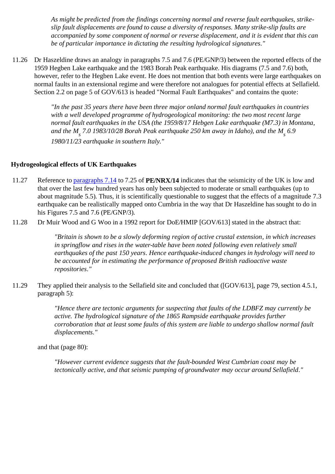*As might be predicted from the findings concerning normal and reverse fault earthquakes, strikeslip fault displacements are found to cause a diversity of responses. Many strike-slip faults are accompanied by some component of normal or reverse displacement, and it is evident that this can be of particular importance in dictating the resulting hydrological signatures."*

11.26 Dr Haszeldine draws an analogy in paragraphs 7.5 and 7.6 (PE/GNP/3) between the reported effects of the 1959 Hegben Lake earthquake and the 1983 Borah Peak earthquake. His diagrams (7.5 and 7.6) both, however, refer to the Hegben Lake event. He does not mention that both events were large earthquakes on normal faults in an extensional regime and were therefore not analogues for potential effects at Sellafield. Section 2.2 on page 5 of GOV/613 is headed "Normal Fault Earthquakes" and contains the quote:

> *"In the past 35 years there have been three major onland normal fault earthquakes in countries with a well developed programme of hydrogeological monitoring: the two most recent large normal fault earthquakes in the USA (the 1959/8/17 Hebgen Lake earthquake (M7.3) in Montana,* and the M<sub>s</sub> 7.0 1983/10/28 Borah Peak earthquake 250 km away in Idaho), and the M<sub>s</sub> 6.9 *1980/11/23 earthquake in southern Italy."*

### **Hydrogeological effects of UK Earthquakes**

- 11.27 Reference to paragraphs 7.14 to 7.25 of **PE/NRX/14** indicates that the seismicity of the UK is low and that over the last few hundred years has only been subjected to moderate or small earthquakes (up to about magnitude 5.5). Thus, it is scientifically questionable to suggest that the effects of a magnitude 7.3 earthquake can be realistically mapped onto Cumbria in the way that Dr Haszeldine has sought to do in his Figures 7.5 and 7.6 (PE/GNP/3).
- 11.28 Dr Muir Wood and G Woo in a 1992 report for DoE/HMIP [GOV/613] stated in the abstract that:

*"Britain is shown to be a slowly deforming region of active crustal extension, in which increases in springflow and rises in the water-table have been noted following even relatively small earthquakes of the past 150 years. Hence earthquake-induced changes in hydrology will need to be accounted for in estimating the performance of proposed British radioactive waste repositories."*

11.29 They applied their analysis to the Sellafield site and concluded that ([GOV/613], page 79, section 4.5.1, paragraph 5):

> *"Hence there are tectonic arguments for suspecting that faults of the LDBFZ may currently be active. The hydrological signature of the 1865 Rampside earthquake provides further corroboration that at least some faults of this system are liable to undergo shallow normal fault displacements."*

and that (page 80):

*"However current evidence suggests that the fault-bounded West Cumbrian coast may be tectonically active, and that seismic pumping of groundwater may occur around Sellafield."*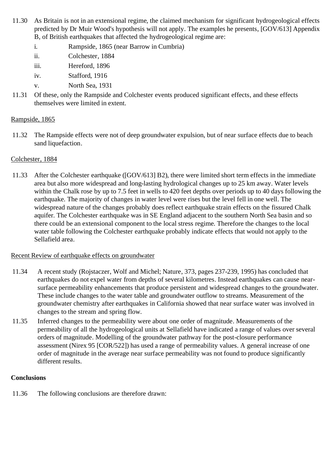- 11.30 As Britain is not in an extensional regime, the claimed mechanism for significant hydrogeological effects predicted by Dr Muir Wood's hypothesis will not apply. The examples he presents, [GOV/613] Appendix B, of British earthquakes that affected the hydrogeological regime are:
	- i. Rampside, 1865 (near Barrow in Cumbria)
	- ii. Colchester, 1884
	- iii. Hereford, 1896
	- iv. Stafford, 1916
	- v. North Sea, 1931
- 11.31 Of these, only the Rampside and Colchester events produced significant effects, and these effects themselves were limited in extent.

# Rampside, 1865

11.32 The Rampside effects were not of deep groundwater expulsion, but of near surface effects due to beach sand liquefaction.

# Colchester, 1884

11.33 After the Colchester earthquake ([GOV/613] B2), there were limited short term effects in the immediate area but also more widespread and long-lasting hydrological changes up to 25 km away. Water levels within the Chalk rose by up to 7.5 feet in wells to 420 feet depths over periods up to 40 days following the earthquake. The majority of changes in water level were rises but the level fell in one well. The widespread nature of the changes probably does reflect earthquake strain effects on the fissured Chalk aquifer. The Colchester earthquake was in SE England adjacent to the southern North Sea basin and so there could be an extensional component to the local stress regime. Therefore the changes to the local water table following the Colchester earthquake probably indicate effects that would not apply to the Sellafield area.

## Recent Review of earthquake effects on groundwater

- 11.34 A recent study (Rojstaczer, Wolf and Michel; Nature, 373, pages 237-239, 1995) has concluded that earthquakes do not expel water from depths of several kilometres. Instead earthquakes can cause nearsurface permeability enhancements that produce persistent and widespread changes to the groundwater. These include changes to the water table and groundwater outflow to streams. Measurement of the groundwater chemistry after earthquakes in California showed that near surface water was involved in changes to the stream and spring flow.
- 11.35 Inferred changes to the permeability were about one order of magnitude. Measurements of the permeability of all the hydrogeological units at Sellafield have indicated a range of values over several orders of magnitude. Modelling of the groundwater pathway for the post-closure performance assessment (Nirex 95 [COR/522]) has used a range of permeability values. A general increase of one order of magnitude in the average near surface permeability was not found to produce significantly different results.

## **Conclusions**

11.36 The following conclusions are therefore drawn: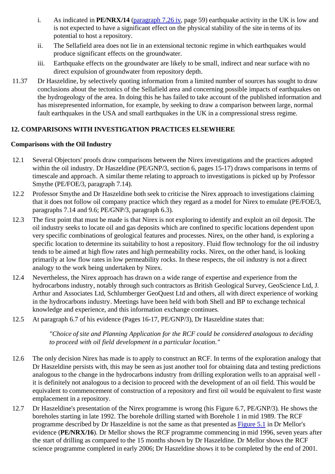- i. As indicated in **PE/NRX/14** (paragraph 7.26 iv, page 59) earthquake activity in the UK is low and is not expected to have a significant effect on the physical stability of the site in terms of its potential to host a repository.
- ii. The Sellafield area does not lie in an extensional tectonic regime in which earthquakes would produce significant effects on the groundwater.
- iii. Earthquake effects on the groundwater are likely to be small, indirect and near surface with no direct expulsion of groundwater from repository depth.
- 11.37 Dr Haszeldine, by selectively quoting information from a limited number of sources has sought to draw conclusions about the tectonics of the Sellafield area and concerning possible impacts of earthquakes on the hydrogeology of the area. In doing this he has failed to take account of the published information and has misrepresented information, for example, by seeking to draw a comparison between large, normal fault earthquakes in the USA and small earthquakes in the UK in a compressional stress regime.

# **12. COMPARISONS WITH INVESTIGATION PRACTICES ELSEWHERE**

# **Comparisons with the Oil Industry**

- 12.1 Several Objectors' proofs draw comparisons between the Nirex investigations and the practices adopted within the oil industry. Dr Haszeldine (PE/GNP/3, section 6, pages 15-17) draws comparisons in terms of timescale and approach. A similar theme relating to approach to investigations is picked up by Professor Smythe (PE/FOE/3, paragraph 7.14).
- 12.2 Professor Smythe and Dr Haszeldine both seek to criticise the Nirex approach to investigations claiming that it does not follow oil company practice which they regard as a model for Nirex to emulate (PE/FOE/3, paragraphs 7.14 and 9.6; PE/GNP/3, paragraph 6.3).
- 12.3 The first point that must be made is that Nirex is not exploring to identify and exploit an oil deposit. The oil industry seeks to locate oil and gas deposits which are confined to specific locations dependent upon very specific combinations of geological features and processes. Nirex, on the other hand, is exploring a specific location to determine its suitability to host a repository. Fluid flow technology for the oil industry tends to be aimed at high flow rates and high permeability rocks. Nirex, on the other hand, is looking primarily at low flow rates in low permeability rocks. In these respects, the oil industry is not a direct analogy to the work being undertaken by Nirex.
- 12.4 Nevertheless, the Nirex approach has drawn on a wide range of expertise and experience from the hydrocarbons industry, notably through such contractors as British Geological Survey, GeoScience Ltd, J. Arthur and Associates Ltd, Schlumberger GeoQuest Ltd and others, all with direct experience of working in the hydrocarbons industry. Meetings have been held with both Shell and BP to exchange technical knowledge and experience, and this information exchange continues.
- 12.5 At paragraph 6.7 of his evidence (Pages 16-17, PE/GNP/3), Dr Haszeldine states that:

*"Choice of site and Planning Application for the RCF could be considered analogous to deciding to proceed with oil field development in a particular location."*

- 12.6 The only decision Nirex has made is to apply to construct an RCF. In terms of the exploration analogy that Dr Haszeldine persists with, this may be seen as just another tool for obtaining data and testing predictions analogous to the change in the hydrocarbons industry from drilling exploration wells to an appraisal well it is definitely not analogous to a decision to proceed with the development of an oil field. This would be equivalent to commencement of construction of a repository and first oil would be equivalent to first waste emplacement in a repository.
- 12.7 Dr Haszeldine's presentation of the Nirex programme is wrong (his Figure 6.7, PE/GNP/3). He shows the boreholes starting in late 1992. The borehole drilling started with Borehole 1 in mid 1989. The RCF programme described by Dr Haszeldine is not the same as that presented as Figure 5.1 in Dr Mellor's evidence (**PE/NRX/16**). Dr Mellor shows the RCF programme commencing in mid 1996, seven years after the start of drilling as compared to the 15 months shown by Dr Haszeldine. Dr Mellor shows the RCF science programme completed in early 2006; Dr Haszeldine shows it to be completed by the end of 2001.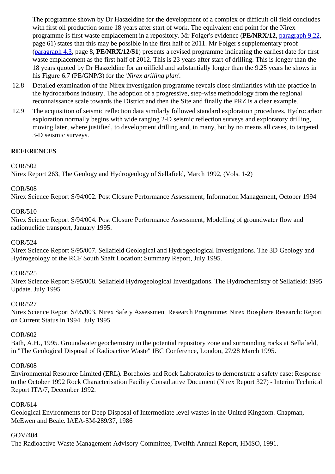The programme shown by Dr Haszeldine for the development of a complex or difficult oil field concludes with first oil production some 18 years after start of work. The equivalent end point for the Nirex programme is first waste emplacement in a repository. Mr Folger's evidence (**PE/NRX/12**, paragraph 9.22, page 61) states that this may be possible in the first half of 2011. Mr Folger's supplementary proof (paragraph 4.3, page 8, **PE/NRX/12/S1**) presents a revised programme indicating the earliest date for first waste emplacement as the first half of 2012. This is 23 years after start of drilling. This is longer than the 18 years quoted by Dr Haszeldine for an oilfield and substantially longer than the 9.25 years he shows in his Figure 6.7 (PE/GNP/3) for the *'Nirex drilling plan'*.

- 12.8 Detailed examination of the Nirex investigation programme reveals close similarities with the practice in the hydrocarbons industry. The adoption of a progressive, step-wise methodology from the regional reconnaissance scale towards the District and then the Site and finally the PRZ is a clear example.
- 12.9 The acquisition of seismic reflection data similarly followed standard exploration procedures. Hydrocarbon exploration normally begins with wide ranging 2-D seismic reflection surveys and exploratory drilling, moving later, where justified, to development drilling and, in many, but by no means all cases, to targeted 3-D seismic surveys.

# **REFERENCES**

## COR/502

Nirex Report 263, The Geology and Hydrogeology of Sellafield, March 1992, (Vols. 1-2)

## COR/508

Nirex Science Report S/94/002. Post Closure Performance Assessment, Information Management, October 1994

#### COR/510

Nirex Science Report S/94/004. Post Closure Performance Assessment, Modelling of groundwater flow and radionuclide transport, January 1995.

## COR/524

Nirex Science Report S/95/007. Sellafield Geological and Hydrogeological Investigations. The 3D Geology and Hydrogeology of the RCF South Shaft Location: Summary Report, July 1995.

## COR/525

Nirex Science Report S/95/008. Sellafield Hydrogeological Investigations. The Hydrochemistry of Sellafield: 1995 Update. July 1995

#### COR/527

Nirex Science Report S/95/003. Nirex Safety Assessment Research Programme: Nirex Biosphere Research: Report on Current Status in 1994. July 1995

## COR/602

Bath, A.H., 1995. Groundwater geochemistry in the potential repository zone and surrounding rocks at Sellafield, in "The Geological Disposal of Radioactive Waste" IBC Conference, London, 27/28 March 1995.

#### COR/608

Environmental Resource Limited (ERL). Boreholes and Rock Laboratories to demonstrate a safety case: Response to the October 1992 Rock Characterisation Facility Consultative Document (Nirex Report 327) - Interim Technical Report ITA/7, December 1992.

## COR/614

Geological Environments for Deep Disposal of Intermediate level wastes in the United Kingdom. Chapman, McEwen and Beale. IAEA-SM-289/37, 1986

## GOV/404

The Radioactive Waste Management Advisory Committee, Twelfth Annual Report, HMSO, 1991.